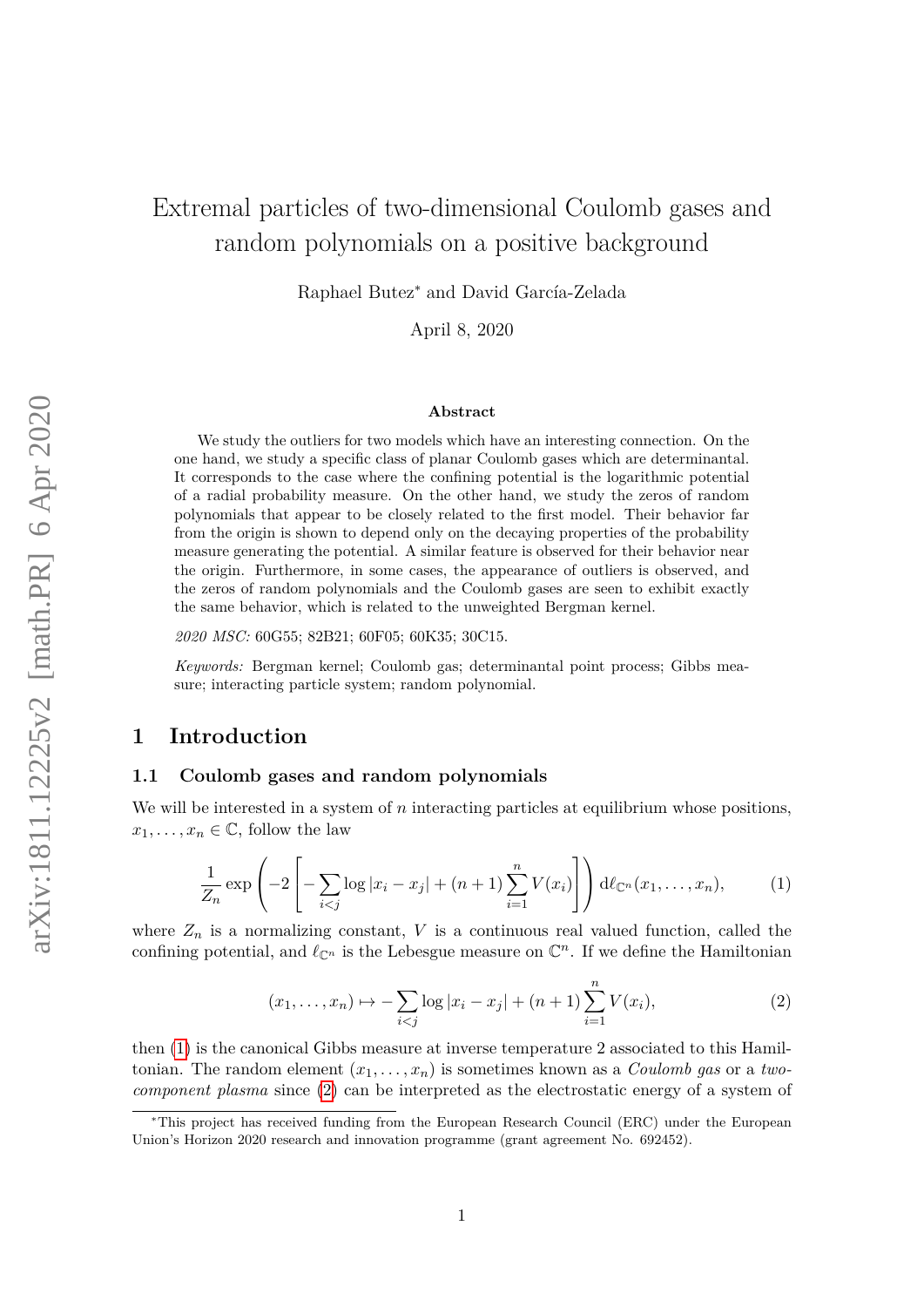# Extremal particles of two-dimensional Coulomb gases and random polynomials on a positive background

Raphael Butez<sup>∗</sup> and David García-Zelada

April 8, 2020

#### **Abstract**

We study the outliers for two models which have an interesting connection. On the one hand, we study a specific class of planar Coulomb gases which are determinantal. It corresponds to the case where the confining potential is the logarithmic potential of a radial probability measure. On the other hand, we study the zeros of random polynomials that appear to be closely related to the first model. Their behavior far from the origin is shown to depend only on the decaying properties of the probability measure generating the potential. A similar feature is observed for their behavior near the origin. Furthermore, in some cases, the appearance of outliers is observed, and the zeros of random polynomials and the Coulomb gases are seen to exhibit exactly the same behavior, which is related to the unweighted Bergman kernel.

*2020 MSC:* 60G55; 82B21; 60F05; 60K35; 30C15.

*Keywords:* Bergman kernel; Coulomb gas; determinantal point process; Gibbs measure; interacting particle system; random polynomial.

# **1 Introduction**

#### **1.1 Coulomb gases and random polynomials**

<span id="page-0-0"></span>We will be interested in a system of *n* interacting particles at equilibrium whose positions,  $x_1, \ldots, x_n \in \mathbb{C}$ , follow the law

$$
\frac{1}{Z_n} \exp\left(-2\left[-\sum_{i < j} \log|x_i - x_j| + (n+1)\sum_{i=1}^n V(x_i)\right]\right) d\ell_{\mathbb{C}^n}(x_1, \dots, x_n),\tag{1}
$$

<span id="page-0-1"></span>where  $Z_n$  is a normalizing constant,  $V$  is a continuous real valued function, called the confining potential, and  $\ell_{\mathbb{C}^n}$  is the Lebesgue measure on  $\mathbb{C}^n$ . If we define the Hamiltonian

$$
(x_1, \ldots, x_n) \mapsto -\sum_{i < j} \log |x_i - x_j| + (n+1) \sum_{i=1}^n V(x_i), \tag{2}
$$

then [\(1\)](#page-0-0) is the canonical Gibbs measure at inverse temperature 2 associated to this Hamiltonian. The random element  $(x_1, \ldots, x_n)$  is sometimes known as a *Coulomb gas* or a *twocomponent plasma* since [\(2\)](#page-0-1) can be interpreted as the electrostatic energy of a system of

<sup>∗</sup>This project has received funding from the European Research Council (ERC) under the European Union's Horizon 2020 research and innovation programme (grant agreement No. 692452).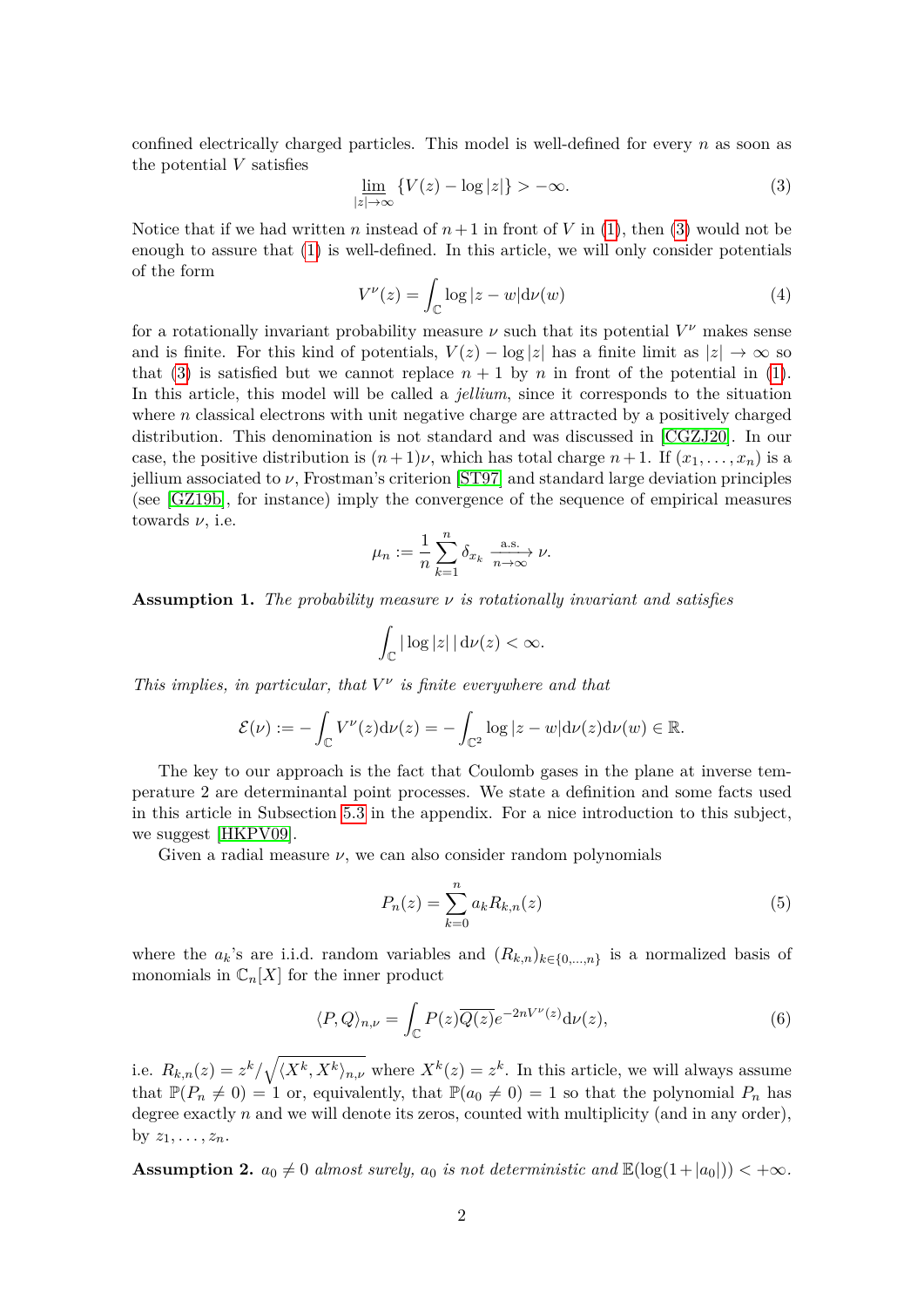confined electrically charged particles. This model is well-defined for every *n* as soon as the potential *V* satisfies

<span id="page-1-0"></span>
$$
\underline{\lim}_{|z| \to \infty} \left\{ V(z) - \log |z| \right\} > -\infty. \tag{3}
$$

<span id="page-1-4"></span>Notice that if we had written *n* instead of  $n+1$  in front of *V* in [\(1\)](#page-0-0), then [\(3\)](#page-1-0) would not be enough to assure that [\(1\)](#page-0-0) is well-defined. In this article, we will only consider potentials of the form

$$
V^{\nu}(z) = \int_{\mathbb{C}} \log |z - w| \mathrm{d}\nu(w) \tag{4}
$$

for a rotationally invariant probability measure  $\nu$  such that its potential  $V^{\nu}$  makes sense and is finite. For this kind of potentials,  $V(z) - \log|z|$  has a finite limit as  $|z| \to \infty$  so that [\(3\)](#page-1-0) is satisfied but we cannot replace  $n + 1$  by *n* in front of the potential in [\(1\)](#page-0-0). In this article, this model will be called a *jellium*, since it corresponds to the situation where  $n$  classical electrons with unit negative charge are attracted by a positively charged distribution. This denomination is not standard and was discussed in [\[CGZJ20\]](#page-33-0). In our case, the positive distribution is  $(n+1)\nu$ , which has total charge  $n+1$ . If  $(x_1, \ldots, x_n)$  is a jellium associated to *ν*, Frostman's criterion [\[ST97\]](#page-35-0) and standard large deviation principles (see [\[GZ19b\]](#page-33-1), for instance) imply the convergence of the sequence of empirical measures towards *ν*, i.e.

$$
\mu_n := \frac{1}{n} \sum_{k=1}^n \delta_{x_k} \xrightarrow[n \to \infty]{\text{a.s.}} \nu.
$$

<span id="page-1-2"></span>**Assumption 1.** *The probability measure ν is rotationally invariant and satisfies*

$$
\int_{\mathbb{C}} |\log |z| \, |\, \mathrm{d}\nu(z) < \infty.
$$

*This implies, in particular, that*  $V^{\nu}$  *is finite everywhere and that* 

$$
\mathcal{E}(\nu) := -\int_{\mathbb{C}} V^{\nu}(z) d\nu(z) = -\int_{\mathbb{C}^2} \log |z - w| d\nu(z) d\nu(w) \in \mathbb{R}.
$$

The key to our approach is the fact that Coulomb gases in the plane at inverse temperature 2 are determinantal point processes. We state a definition and some facts used in this article in Subsection [5.3](#page-31-0) in the appendix. For a nice introduction to this subject, we suggest [\[HKPV09\]](#page-34-0).

Given a radial measure *ν*, we can also consider random polynomials

<span id="page-1-1"></span>
$$
P_n(z) = \sum_{k=0}^{n} a_k R_{k,n}(z)
$$
\n(5)

where the  $a_k$ 's are i.i.d. random variables and  $(R_{k,n})_{k\in\{0,\ldots,n\}}$  is a normalized basis of monomials in  $\mathbb{C}_n[X]$  for the inner product

$$
\langle P, Q \rangle_{n,\nu} = \int_{\mathbb{C}} P(z) \overline{Q(z)} e^{-2nV^{\nu}(z)} d\nu(z), \tag{6}
$$

i.e.  $R_{k,n}(z) = z^k / \sqrt{\langle X^k, X^k \rangle_{n,\nu}}$  where  $X^k(z) = z^k$ . In this article, we will always assume that  $\mathbb{P}(P_n \neq 0) = 1$  or, equivalently, that  $\mathbb{P}(a_0 \neq 0) = 1$  so that the polynomial  $P_n$  has degree exactly *n* and we will denote its zeros, counted with multiplicity (and in any order), by  $z_1, \ldots, z_n$ .

<span id="page-1-3"></span>**Assumption 2.**  $a_0 \neq 0$  *almost surely,*  $a_0$  *is not deterministic and*  $\mathbb{E}(\log(1+|a_0|)) < +\infty$ *.*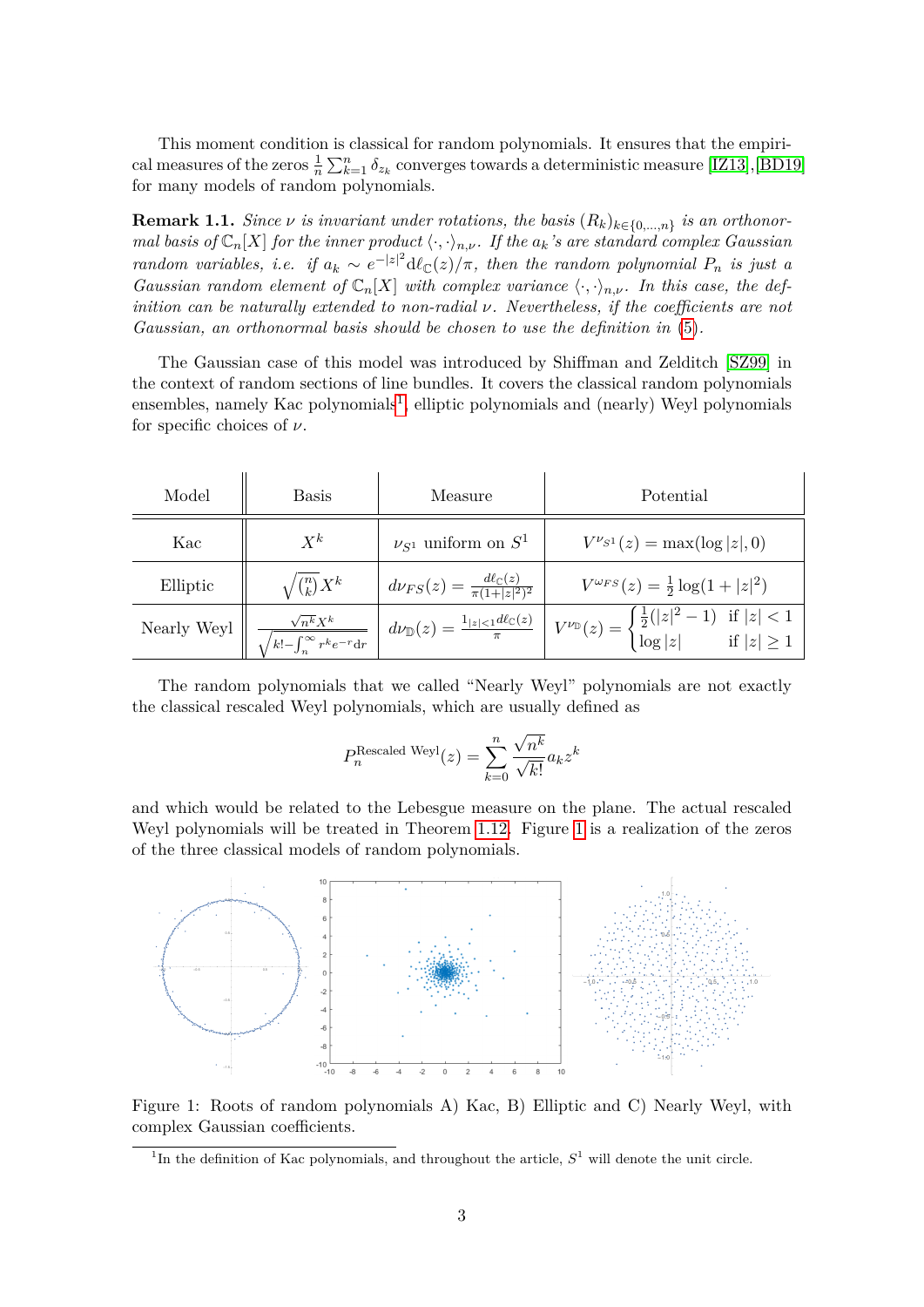This moment condition is classical for random polynomials. It ensures that the empirical measures of the zeros  $\frac{1}{n} \sum_{k=1}^{n} \delta_{z_k}$  converges towards a deterministic measure [\[IZ13\]](#page-34-1), [\[BD19\]](#page-33-2) for many models of random polynomials.

**Remark 1.1.** *Since*  $\nu$  *is invariant under rotations, the basis*  $(R_k)_{k \in \{0,\ldots,n\}}$  *is an orthonormal basis of*  $\mathbb{C}_n[X]$  *for the inner product*  $\langle \cdot, \cdot \rangle_{n,\nu}$ *. If the*  $a_k$ *'s are standard complex Gaussian random variables, i.e. if*  $a_k \sim e^{-|z|^2} d\ell_{\mathbb{C}}(z)/\pi$ , then the random polynomial  $P_n$  is just a *Gaussian random element of*  $\mathbb{C}_n[X]$  *with complex variance*  $\langle \cdot, \cdot \rangle_{n,\nu}$ *. In this case, the definition can be naturally extended to non-radial ν. Nevertheless, if the coefficients are not Gaussian, an orthonormal basis should be chosen to use the definition in* [\(5\)](#page-1-1)*.*

The Gaussian case of this model was introduced by Shiffman and Zelditch [\[SZ99\]](#page-35-1) in the context of random sections of line bundles. It covers the classical random polynomials ensembles, namely Kac polynomials<sup>[1](#page-2-0)</sup>, elliptic polynomials and (nearly) Weyl polynomials for specific choices of *ν*.

| Model               | <b>Basis</b>                                                         | Measure                                                       | Potential                                                                                                                                                                                                                |
|---------------------|----------------------------------------------------------------------|---------------------------------------------------------------|--------------------------------------------------------------------------------------------------------------------------------------------------------------------------------------------------------------------------|
| Kac                 | $X^k$                                                                | $\nu_{S^1}$ uniform on $S^1$                                  | $V^{\nu_{S^1}}(z) = \max(\log z , 0)$                                                                                                                                                                                    |
| Elliptic            | $\sqrt{\binom{n}{k}}X^k$                                             | $d\nu_{FS}(z) = \frac{d\ell_{\mathbb{C}}(z)}{\pi(1+ z ^2)^2}$ | $V^{\omega_{FS}}(z) = \frac{1}{2} \log(1+ z ^2)$                                                                                                                                                                         |
| Nearly Weyl $\big $ | $\sqrt{n^k}X^k$<br>$\sqrt{k!-\int_{-\infty}^{\infty} r^k e^{-r} dr}$ |                                                               | $\left  d\nu_{\mathbb{D}}(z) = \frac{1_{ z  < 1} d\ell_{\mathbb{C}}(z)}{\pi} \right  V^{\nu_{\mathbb{D}}}(z) = \begin{cases} \frac{1}{2}( z ^2 - 1) & \text{if }  z  < 1 \\ \log z  & \text{if }  z  \geq 1 \end{cases}$ |

The random polynomials that we called "Nearly Weyl" polynomials are not exactly the classical rescaled Weyl polynomials, which are usually defined as

$$
P_n^{\text{Rescaled Weyl}}(z) = \sum_{k=0}^{n} \frac{\sqrt{n^k}}{\sqrt{k!}} a_k z^k
$$

and which would be related to the Lebesgue measure on the plane. The actual rescaled Weyl polynomials will be treated in Theorem [1.12.](#page-8-0) Figure [1](#page-2-1) is a realization of the zeros of the three classical models of random polynomials.



<span id="page-2-1"></span>Figure 1: Roots of random polynomials A) Kac, B) Elliptic and C) Nearly Weyl, with complex Gaussian coefficients.

<span id="page-2-0"></span><sup>&</sup>lt;sup>1</sup>In the definition of Kac polynomials, and throughout the article,  $S<sup>1</sup>$  will denote the unit circle.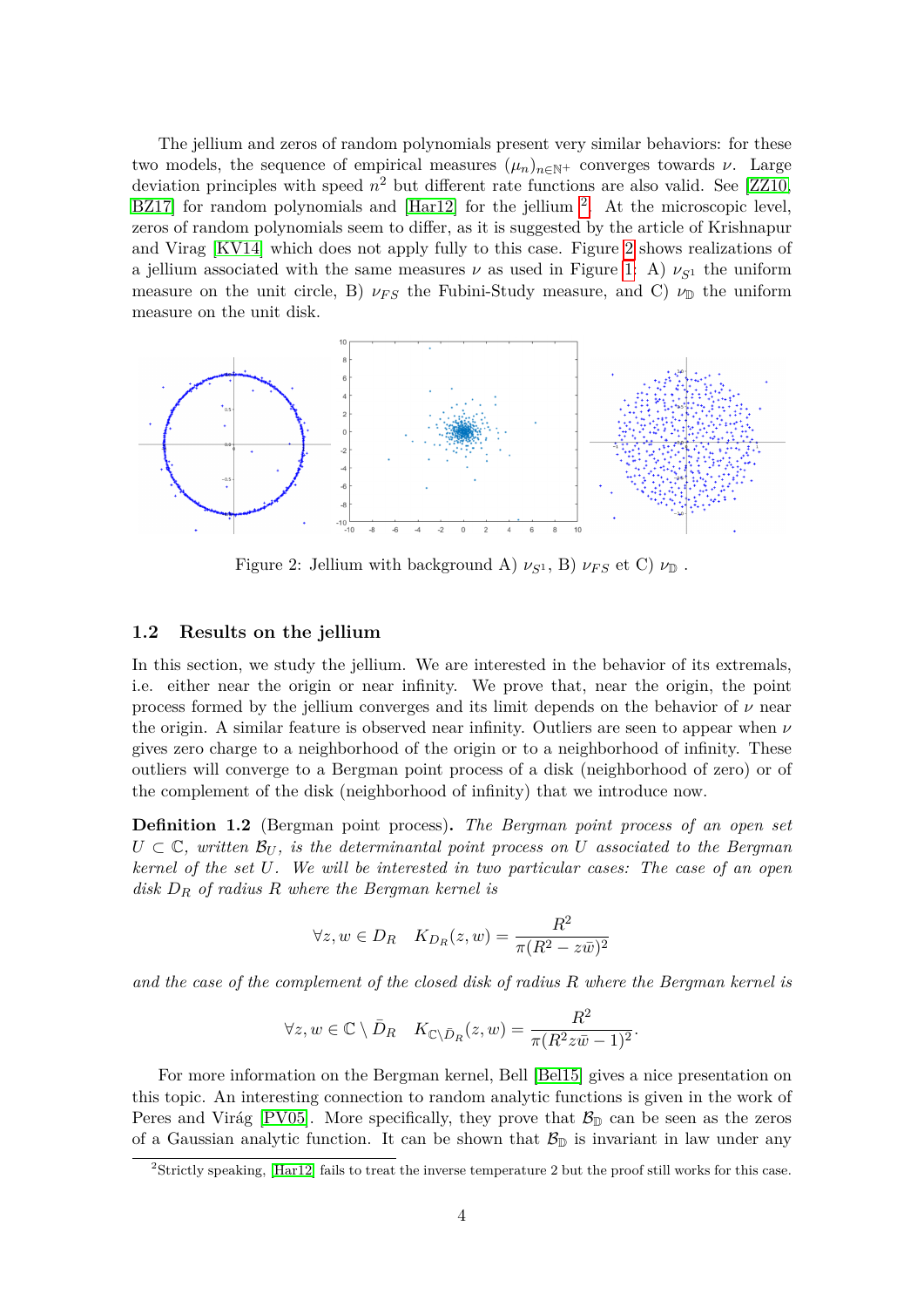The jellium and zeros of random polynomials present very similar behaviors: for these two models, the sequence of empirical measures  $(\mu_n)_{n\in\mathbb{N}^+}$  converges towards *ν*. Large deviation principles with speed *n* <sup>2</sup> but different rate functions are also valid. See [\[ZZ10,](#page-35-2) BZ17 for random polynomials and  $\left[\text{Har}12\right]$  $\left[\text{Har}12\right]$  $\left[\text{Har}12\right]$  for the jellium  $^{2}$ . At the microscopic level, zeros of random polynomials seem to differ, as it is suggested by the article of Krishnapur and Virag [\[KV14\]](#page-34-3) which does not apply fully to this case. Figure [2](#page-3-1) shows realizations of a jellium associated with the same measures  $\nu$  as used in Figure [1:](#page-2-1) A)  $\nu_{S^1}$  the uniform measure on the unit circle, B)  $\nu_{FS}$  the Fubini-Study measure, and C)  $\nu_{\mathbb{D}}$  the uniform measure on the unit disk.



<span id="page-3-1"></span>Figure 2: Jellium with background A)  $\nu_{S^1}$ , B)  $\nu_{FS}$  et C)  $\nu_{\mathbb{D}}$ .

#### **1.2 Results on the jellium**

In this section, we study the jellium. We are interested in the behavior of its extremals, i.e. either near the origin or near infinity. We prove that, near the origin, the point process formed by the jellium converges and its limit depends on the behavior of *ν* near the origin. A similar feature is observed near infinity. Outliers are seen to appear when *ν* gives zero charge to a neighborhood of the origin or to a neighborhood of infinity. These outliers will converge to a Bergman point process of a disk (neighborhood of zero) or of the complement of the disk (neighborhood of infinity) that we introduce now.

<span id="page-3-2"></span>**Definition 1.2** (Bergman point process)**.** *The Bergman point process of an open set*  $U \subset \mathbb{C}$ , written  $\mathcal{B}_U$ , is the determinantal point process on U associated to the Bergman *kernel of the set U. We will be interested in two particular cases: The case of an open disk D<sup>R</sup> of radius R where the Bergman kernel is*

$$
\forall z, w \in D_R \quad K_{D_R}(z, w) = \frac{R^2}{\pi (R^2 - z\bar{w})^2}
$$

*and the case of the complement of the closed disk of radius R where the Bergman kernel is*

$$
\forall z, w \in \mathbb{C} \setminus \bar{D}_R \quad K_{\mathbb{C} \setminus \bar{D}_R}(z, w) = \frac{R^2}{\pi (R^2 z \bar{w} - 1)^2}.
$$

For more information on the Bergman kernel, Bell [\[Bel15\]](#page-33-4) gives a nice presentation on this topic. An interesting connection to random analytic functions is given in the work of Peres and Virág [\[PV05\]](#page-34-4). More specifically, they prove that  $\mathcal{B}_{\mathbb{D}}$  can be seen as the zeros of a Gaussian analytic function. It can be shown that  $\mathcal{B}_{\mathbb{D}}$  is invariant in law under any

<span id="page-3-0"></span><sup>&</sup>lt;sup>2</sup>Strictly speaking, [\[Har12\]](#page-34-2) fails to treat the inverse temperature 2 but the proof still works for this case.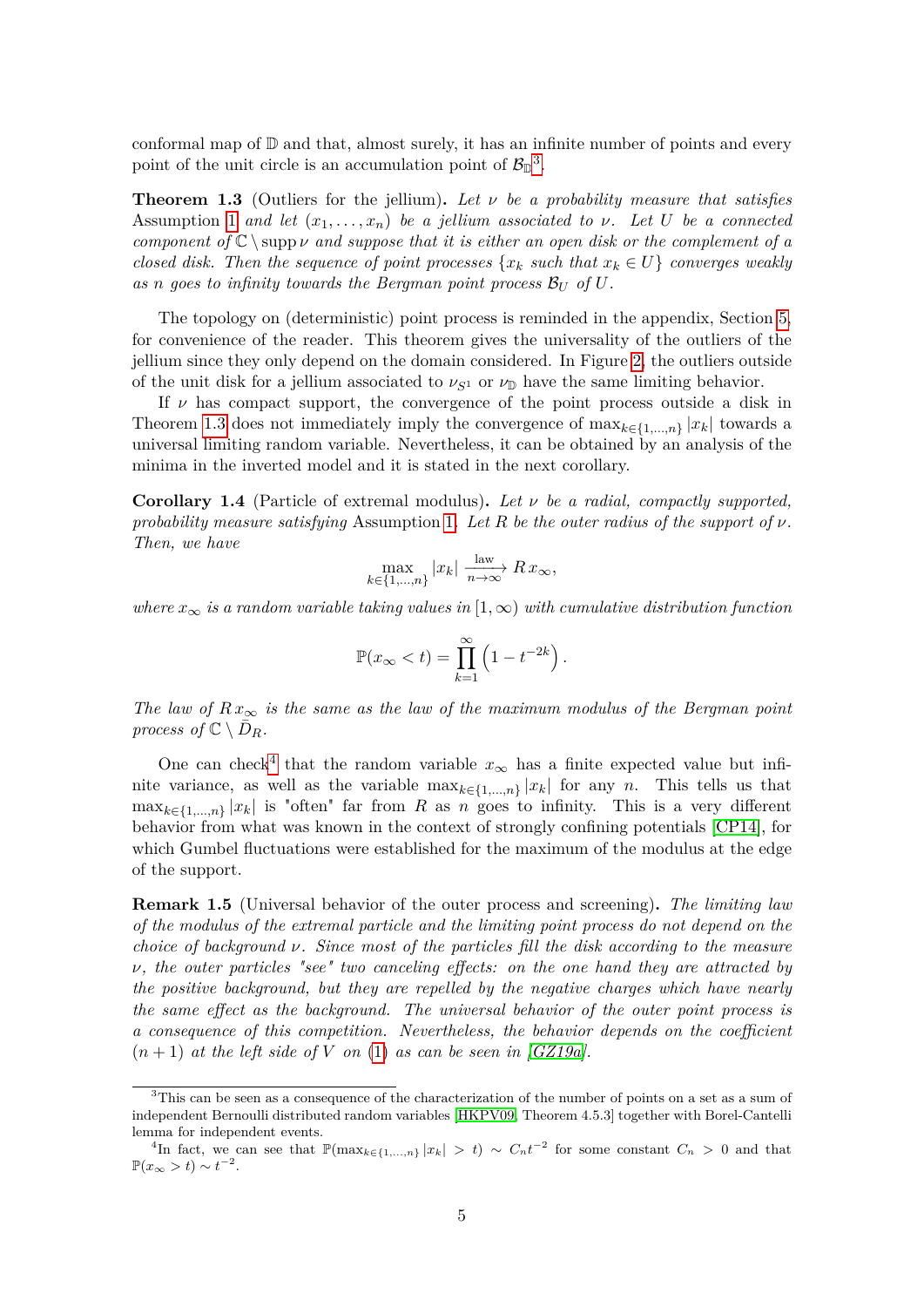conformal map of  $D$  and that, almost surely, it has an infinite number of points and every point of the unit circle is an accumulation point of  $\mathcal{B}_{\mathbb{D}}^3$  $\mathcal{B}_{\mathbb{D}}^3$ .

<span id="page-4-1"></span>**Theorem 1.3** (Outliers for the jellium)**.** *Let ν be a probability measure that satisfies* Assumption [1](#page-1-2) *and let*  $(x_1, \ldots, x_n)$  *be a jellium associated to v.* Let U *be a connected component of*  $\mathbb{C} \setminus \text{supp } \nu$  *and suppose that it is either an open disk or the complement of a closed disk. Then the sequence of point processes*  $\{x_k \text{ such that } x_k \in U\}$  *converges weakly* as *n* goes to infinity towards the Bergman point process  $\mathcal{B}_{U}$  of U.

The topology on (deterministic) point process is reminded in the appendix, Section [5,](#page-29-0) for convenience of the reader. This theorem gives the universality of the outliers of the jellium since they only depend on the domain considered. In Figure [2,](#page-3-1) the outliers outside of the unit disk for a jellium associated to  $\nu_{S^1}$  or  $\nu_{\mathbb{D}}$  have the same limiting behavior.

If *ν* has compact support, the convergence of the point process outside a disk in Theorem [1.3](#page-4-1) does not immediately imply the convergence of  $\max_{k \in \{1,...,n\}} |x_k|$  towards a universal limiting random variable. Nevertheless, it can be obtained by an analysis of the minima in the inverted model and it is stated in the next corollary.

<span id="page-4-3"></span>**Corollary 1.4** (Particle of extremal modulus)**.** *Let ν be a radial, compactly supported, probability measure satisfying* Assumption [1](#page-1-2)*. Let R be the outer radius of the support of ν. Then, we have*

$$
\max_{k \in \{1, \dots, n\}} |x_k| \xrightarrow[n \to \infty]{\text{law}} Rx_{\infty},
$$

*where*  $x_{\infty}$  *is a random variable taking values in* [1,  $\infty$ ) *with cumulative distribution function* 

$$
\mathbb{P}(x_{\infty} < t) = \prod_{k=1}^{\infty} \left( 1 - t^{-2k} \right).
$$

*The law of*  $Rx_{\infty}$  *is the same as the law of the maximum modulus of the Bergman point process of*  $\mathbb{C} \setminus \overline{D}_R$ *.* 

One can check<sup>[4](#page-4-2)</sup> that the random variable  $x_{\infty}$  has a finite expected value but infinite variance, as well as the variable  $\max_{k \in \{1,\ldots,n\}} |x_k|$  for any *n*. This tells us that  $\max_{k \in \{1,\ldots,n\}} |x_k|$  is "often" far from *R* as *n* goes to infinity. This is a very different behavior from what was known in the context of strongly confining potentials [\[CP14\]](#page-33-5), for which Gumbel fluctuations were established for the maximum of the modulus at the edge of the support.

**Remark 1.5** (Universal behavior of the outer process and screening)**.** *The limiting law of the modulus of the extremal particle and the limiting point process do not depend on the choice of background ν. Since most of the particles fill the disk according to the measure ν, the outer particles "see" two canceling effects: on the one hand they are attracted by the positive background, but they are repelled by the negative charges which have nearly the same effect as the background. The universal behavior of the outer point process is a consequence of this competition. Nevertheless, the behavior depends on the coefficient*  $(n+1)$  *at the left side of V on* [\(1\)](#page-0-0) *as can be seen in [\[GZ19a\]](#page-33-6)*.

<span id="page-4-0"></span><sup>&</sup>lt;sup>3</sup>This can be seen as a consequence of the characterization of the number of points on a set as a sum of independent Bernoulli distributed random variables [\[HKPV09,](#page-34-0) Theorem 4.5.3] together with Borel-Cantelli lemma for independent events.

<span id="page-4-2"></span><sup>&</sup>lt;sup>4</sup>In fact, we can see that  $\mathbb{P}(\max_{k \in \{1,\ldots,n\}} |x_k| > t) \sim C_n t^{-2}$  for some constant  $C_n > 0$  and that  $\mathbb{P}(x_{\infty} > t) \sim t^{-2}.$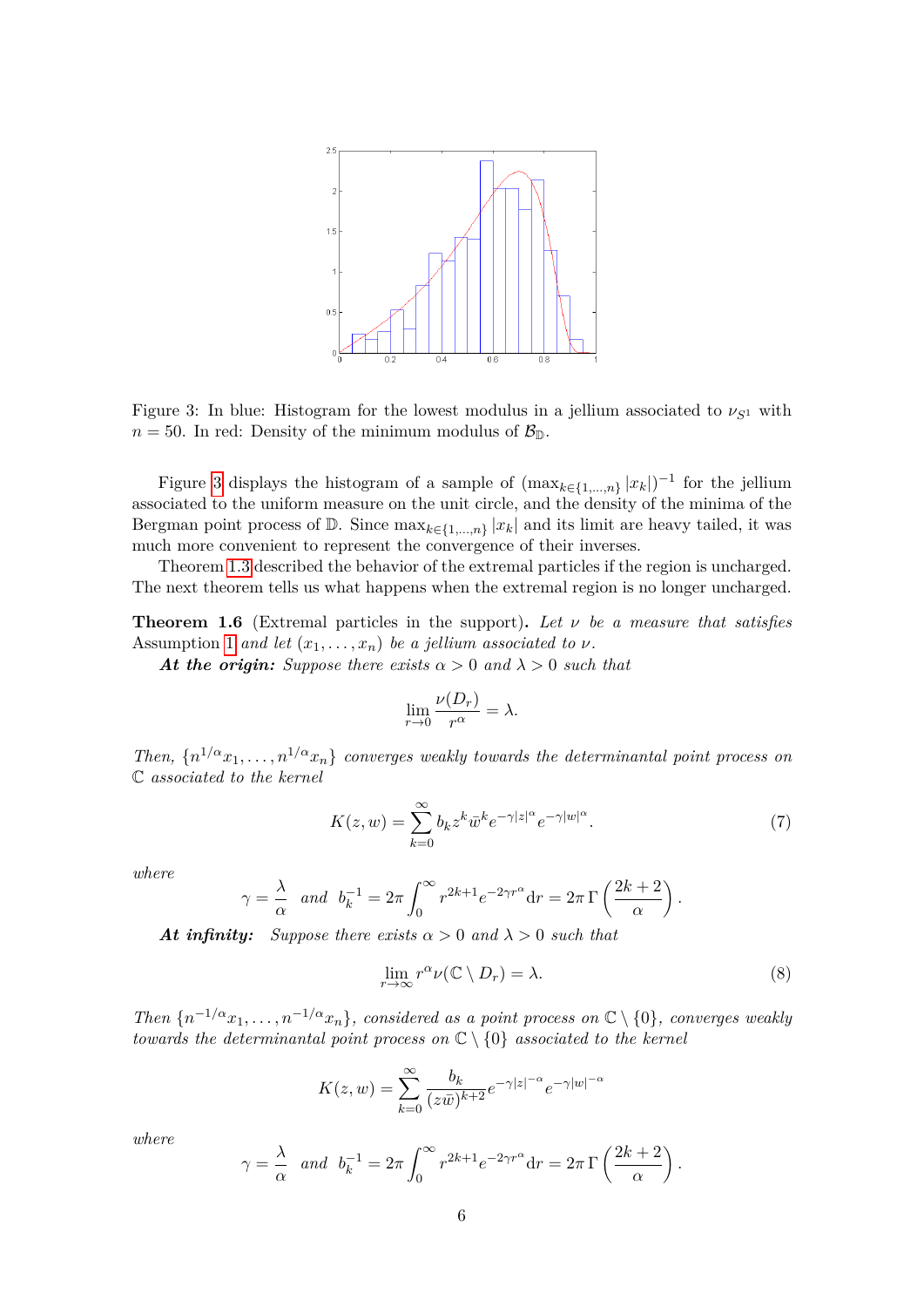

<span id="page-5-0"></span>Figure 3: In blue: Histogram for the lowest modulus in a jellium associated to  $\nu_{S^1}$  with  $n = 50$ . In red: Density of the minimum modulus of  $\mathcal{B}_{\mathbb{D}}$ .

Figure [3](#page-5-0) displays the histogram of a sample of  $(\max_{k \in \{1,\ldots,n\}} |x_k|)^{-1}$  for the jellium associated to the uniform measure on the unit circle, and the density of the minima of the Bergman point process of  $\mathbb{D}$ . Since  $\max_{k \in \{1,\ldots,n\}} |x_k|$  and its limit are heavy tailed, it was much more convenient to represent the convergence of their inverses.

Theorem [1.3](#page-4-1) described the behavior of the extremal particles if the region is uncharged. The next theorem tells us what happens when the extremal region is no longer uncharged.

<span id="page-5-2"></span>**Theorem 1.6** (Extremal particles in the support)**.** *Let ν be a measure that satisfies* Assumption [1](#page-1-2) *and let*  $(x_1, \ldots, x_n)$  *be a jellium associated to*  $\nu$ *.* 

At the origin: Suppose there exists  $\alpha > 0$  and  $\lambda > 0$  such that

$$
\lim_{r \to 0} \frac{\nu(D_r)}{r^{\alpha}} = \lambda.
$$

*Then,*  $\{n^{1/\alpha}x_1, \ldots, n^{1/\alpha}x_n\}$  *converges weakly towards the determinantal point process on* C *associated to the kernel*

$$
K(z, w) = \sum_{k=0}^{\infty} b_k z^k \bar{w}^k e^{-\gamma |z|^\alpha} e^{-\gamma |w|^\alpha}.
$$
 (7)

*where*

$$
\gamma = \frac{\lambda}{\alpha} \quad and \quad b_k^{-1} = 2\pi \int_0^\infty r^{2k+1} e^{-2\gamma r^\alpha} dr = 2\pi \Gamma \left( \frac{2k+2}{\alpha} \right).
$$

*At infinity: Suppose there exists*  $\alpha > 0$  *and*  $\lambda > 0$  *such that* 

$$
\lim_{r \to \infty} r^{\alpha} \nu(\mathbb{C} \setminus D_r) = \lambda. \tag{8}
$$

<span id="page-5-1"></span>*.*

*Then*  $\{n^{-1/\alpha}x_1, \ldots, n^{-1/\alpha}x_n\}$ *, considered as a point process on*  $\mathbb{C} \setminus \{0\}$ *, converges weakly towards the determinantal point process on* C \ {0} *associated to the kernel*

$$
K(z, w) = \sum_{k=0}^{\infty} \frac{b_k}{(z\bar{w})^{k+2}} e^{-\gamma |z|^{-\alpha}} e^{-\gamma |w|^{-\alpha}}
$$

*where*

$$
\gamma = \frac{\lambda}{\alpha}
$$
 and  $b_k^{-1} = 2\pi \int_0^{\infty} r^{2k+1} e^{-2\gamma r^{\alpha}} dr = 2\pi \Gamma \left( \frac{2k+2}{\alpha} \right)$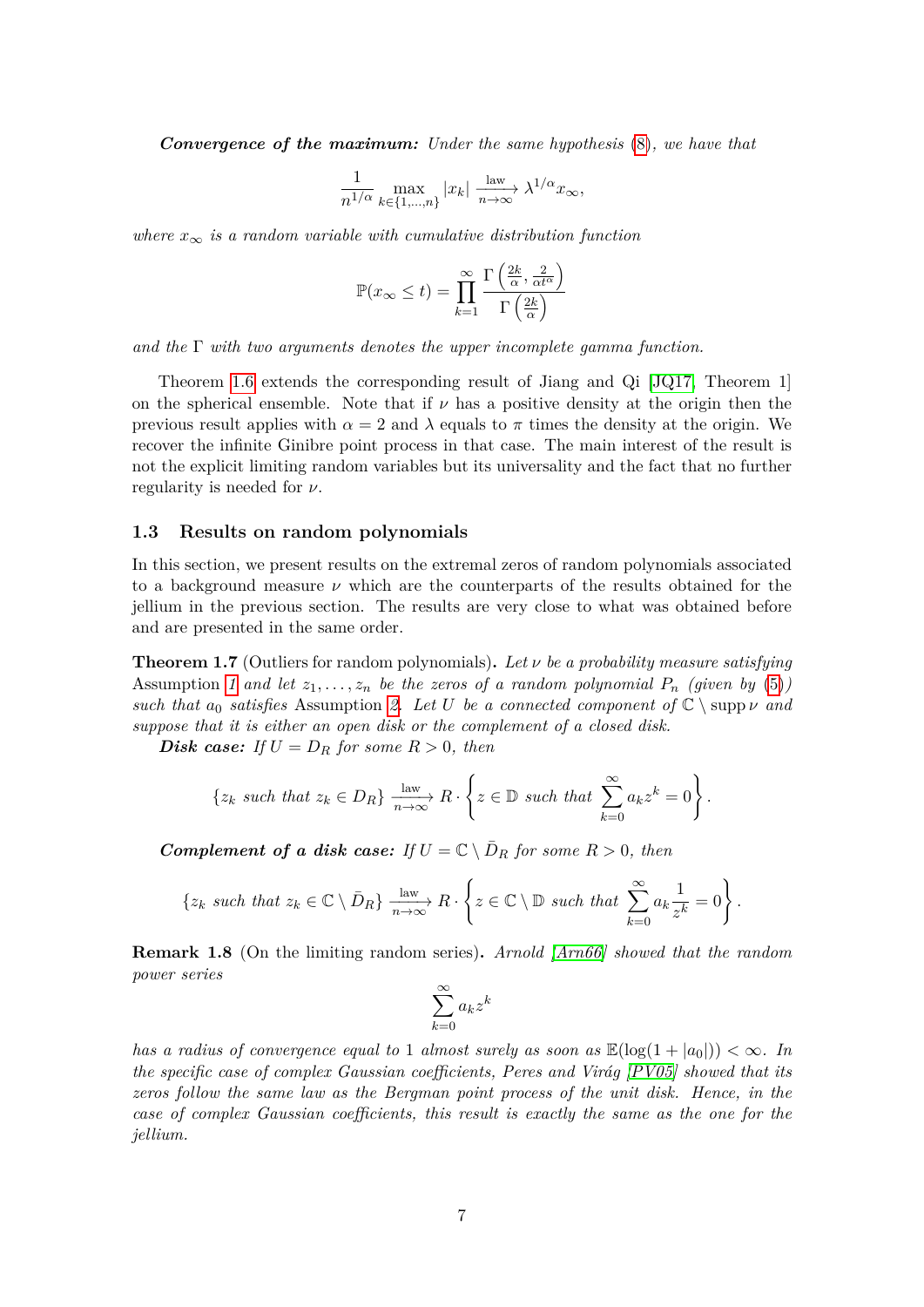*Convergence of the maximum: Under the same hypothesis* [\(8\)](#page-5-1)*, we have that*

$$
\frac{1}{n^{1/\alpha}} \max_{k \in \{1, \dots, n\}} |x_k| \xrightarrow[n \to \infty]{\text{law}} \lambda^{1/\alpha} x_{\infty},
$$

*where*  $x_{\infty}$  *is a random variable with cumulative distribution function* 

$$
\mathbb{P}(x_{\infty} \leq t) = \prod_{k=1}^{\infty} \frac{\Gamma\left(\frac{2k}{\alpha}, \frac{2}{\alpha t^{\alpha}}\right)}{\Gamma\left(\frac{2k}{\alpha}\right)}
$$

*and the* Γ *with two arguments denotes the upper incomplete gamma function.*

Theorem [1.6](#page-5-2) extends the corresponding result of Jiang and Qi [\[JQ17,](#page-34-5) Theorem 1] on the spherical ensemble. Note that if  $\nu$  has a positive density at the origin then the previous result applies with  $\alpha = 2$  and  $\lambda$  equals to  $\pi$  times the density at the origin. We recover the infinite Ginibre point process in that case. The main interest of the result is not the explicit limiting random variables but its universality and the fact that no further regularity is needed for *ν*.

#### **1.3 Results on random polynomials**

In this section, we present results on the extremal zeros of random polynomials associated to a background measure *ν* which are the counterparts of the results obtained for the jellium in the previous section. The results are very close to what was obtained before and are presented in the same order.

<span id="page-6-0"></span>**Theorem 1.7** (Outliers for random polynomials)**.** *Let ν be a probability measure satisfying* Assumption [1](#page-1-2) and let  $z_1, \ldots, z_n$  be the zeros of a random polynomial  $P_n$  (given by [\(5\)](#page-1-1)) *such that*  $a_0$  *satisfies* Assumption [2.](#page-1-3) Let U be a connected component of  $\mathbb{C} \setminus \text{supp } \nu$  *and suppose that it is either an open disk or the complement of a closed disk.*

*Disk case: If*  $U = D_R$  *for some*  $R > 0$ *, then* 

$$
\{z_k \text{ such that } z_k \in D_R\} \xrightarrow[n \to \infty]{\text{law}} R \cdot \left\{ z \in \mathbb{D} \text{ such that } \sum_{k=0}^{\infty} a_k z^k = 0 \right\}.
$$

*Complement of a disk case:* If  $U = \mathbb{C} \setminus \overline{D}_R$  for some  $R > 0$ , then

$$
\{z_k \text{ such that } z_k \in \mathbb{C} \setminus \bar{D}_R\} \xrightarrow[n \to \infty]{\text{law}} R \cdot \left\{z \in \mathbb{C} \setminus \mathbb{D} \text{ such that } \sum_{k=0}^{\infty} a_k \frac{1}{z^k} = 0\right\}.
$$

**Remark 1.8** (On the limiting random series)**.** *Arnold [\[Arn66\]](#page-33-7) showed that the random power series*

$$
\sum_{k=0}^{\infty} a_k z^k
$$

*has a radius of convergence equal to* 1 *almost surely as soon as*  $\mathbb{E}(\log(1+|a_0|)) < \infty$ . In *the specific case of complex Gaussian coefficients, Peres and Virág [\[PV05\]](#page-34-4) showed that its zeros follow the same law as the Bergman point process of the unit disk. Hence, in the case of complex Gaussian coefficients, this result is exactly the same as the one for the jellium.*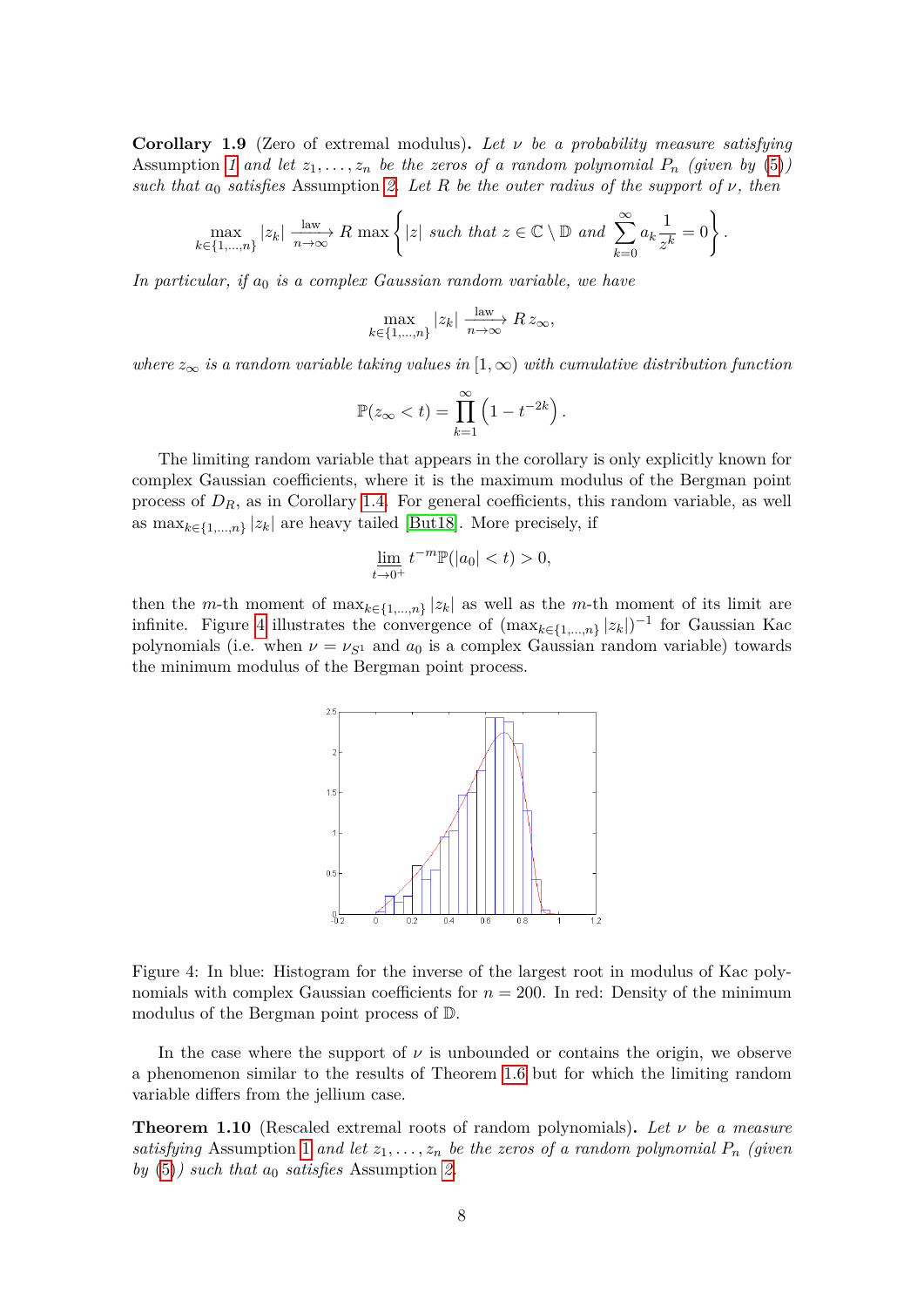<span id="page-7-1"></span>**Corollary 1.9** (Zero of extremal modulus)**.** *Let ν be a probability measure satisfying* Assumption *[1](#page-1-2)* and let  $z_1, \ldots, z_n$  be the zeros of a random polynomial  $P_n$  (given by [\(5\)](#page-1-1)) *such that*  $a_0$  *satisfies* Assumption [2.](#page-1-3) Let R be the outer radius of the support of  $\nu$ , then

$$
\max_{k \in \{1, \ldots, n\}} |z_k| \xrightarrow[n \to \infty]{\text{law}} R \max \left\{ |z| \text{ such that } z \in \mathbb{C} \setminus \mathbb{D} \text{ and } \sum_{k=0}^{\infty} a_k \frac{1}{z^k} = 0 \right\}.
$$

*In particular, if a*<sup>0</sup> *is a complex Gaussian random variable, we have*

$$
\max_{k \in \{1, \ldots, n\}} |z_k| \xrightarrow[n \to \infty]{\text{law}} R z_{\infty},
$$

*where*  $z_{\infty}$  *is a random variable taking values in* [1,  $\infty$ ) *with cumulative distribution function* 

$$
\mathbb{P}(z_{\infty} < t) = \prod_{k=1}^{\infty} \left( 1 - t^{-2k} \right).
$$

The limiting random variable that appears in the corollary is only explicitly known for complex Gaussian coefficients, where it is the maximum modulus of the Bergman point process of  $D_R$ , as in Corollary [1.4.](#page-4-3) For general coefficients, this random variable, as well as  $\max_{k \in \{1, ..., n\}} |z_k|$  are heavy tailed [\[But18\]](#page-33-8). More precisely, if

$$
\lim_{t \to 0^+} t^{-m} \mathbb{P}(|a_0| < t) > 0,
$$

then the *m*-th moment of  $\max_{k \in \{1,\ldots,n\}} |z_k|$  as well as the *m*-th moment of its limit are infinite. Figure [4](#page-7-0) illustrates the convergence of  $(\max_{k \in \{1,\ldots,n\}} |z_k|)^{-1}$  for Gaussian Kac polynomials (i.e. when  $\nu = \nu_{S^1}$  and  $a_0$  is a complex Gaussian random variable) towards the minimum modulus of the Bergman point process.



<span id="page-7-0"></span>Figure 4: In blue: Histogram for the inverse of the largest root in modulus of Kac polynomials with complex Gaussian coefficients for  $n = 200$ . In red: Density of the minimum modulus of the Bergman point process of D.

In the case where the support of  $\nu$  is unbounded or contains the origin, we observe a phenomenon similar to the results of Theorem [1.6](#page-5-2) but for which the limiting random variable differs from the jellium case.

<span id="page-7-2"></span>**Theorem 1.10** (Rescaled extremal roots of random polynomials)**.** *Let ν be a measure satisfying* Assumption [1](#page-1-2) *and let*  $z_1, \ldots, z_n$  *be the zeros of a random polynomial*  $P_n$  *(given*) *by* [\(5\)](#page-1-1)*) such that a*<sup>0</sup> *satisfies* Assumption *[2.](#page-1-3)*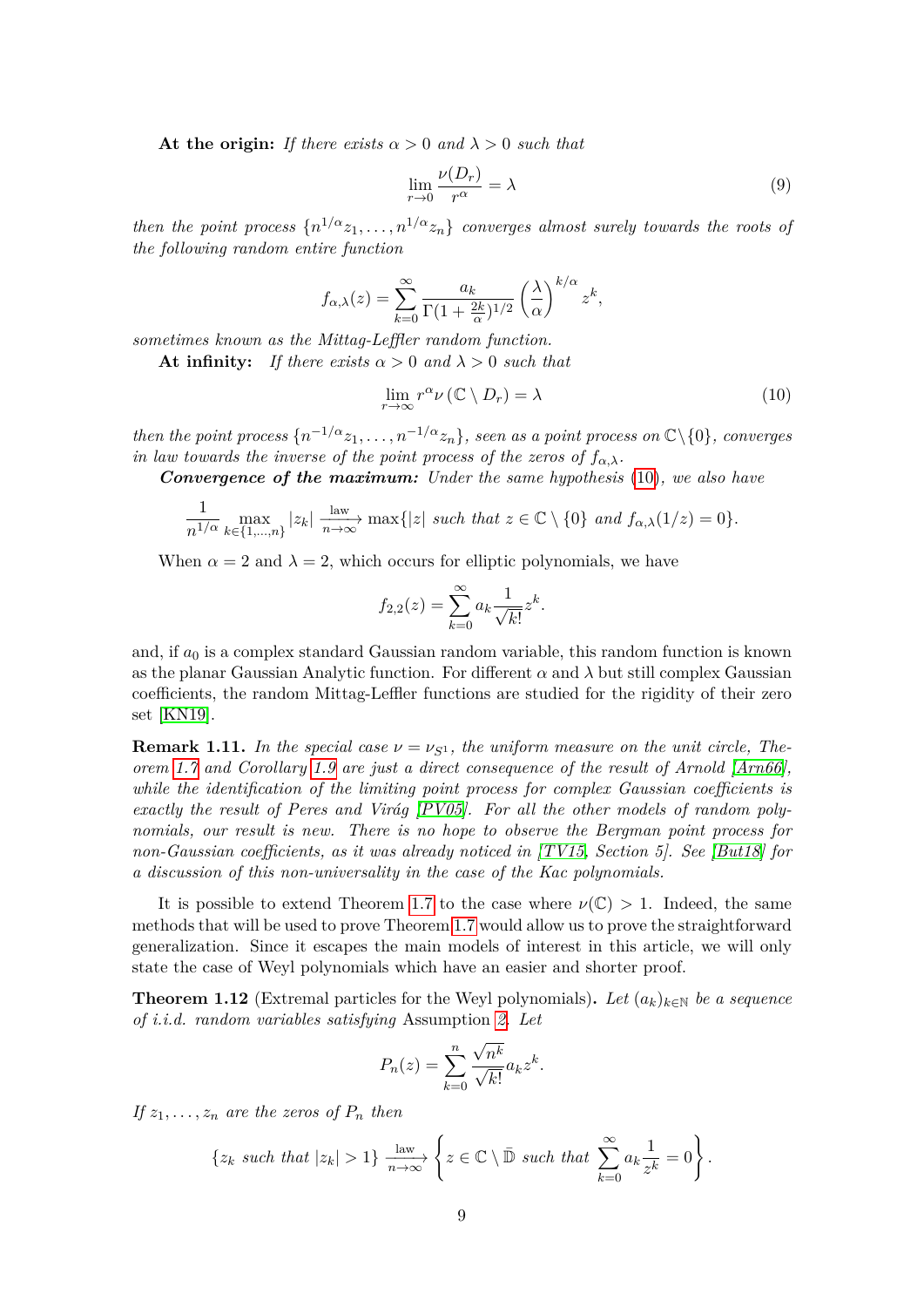**At the origin:** *If there exists*  $\alpha > 0$  *and*  $\lambda > 0$  *such that* 

<span id="page-8-2"></span>
$$
\lim_{r \to 0} \frac{\nu(D_r)}{r^{\alpha}} = \lambda \tag{9}
$$

*then the point process*  $\{n^{1/\alpha}z_1, \ldots, n^{1/\alpha}z_n\}$  *converges almost surely towards the roots of the following random entire function*

$$
f_{\alpha,\lambda}(z) = \sum_{k=0}^{\infty} \frac{a_k}{\Gamma(1 + \frac{2k}{\alpha})^{1/2}} \left(\frac{\lambda}{\alpha}\right)^{k/\alpha} z^k,
$$

*sometimes known as the Mittag-Leffler random function.*

**At infinity:** *If there exists*  $\alpha > 0$  *and*  $\lambda > 0$  *such that* 

<span id="page-8-1"></span>
$$
\lim_{r \to \infty} r^{\alpha} \nu \left( \mathbb{C} \setminus D_r \right) = \lambda \tag{10}
$$

*then the point process*  $\{n^{-1/\alpha}z_1, \ldots, n^{-1/\alpha}z_n\}$ *, seen as a point process on*  $\mathbb{C}\setminus\{0\}$ *, converges in law towards the inverse of the point process of the zeros of*  $f_{\alpha,\lambda}$ *.* 

*Convergence of the maximum: Under the same hypothesis* [\(10\)](#page-8-1)*, we also have*

$$
\frac{1}{n^{1/\alpha}}\max_{k\in\{1,\ldots,n\}}|z_k|\xrightarrow[n\to\infty]{\text{law}}\max\{|z|\text{ such that }z\in\mathbb{C}\setminus\{0\}\text{ and }f_{\alpha,\lambda}(1/z)=0\}.
$$

When  $\alpha = 2$  and  $\lambda = 2$ , which occurs for elliptic polynomials, we have

$$
f_{2,2}(z) = \sum_{k=0}^{\infty} a_k \frac{1}{\sqrt{k!}} z^k.
$$

and, if *a*<sup>0</sup> is a complex standard Gaussian random variable, this random function is known as the planar Gaussian Analytic function. For different  $\alpha$  and  $\lambda$  but still complex Gaussian coefficients, the random Mittag-Leffler functions are studied for the rigidity of their zero set [\[KN19\]](#page-34-6).

**Remark 1.11.** In the special case  $\nu = \nu_{S^1}$ , the uniform measure on the unit circle, The*orem [1.7](#page-6-0) and Corollary [1.9](#page-7-1) are just a direct consequence of the result of Arnold [\[Arn66\]](#page-33-7), while the identification of the limiting point process for complex Gaussian coefficients is exactly the result of Peres and Virág [\[PV05\]](#page-34-4). For all the other models of random polynomials, our result is new. There is no hope to observe the Bergman point process for non-Gaussian coefficients, as it was already noticed in [\[TV15,](#page-35-3) Section 5]. See [\[But18\]](#page-33-8) for a discussion of this non-universality in the case of the Kac polynomials.*

It is possible to extend Theorem [1.7](#page-6-0) to the case where  $\nu(\mathbb{C}) > 1$ . Indeed, the same methods that will be used to prove Theorem [1.7](#page-6-0) would allow us to prove the straightforward generalization. Since it escapes the main models of interest in this article, we will only state the case of Weyl polynomials which have an easier and shorter proof.

<span id="page-8-0"></span>**Theorem 1.12** (Extremal particles for the Weyl polynomials). Let  $(a_k)_{k \in \mathbb{N}}$  be a sequence *of i.i.d. random variables satisfying* Assumption *[2.](#page-1-3) Let*

$$
P_n(z) = \sum_{k=0}^n \frac{\sqrt{n^k}}{\sqrt{k!}} a_k z^k.
$$

*If*  $z_1, \ldots, z_n$  *are the zeros of*  $P_n$  *then* 

$$
\{z_k \text{ such that } |z_k| > 1\} \xrightarrow[n \to \infty]{\text{law}} \left\{ z \in \mathbb{C} \setminus \overline{\mathbb{D}} \text{ such that } \sum_{k=0}^{\infty} a_k \frac{1}{z^k} = 0 \right\}.
$$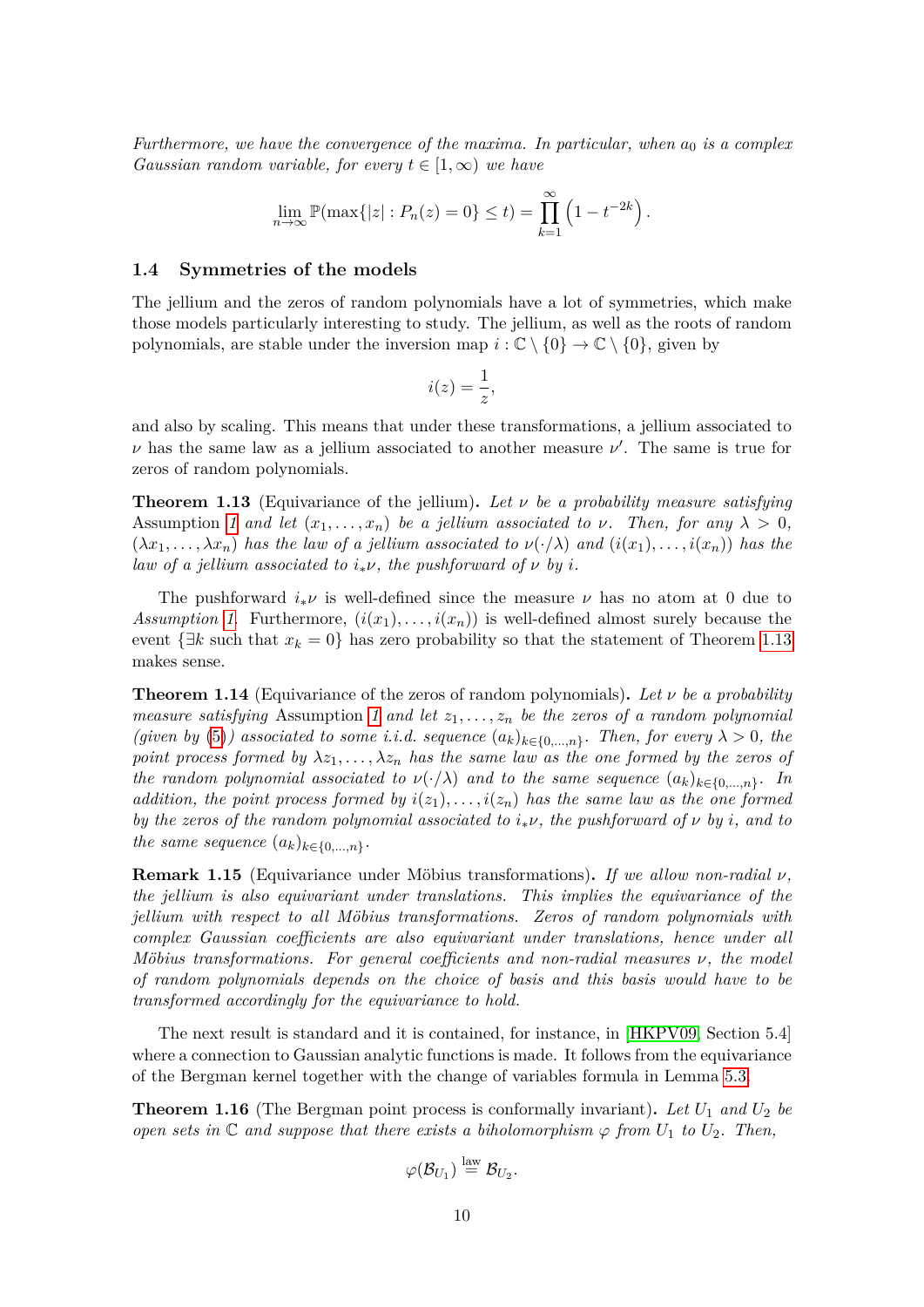*Furthermore, we have the convergence of the maxima. In particular, when*  $a_0$  *is a complex Gaussian random variable, for every*  $t \in [1, \infty)$  *we have* 

$$
\lim_{n \to \infty} \mathbb{P}(\max\{|z| : P_n(z) = 0\} \le t) = \prod_{k=1}^{\infty} \left(1 - t^{-2k}\right).
$$

#### **1.4 Symmetries of the models**

The jellium and the zeros of random polynomials have a lot of symmetries, which make those models particularly interesting to study. The jellium, as well as the roots of random polynomials, are stable under the inversion map  $i : \mathbb{C} \setminus \{0\} \to \mathbb{C} \setminus \{0\}$ , given by

$$
i(z) = \frac{1}{z},
$$

and also by scaling. This means that under these transformations, a jellium associated to *ν* has the same law as a jellium associated to another measure  $\nu'$ . The same is true for zeros of random polynomials.

<span id="page-9-0"></span>**Theorem 1.13** (Equivariance of the jellium)**.** *Let ν be a probability measure satisfying* Assumption *[1](#page-1-2)* and let  $(x_1, \ldots, x_n)$  be a jellium associated to  $\nu$ . Then, for any  $\lambda > 0$ ,  $(\lambda x_1, \ldots, \lambda x_n)$  has the law of a jellium associated to  $\nu(\cdot/\lambda)$  and  $(i(x_1), \ldots, i(x_n))$  has the *law of a jellium associated to*  $i_*\nu$ *, the pushforward of*  $\nu$  *by i*.

The pushforward  $i_*\nu$  is well-defined since the measure  $\nu$  has no atom at 0 due to *Assumption [1](#page-1-2).* Furthermore,  $(i(x_1), \ldots, i(x_n))$  is well-defined almost surely because the event  $\{\exists k \text{ such that } x_k = 0\}$  has zero probability so that the statement of Theorem [1.13](#page-9-0) makes sense.

<span id="page-9-2"></span>**Theorem 1.14** (Equivariance of the zeros of random polynomials)**.** *Let ν be a probability measure satisfying* Assumption [1](#page-1-2) and let  $z_1, \ldots, z_n$  be the zeros of a random polynomial *(given by* [\(5\)](#page-1-1)*)* associated to some *i.i.d.* sequence  $(a_k)_{k \in \{0,\ldots,n\}}$ . Then, for every  $\lambda > 0$ , the *point process formed by*  $\lambda z_1, \ldots, \lambda z_n$  *has the same law as the one formed by the zeros of the random polynomial associated to*  $\nu(\cdot/\lambda)$  *and to the same sequence*  $(a_k)_{k \in \{0,\ldots,n\}}$ . In *addition, the point process formed by*  $i(z_1), \ldots, i(z_n)$  *has the same law as the one formed by the zeros of the random polynomial associated to*  $i_*\nu$ *, the pushforward of*  $\nu$  *by i, and to the same sequence*  $(a_k)_{k \in \{0,\ldots,n\}}$ *.* 

**Remark 1.15** (Equivariance under Möbius transformations)**.** *If we allow non-radial ν, the jellium is also equivariant under translations. This implies the equivariance of the jellium with respect to all Möbius transformations. Zeros of random polynomials with complex Gaussian coefficients are also equivariant under translations, hence under all Möbius transformations. For general coefficients and non-radial measures ν, the model of random polynomials depends on the choice of basis and this basis would have to be transformed accordingly for the equivariance to hold.*

The next result is standard and it is contained, for instance, in [\[HKPV09,](#page-34-0) Section 5.4] where a connection to Gaussian analytic functions is made. It follows from the equivariance of the Bergman kernel together with the change of variables formula in Lemma [5.3.](#page-32-0)

<span id="page-9-1"></span>**Theorem 1.16** (The Bergman point process is conformally invariant)**.** *Let U*<sup>1</sup> *and U*<sup>2</sup> *be open sets in*  $\mathbb{C}$  *and suppose that there exists a biholomorphism*  $\varphi$  *from*  $U_1$  *to*  $U_2$ *. Then,* 

$$
\varphi(\mathcal{B}_{U_1})\stackrel{\text{law}}{=}\mathcal{B}_{U_2}.
$$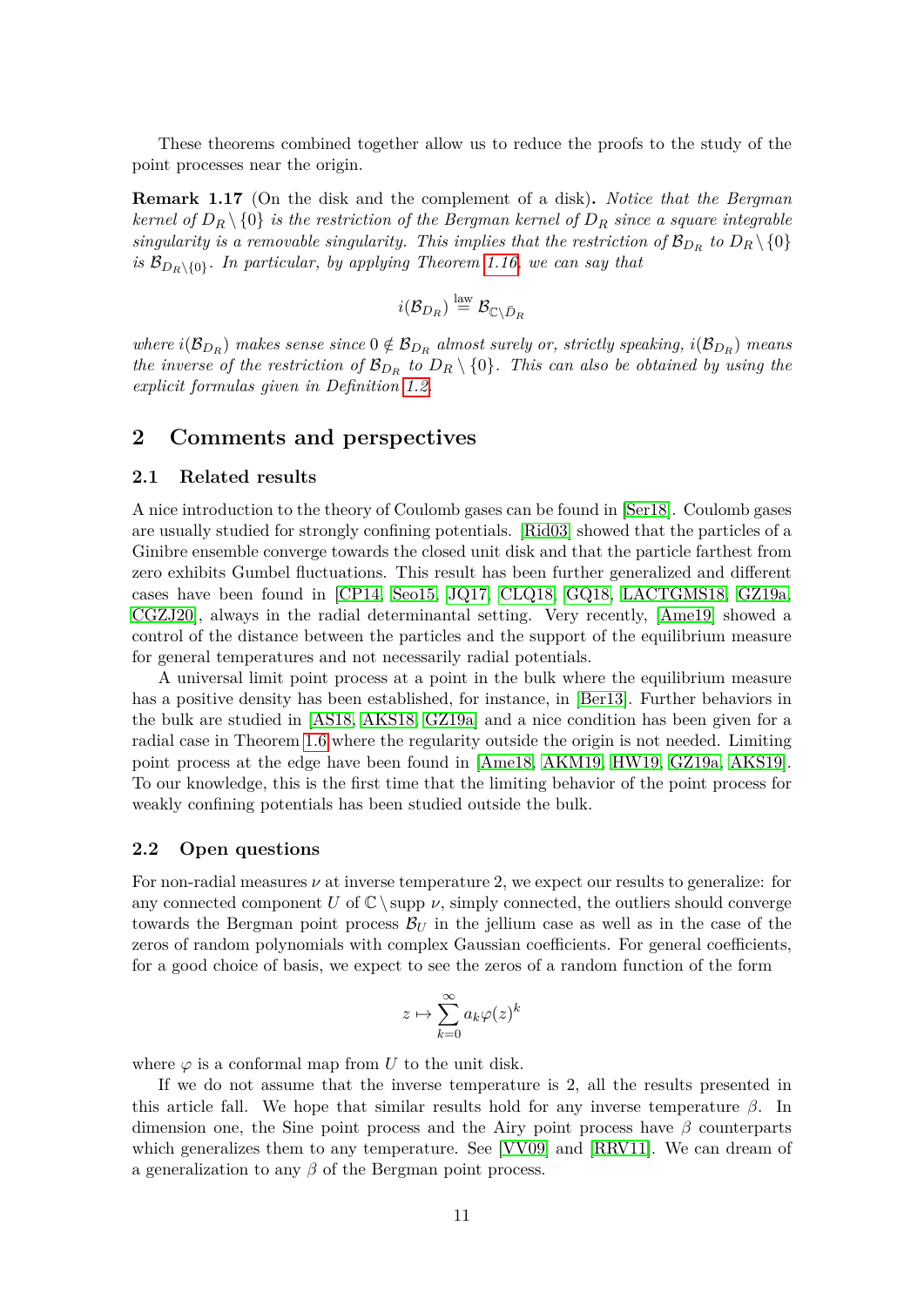These theorems combined together allow us to reduce the proofs to the study of the point processes near the origin.

<span id="page-10-0"></span>**Remark 1.17** (On the disk and the complement of a disk)**.** *Notice that the Bergman kernel of*  $D_R \setminus \{0\}$  *is the restriction of the Bergman kernel of*  $D_R$  *since a square integrable singularity is a removable singularity. This implies that the restriction of*  $B_{D_R}$  to  $D_R \setminus \{0\}$ *is*  $\mathcal{B}_{D_R \setminus \{0\}}$ *. In particular, by applying Theorem [1.16,](#page-9-1) we can say that* 

$$
i(\mathcal{B}_{D_R}) \stackrel{\text{law}}{=} \mathcal{B}_{\mathbb{C}\setminus \bar{D}_R}
$$

 $where \ i(\mathcal{B}_{D_R})$  makes sense since  $0 \notin \mathcal{B}_{D_R}$  almost surely or, strictly speaking,  $i(\mathcal{B}_{D_R})$  means *the inverse of the restriction of*  $\mathcal{B}_{D_R}$  *to*  $D_R \setminus \{0\}$ *. This can also be obtained by using the explicit formulas given in Definition [1.2.](#page-3-2)*

## **2 Comments and perspectives**

#### **2.1 Related results**

A nice introduction to the theory of Coulomb gases can be found in [\[Ser18\]](#page-35-4). Coulomb gases are usually studied for strongly confining potentials. [\[Rid03\]](#page-34-7) showed that the particles of a Ginibre ensemble converge towards the closed unit disk and that the particle farthest from zero exhibits Gumbel fluctuations. This result has been further generalized and different cases have been found in [\[CP14,](#page-33-5) [Seo15,](#page-34-8) [JQ17,](#page-34-5) [CLQ18,](#page-33-9) [GQ18,](#page-33-10) [LACTGMS18,](#page-34-9) [GZ19a,](#page-33-6) [CGZJ20\]](#page-33-0), always in the radial determinantal setting. Very recently, [\[Ame19\]](#page-32-1) showed a control of the distance between the particles and the support of the equilibrium measure for general temperatures and not necessarily radial potentials.

A universal limit point process at a point in the bulk where the equilibrium measure has a positive density has been established, for instance, in [\[Ber13\]](#page-33-11). Further behaviors in the bulk are studied in [\[AS18,](#page-33-12) [AKS18,](#page-32-2) [GZ19a\]](#page-33-6) and a nice condition has been given for a radial case in Theorem [1.6](#page-5-2) where the regularity outside the origin is not needed. Limiting point process at the edge have been found in [\[Ame18,](#page-32-3) [AKM19,](#page-32-4) [HW19,](#page-34-10) [GZ19a,](#page-33-6) [AKS19\]](#page-32-5). To our knowledge, this is the first time that the limiting behavior of the point process for weakly confining potentials has been studied outside the bulk.

#### **2.2 Open questions**

For non-radial measures *ν* at inverse temperature 2, we expect our results to generalize: for any connected component *U* of  $\mathbb{C} \setminus \text{supp } \nu$ , simply connected, the outliers should converge towards the Bergman point process  $B_U$  in the jellium case as well as in the case of the zeros of random polynomials with complex Gaussian coefficients. For general coefficients, for a good choice of basis, we expect to see the zeros of a random function of the form

$$
z\mapsto \sum_{k=0}^\infty a_k\varphi(z)^k
$$

where  $\varphi$  is a conformal map from U to the unit disk.

If we do not assume that the inverse temperature is 2, all the results presented in this article fall. We hope that similar results hold for any inverse temperature  $\beta$ . In dimension one, the Sine point process and the Airy point process have *β* counterparts which generalizes them to any temperature. See [\[VV09\]](#page-35-5) and [\[RRV11\]](#page-34-11). We can dream of a generalization to any *β* of the Bergman point process.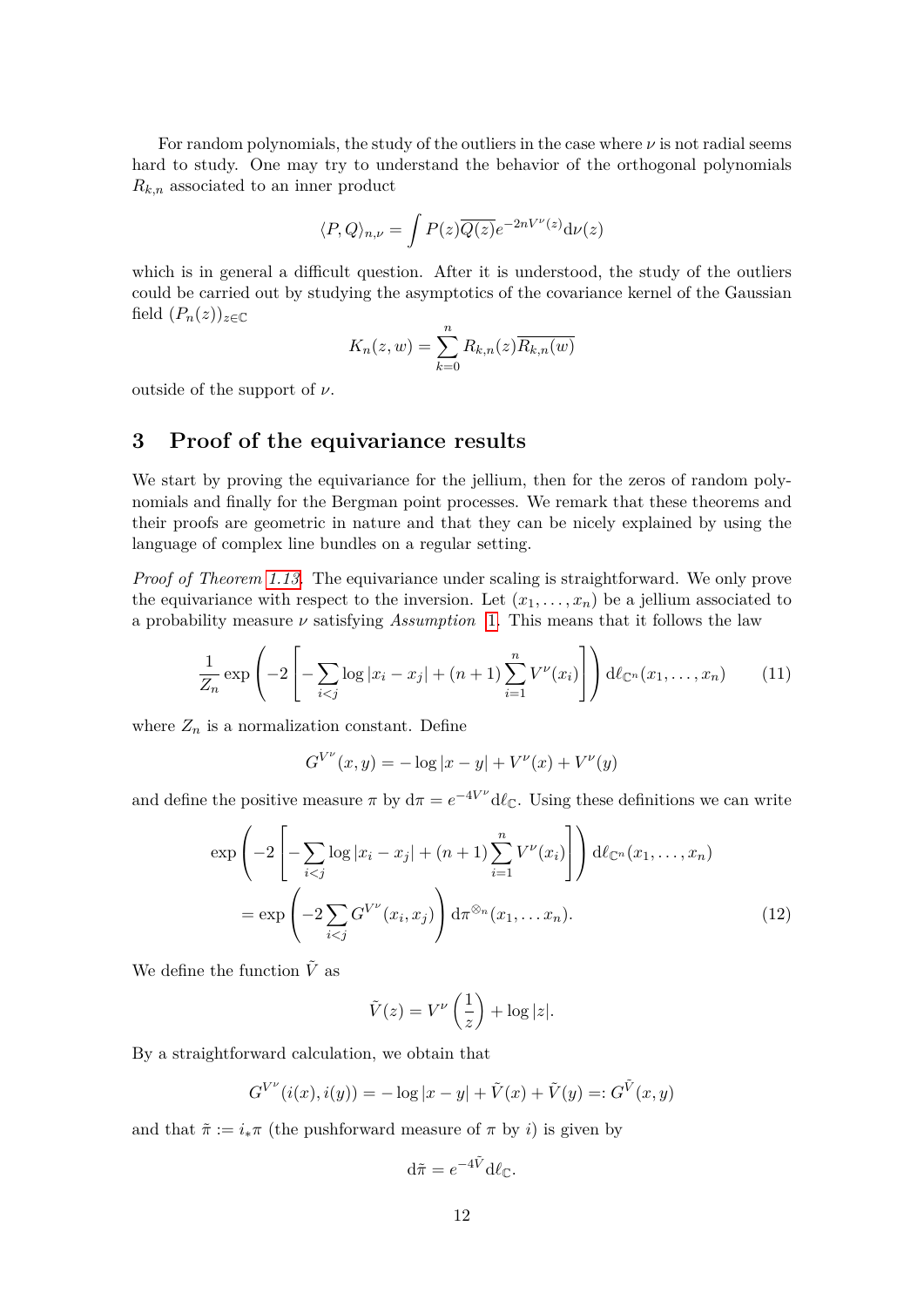For random polynomials, the study of the outliers in the case where  $\nu$  is not radial seems hard to study. One may try to understand the behavior of the orthogonal polynomials *Rk,n* associated to an inner product

$$
\langle P, Q \rangle_{n,\nu} = \int P(z) \overline{Q(z)} e^{-2nV^{\nu}(z)} d\nu(z)
$$

which is in general a difficult question. After it is understood, the study of the outliers could be carried out by studying the asymptotics of the covariance kernel of the Gaussian field  $(P_n(z))_{z \in \mathbb{C}}$ 

$$
K_n(z, w) = \sum_{k=0}^n R_{k,n}(z) \overline{R_{k,n}(w)}
$$

outside of the support of *ν*.

# **3 Proof of the equivariance results**

We start by proving the equivariance for the jellium, then for the zeros of random polynomials and finally for the Bergman point processes. We remark that these theorems and their proofs are geometric in nature and that they can be nicely explained by using the language of complex line bundles on a regular setting.

*Proof of Theorem [1.13.](#page-9-0)* The equivariance under scaling is straightforward. We only prove the equivariance with respect to the inversion. Let  $(x_1, \ldots, x_n)$  be a jellium associated to a probability measure *ν* satisfying *Assumption* [1.](#page-1-2) This means that it follows the law

$$
\frac{1}{Z_n} \exp\left(-2\left[-\sum_{i < j} \log|x_i - x_j| + (n+1)\sum_{i=1}^n V^\nu(x_i)\right]\right) d\ell_{\mathbb{C}^n}(x_1, \dots, x_n) \tag{11}
$$

where  $Z_n$  is a normalization constant. Define

$$
G^{V^{\nu}}(x, y) = -\log|x - y| + V^{\nu}(x) + V^{\nu}(y)
$$

and define the positive measure  $\pi$  by  $d\pi = e^{-4V^{\nu}} d\ell_{\mathbb{C}}$ . Using these definitions we can write

$$
\exp\left(-2\left[-\sum_{i
$$
=\exp\left(-2\sum_{i
$$
$$

We define the function  $\tilde{V}$  as

<span id="page-11-0"></span>
$$
\tilde{V}(z) = V^{\nu}\left(\frac{1}{z}\right) + \log|z|.
$$

By a straightforward calculation, we obtain that

$$
G^{V^{\nu}}(i(x), i(y)) = -\log|x - y| + \tilde{V}(x) + \tilde{V}(y) =: G^{\tilde{V}}(x, y)
$$

and that  $\tilde{\pi} := i_* \pi$  (the pushforward measure of  $\pi$  by *i*) is given by

$$
\mathrm{d}\tilde{\pi} = e^{-4\tilde{V}} \mathrm{d}\ell_{\mathbb{C}}.
$$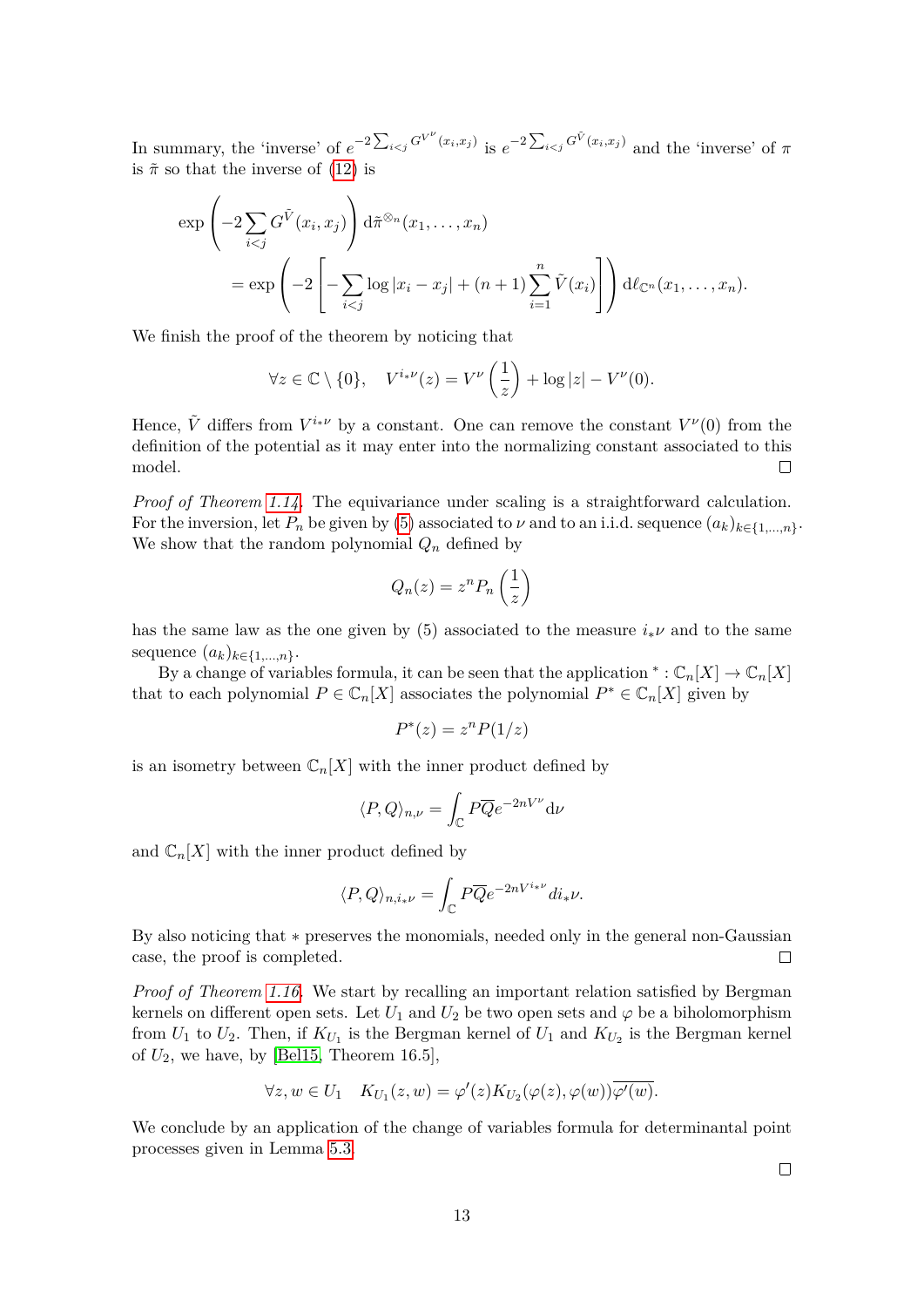In summary, the 'inverse' of  $e^{-2\sum_{i is  $e^{-2\sum_{i and the 'inverse' of  $\pi$$$ is  $\tilde{\pi}$  so that the inverse of [\(12\)](#page-11-0) is

$$
\exp\left(-2\sum_{i  
= 
$$
\exp\left(-2\left[-\sum_{i
$$
$$

We finish the proof of the theorem by noticing that

$$
\forall z \in \mathbb{C} \setminus \{0\}, \quad V^{i_{\ast}\nu}(z) = V^{\nu}\left(\frac{1}{z}\right) + \log|z| - V^{\nu}(0).
$$

Hence,  $\tilde{V}$  differs from  $V^{i_{*}\nu}$  by a constant. One can remove the constant  $V^{\nu}(0)$  from the definition of the potential as it may enter into the normalizing constant associated to this model.  $\Box$ 

*Proof of Theorem [1.14.](#page-9-2)* The equivariance under scaling is a straightforward calculation. For the inversion, let  $P_n$  be given by [\(5\)](#page-1-1) associated to  $\nu$  and to an i.i.d. sequence  $(a_k)_{k \in \{1,\ldots,n\}}$ . We show that the random polynomial *Q<sup>n</sup>* defined by

$$
Q_n(z) = z^n P_n\left(\frac{1}{z}\right)
$$

has the same law as the one given by  $(5)$  associated to the measure  $i_*\nu$  and to the same sequence  $(a_k)_{k \in \{1,\ldots,n\}}$ .

By a change of variables formula, it can be seen that the application  ${}^*:\mathbb{C}_n[X] \to \mathbb{C}_n[X]$ that to each polynomial  $P \in \mathbb{C}_n[X]$  associates the polynomial  $P^* \in \mathbb{C}_n[X]$  given by

$$
P^*(z) = z^n P(1/z)
$$

is an isometry between  $\mathbb{C}_n[X]$  with the inner product defined by

$$
\langle P, Q \rangle_{n,\nu} = \int_{\mathbb{C}} P \overline{Q} e^{-2nV^{\nu}} d\nu
$$

and  $\mathbb{C}_n[X]$  with the inner product defined by

$$
\langle P,Q\rangle_{n,i_{\ast}\nu}=\int_{\mathbb{C}}P\overline{Q}e^{-2nV^{i_{\ast}\nu}}di_{\ast}\nu.
$$

By also noticing that ∗ preserves the monomials, needed only in the general non-Gaussian case, the proof is completed.  $\Box$ 

*Proof of Theorem [1.16.](#page-9-1)* We start by recalling an important relation satisfied by Bergman kernels on different open sets. Let  $U_1$  and  $U_2$  be two open sets and  $\varphi$  be a biholomorphism from  $U_1$  to  $U_2$ . Then, if  $K_{U_1}$  is the Bergman kernel of  $U_1$  and  $K_{U_2}$  is the Bergman kernel of  $U_2$ , we have, by [\[Bel15,](#page-33-4) Theorem 16.5],

$$
\forall z, w \in U_1 \quad K_{U_1}(z, w) = \varphi'(z) K_{U_2}(\varphi(z), \varphi(w)) \overline{\varphi'(w)}.
$$

We conclude by an application of the change of variables formula for determinantal point processes given in Lemma [5.3.](#page-32-0)

 $\Box$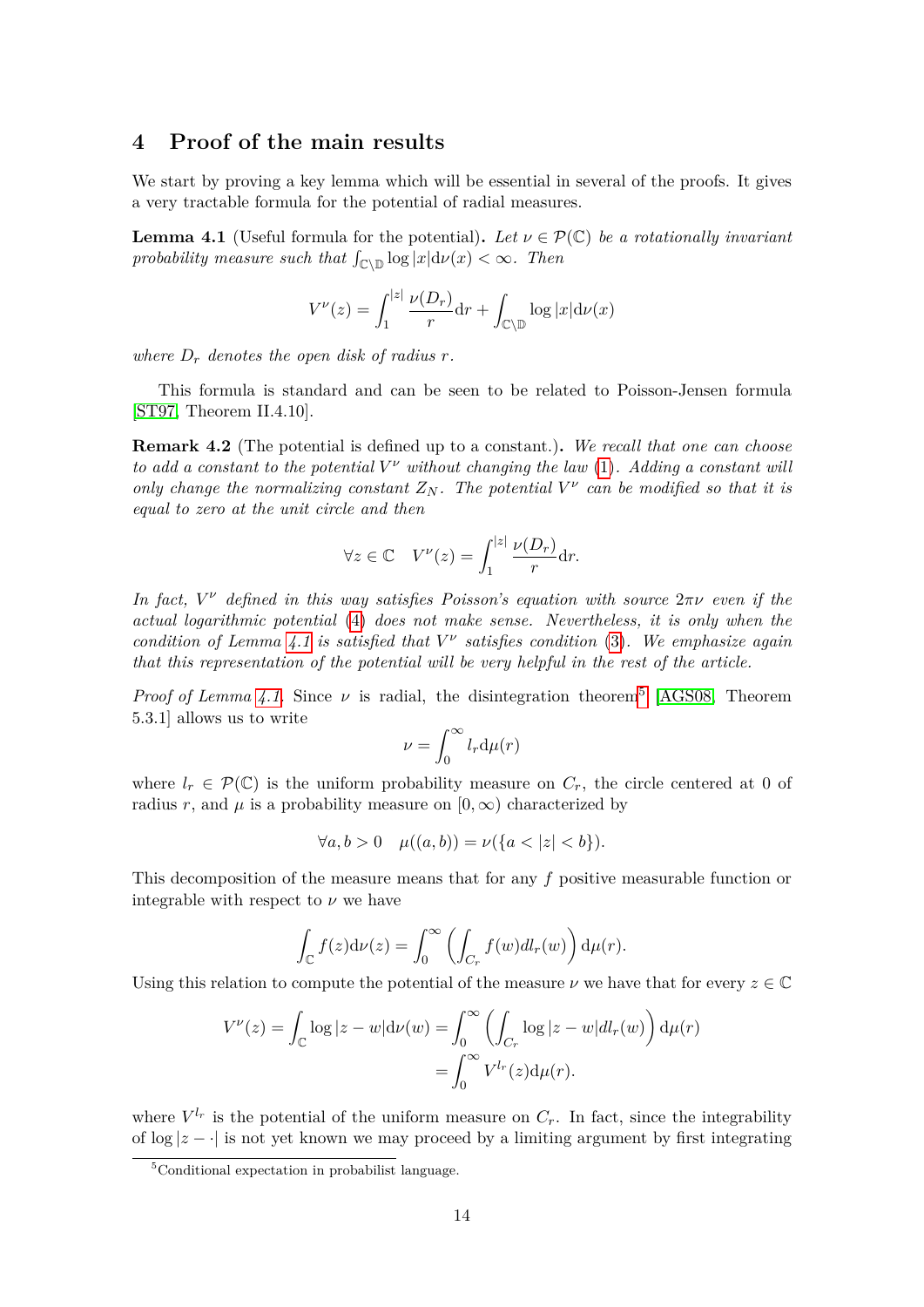# **4 Proof of the main results**

We start by proving a key lemma which will be essential in several of the proofs. It gives a very tractable formula for the potential of radial measures.

<span id="page-13-0"></span>**Lemma 4.1** (Useful formula for the potential). Let  $\nu \in \mathcal{P}(\mathbb{C})$  be a rotationally invariant *probability measure such that*  $\int_{\mathbb{C}\setminus\mathbb{D}} \log |x| d\nu(x) < \infty$ . Then

$$
V^{\nu}(z) = \int_1^{|z|} \frac{\nu(D_r)}{r} dr + \int_{\mathbb{C}\setminus\mathbb{D}} \log |x| d\nu(x)
$$

where  $D_r$  denotes the open disk of radius  $r$ .

This formula is standard and can be seen to be related to Poisson-Jensen formula [\[ST97,](#page-35-0) Theorem II.4.10].

<span id="page-13-2"></span>**Remark 4.2** (The potential is defined up to a constant.)**.** *We recall that one can choose to add a constant to the potential*  $V^{\nu}$  *without changing the law* [\(1\)](#page-0-0). Adding a constant will *only change the normalizing constant*  $Z_N$ . The potential  $V^{\nu}$  can be modified so that it is *equal to zero at the unit circle and then*

$$
\forall z \in \mathbb{C} \quad V^{\nu}(z) = \int_{1}^{|z|} \frac{\nu(D_r)}{r} dr.
$$

*In fact, V <sup>ν</sup> defined in this way satisfies Poisson's equation with source* 2*πν even if the actual logarithmic potential* [\(4\)](#page-1-4) *does not make sense. Nevertheless, it is only when the condition of Lemma [4.1](#page-13-0) is satisfied that V ν satisfies condition* [\(3\)](#page-1-0)*. We emphasize again that this representation of the potential will be very helpful in the rest of the article.*

*Proof of Lemma [4.1.](#page-13-0)* Since  $\nu$  is radial, the disintegration theorem<sup>[5](#page-13-1)</sup> [\[AGS08,](#page-32-6) Theorem 5.3.1] allows us to write

$$
\nu = \int_0^\infty l_r \mathrm{d}\mu(r)
$$

where  $l_r \in \mathcal{P}(\mathbb{C})$  is the uniform probability measure on  $C_r$ , the circle centered at 0 of radius *r*, and  $\mu$  is a probability measure on  $[0, \infty)$  characterized by

$$
\forall a, b > 0 \quad \mu((a, b)) = \nu(\{a < |z| < b\}).
$$

This decomposition of the measure means that for any *f* positive measurable function or integrable with respect to  $\nu$  we have

$$
\int_{\mathbb{C}} f(z) d\nu(z) = \int_0^{\infty} \left( \int_{C_r} f(w) dl_r(w) \right) d\mu(r).
$$

Using this relation to compute the potential of the measure  $\nu$  we have that for every  $z \in \mathbb{C}$ 

$$
V^{\nu}(z) = \int_{\mathbb{C}} \log |z - w| d\nu(w) = \int_{0}^{\infty} \left( \int_{C_r} \log |z - w| dl_r(w) \right) d\mu(r)
$$

$$
= \int_{0}^{\infty} V^{l_r}(z) d\mu(r).
$$

where  $V^{l_r}$  is the potential of the uniform measure on  $C_r$ . In fact, since the integrability of  $\log |z - \cdot|$  is not yet known we may proceed by a limiting argument by first integrating

<span id="page-13-1"></span><sup>5</sup>Conditional expectation in probabilist language.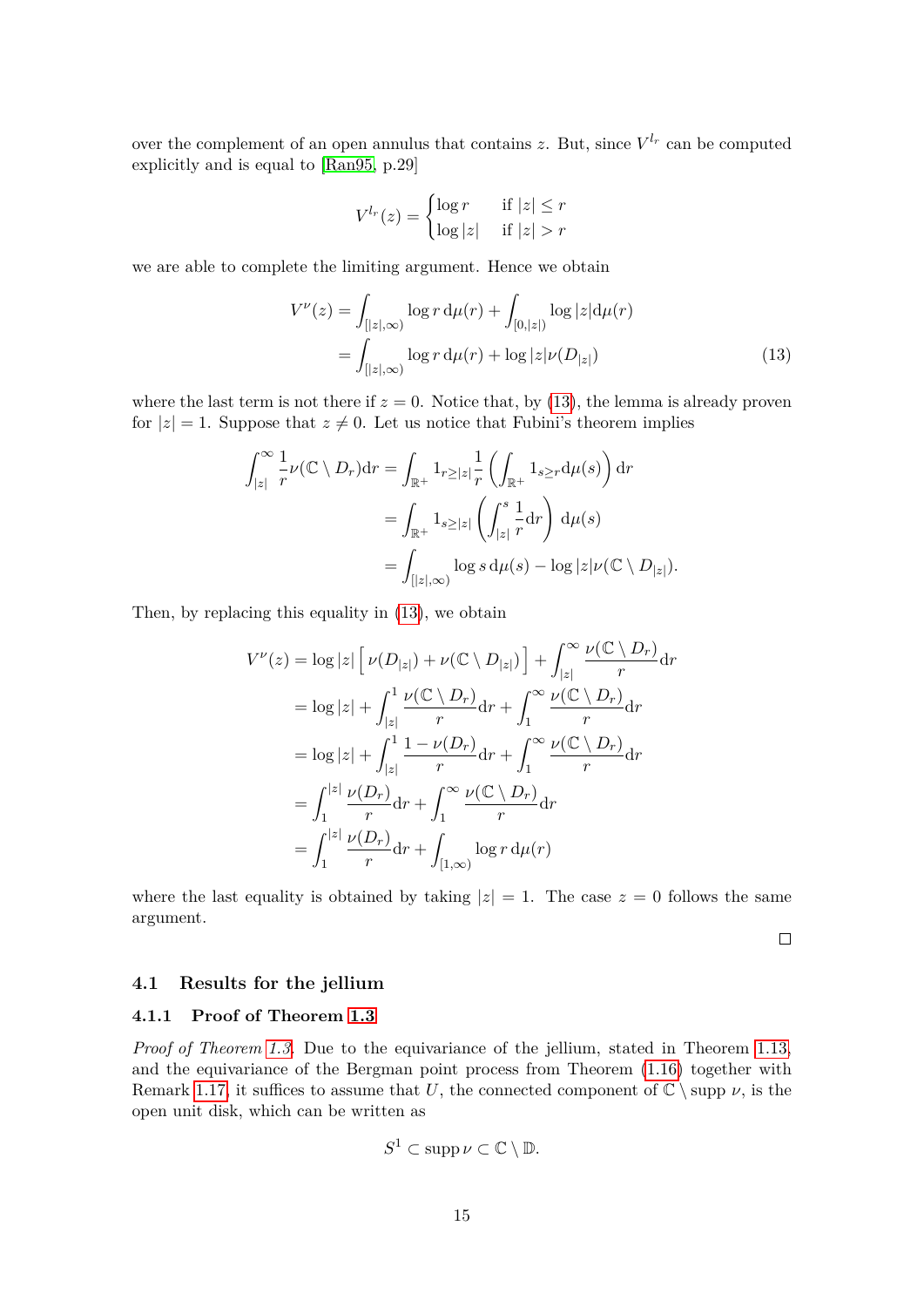over the complement of an open annulus that contains  $z$ . But, since  $V^{l_r}$  can be computed explicitly and is equal to [\[Ran95,](#page-34-12) p.29]

<span id="page-14-0"></span>
$$
V^{l_r}(z) = \begin{cases} \log r & \text{if } |z| \le r \\ \log |z| & \text{if } |z| > r \end{cases}
$$

we are able to complete the limiting argument. Hence we obtain

$$
V^{\nu}(z) = \int_{[|z|,\infty)} \log r \, d\mu(r) + \int_{[0,|z|)} \log |z| d\mu(r)
$$
  
= 
$$
\int_{[|z|,\infty)} \log r \, d\mu(r) + \log |z| \nu(D_{|z|})
$$
 (13)

where the last term is not there if  $z = 0$ . Notice that, by [\(13\)](#page-14-0), the lemma is already proven for  $|z|=1$ . Suppose that  $z\neq 0$ . Let us notice that Fubini's theorem implies

$$
\int_{|z|}^{\infty} \frac{1}{r} \nu(\mathbb{C} \setminus D_r) dr = \int_{\mathbb{R}^+} 1_{r \ge |z|} \frac{1}{r} \left( \int_{\mathbb{R}^+} 1_{s \ge r} d\mu(s) \right) dr
$$
  

$$
= \int_{\mathbb{R}^+} 1_{s \ge |z|} \left( \int_{|z|}^s \frac{1}{r} dr \right) d\mu(s)
$$
  

$$
= \int_{[|z|,\infty)} \log s d\mu(s) - \log |z| \nu(\mathbb{C} \setminus D_{|z|}).
$$

Then, by replacing this equality in [\(13\)](#page-14-0), we obtain

$$
V^{\nu}(z) = \log |z| \left[ \nu(D_{|z|}) + \nu(\mathbb{C} \setminus D_{|z|}) \right] + \int_{|z|}^{\infty} \frac{\nu(\mathbb{C} \setminus D_r)}{r} dr
$$
  
\n
$$
= \log |z| + \int_{|z|}^{1} \frac{\nu(\mathbb{C} \setminus D_r)}{r} dr + \int_{1}^{\infty} \frac{\nu(\mathbb{C} \setminus D_r)}{r} dr
$$
  
\n
$$
= \log |z| + \int_{|z|}^{1} \frac{1 - \nu(D_r)}{r} dr + \int_{1}^{\infty} \frac{\nu(\mathbb{C} \setminus D_r)}{r} dr
$$
  
\n
$$
= \int_{1}^{|z|} \frac{\nu(D_r)}{r} dr + \int_{1}^{\infty} \frac{\nu(\mathbb{C} \setminus D_r)}{r} dr
$$
  
\n
$$
= \int_{1}^{|z|} \frac{\nu(D_r)}{r} dr + \int_{[1,\infty)} \log r d\mu(r)
$$

where the last equality is obtained by taking  $|z| = 1$ . The case  $z = 0$  follows the same argument.

 $\Box$ 

#### **4.1 Results for the jellium**

## **4.1.1 Proof of Theorem [1.3](#page-4-1)**

*Proof of Theorem [1.3.](#page-4-1)* Due to the equivariance of the jellium, stated in Theorem [1.13,](#page-9-0) and the equivariance of the Bergman point process from Theorem [\(1.16\)](#page-9-1) together with Remark [1.17,](#page-10-0) it suffices to assume that *U*, the connected component of  $\mathbb{C} \setminus \text{supp } \nu$ , is the open unit disk, which can be written as

$$
S^1 \subset \mathrm{supp}\,\nu \subset \mathbb{C} \setminus \mathbb{D}.
$$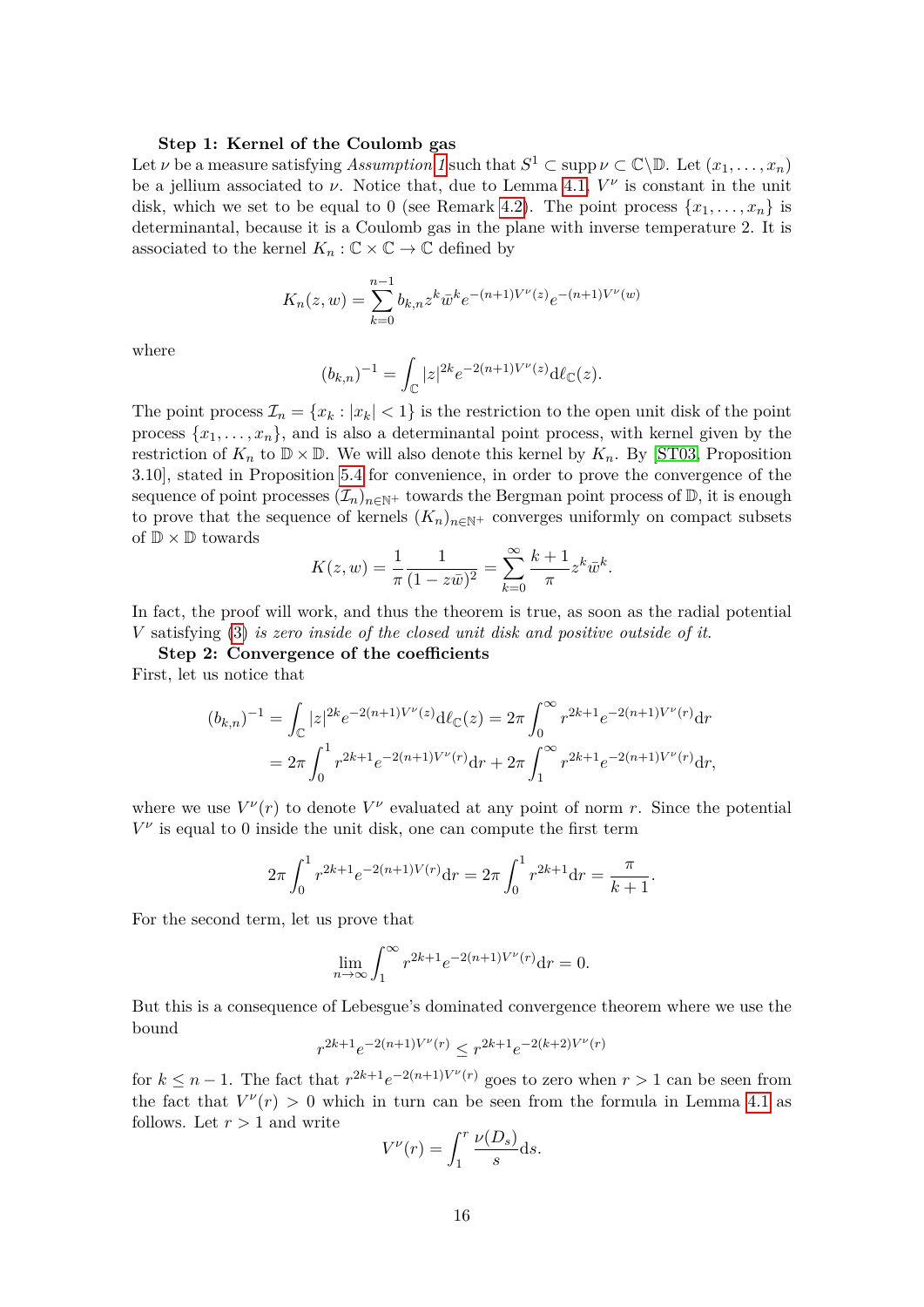#### **Step 1: Kernel of the Coulomb gas**

Let *ν* be a measure satisfying *Assumption* [1](#page-1-2) such that  $S^1 \subset \text{supp }\nu \subset \mathbb{C}\backslash \mathbb{D}$ . Let  $(x_1, \ldots, x_n)$ be a jellium associated to  $\nu$ . Notice that, due to Lemma [4.1,](#page-13-0)  $V^{\nu}$  is constant in the unit disk, which we set to be equal to 0 (see Remark [4.2\)](#page-13-2). The point process  $\{x_1, \ldots, x_n\}$  is determinantal, because it is a Coulomb gas in the plane with inverse temperature 2. It is associated to the kernel  $K_n : \mathbb{C} \times \mathbb{C} \to \mathbb{C}$  defined by

$$
K_n(z, w) = \sum_{k=0}^{n-1} b_{k,n} z^k \overline{w}^k e^{-(n+1)V^{\nu}(z)} e^{-(n+1)V^{\nu}(w)}
$$

where

$$
(b_{k,n})^{-1} = \int_{\mathbb{C}} |z|^{2k} e^{-2(n+1)V^{\nu}(z)} d\ell_{\mathbb{C}}(z).
$$

The point process  $\mathcal{I}_n = \{x_k : |x_k| < 1\}$  is the restriction to the open unit disk of the point process  $\{x_1, \ldots, x_n\}$ , and is also a determinantal point process, with kernel given by the restriction of  $K_n$  to  $\mathbb{D} \times \mathbb{D}$ . We will also denote this kernel by  $K_n$ . By [\[ST03,](#page-35-6) Proposition 3.10], stated in Proposition [5.4](#page-32-7) for convenience, in order to prove the convergence of the sequence of point processes  $(\mathcal{I}_n)_{n\in\mathbb{N}^+}$  towards the Bergman point process of  $\mathbb{D}$ , it is enough to prove that the sequence of kernels  $(K_n)_{n\in\mathbb{N}^+}$  converges uniformly on compact subsets of  $\mathbb{D} \times \mathbb{D}$  towards

$$
K(z, w) = \frac{1}{\pi} \frac{1}{(1 - z\bar{w})^2} = \sum_{k=0}^{\infty} \frac{k+1}{\pi} z^k \bar{w}^k.
$$

In fact, the proof will work, and thus the theorem is true, as soon as the radial potential *V* satisfying [\(3\)](#page-1-0) *is zero inside of the closed unit disk and positive outside of it*.

**Step 2: Convergence of the coefficients** First, let us notice that

$$
(b_{k,n})^{-1} = \int_{\mathbb{C}} |z|^{2k} e^{-2(n+1)V^{\nu}(z)} d\ell_{\mathbb{C}}(z) = 2\pi \int_{0}^{\infty} r^{2k+1} e^{-2(n+1)V^{\nu}(r)} dr
$$
  
=  $2\pi \int_{0}^{1} r^{2k+1} e^{-2(n+1)V^{\nu}(r)} dr + 2\pi \int_{1}^{\infty} r^{2k+1} e^{-2(n+1)V^{\nu}(r)} dr,$ 

where we use  $V^{\nu}(r)$  to denote  $V^{\nu}$  evaluated at any point of norm *r*. Since the potential  $V^{\nu}$  is equal to 0 inside the unit disk, one can compute the first term

$$
2\pi \int_0^1 r^{2k+1} e^{-2(n+1)V(r)} dr = 2\pi \int_0^1 r^{2k+1} dr = \frac{\pi}{k+1}.
$$

For the second term, let us prove that

$$
\lim_{n \to \infty} \int_1^{\infty} r^{2k+1} e^{-2(n+1)V^{\nu}(r)} dr = 0.
$$

But this is a consequence of Lebesgue's dominated convergence theorem where we use the bound

$$
r^{2k+1}e^{-2(n+1)V^{\nu}(r)}\leq r^{2k+1}e^{-2(k+2)V^{\nu}(r)}
$$

for  $k \leq n-1$ . The fact that  $r^{2k+1}e^{-2(n+1)V^{\nu}(r)}$  goes to zero when  $r > 1$  can be seen from the fact that  $V^{\nu}(r) > 0$  which in turn can be seen from the formula in Lemma [4.1](#page-13-0) as follows. Let  $r > 1$  and write

$$
V^{\nu}(r) = \int_1^r \frac{\nu(D_s)}{s} \mathrm{d}s.
$$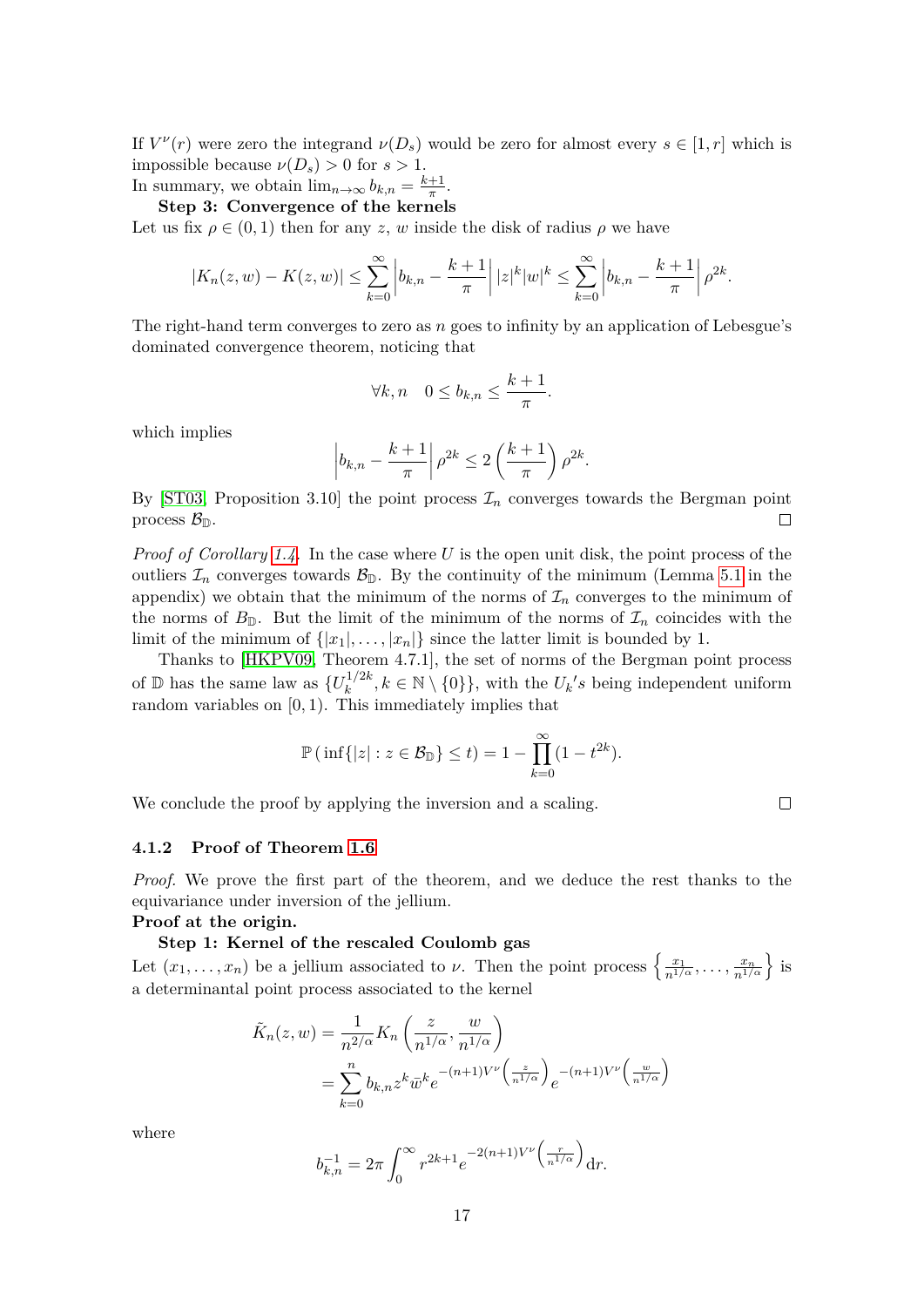If  $V^{\nu}(r)$  were zero the integrand  $\nu(D_s)$  would be zero for almost every  $s \in [1, r]$  which is impossible because  $\nu(D_s) > 0$  for  $s > 1$ . In summary, we obtain  $\lim_{n\to\infty} b_{k,n} = \frac{k+1}{\pi}$  $\frac{+1}{\pi}$ .

**Step 3: Convergence of the kernels**

Let us fix  $\rho \in (0,1)$  then for any *z*, *w* inside the disk of radius  $\rho$  we have

$$
|K_n(z, w) - K(z, w)| \le \sum_{k=0}^{\infty} \left| b_{k,n} - \frac{k+1}{\pi} \right| |z|^k |w|^k \le \sum_{k=0}^{\infty} \left| b_{k,n} - \frac{k+1}{\pi} \right| \rho^{2k}.
$$

The right-hand term converges to zero as *n* goes to infinity by an application of Lebesgue's dominated convergence theorem, noticing that

$$
\forall k,n \quad 0 \le b_{k,n} \le \frac{k+1}{\pi}.
$$

which implies

$$
\left|b_{k,n}-\frac{k+1}{\pi}\right|\rho^{2k}\leq 2\left(\frac{k+1}{\pi}\right)\rho^{2k}.
$$

By [\[ST03,](#page-35-6) Proposition 3.10] the point process  $\mathcal{I}_n$  converges towards the Bergman point process  $\mathcal{B}_{\mathbb{D}}$ .  $\Box$ 

*Proof of Corollary [1.4.](#page-4-3)* In the case where *U* is the open unit disk, the point process of the outliers  $\mathcal{I}_n$  converges towards  $\mathcal{B}_{\mathbb{D}}$ . By the continuity of the minimum (Lemma [5.1](#page-29-1) in the appendix) we obtain that the minimum of the norms of  $\mathcal{I}_n$  converges to the minimum of the norms of  $B_{\mathbb{D}}$ . But the limit of the minimum of the norms of  $\mathcal{I}_n$  coincides with the limit of the minimum of  $\{|x_1|, \ldots, |x_n|\}$  since the latter limit is bounded by 1.

Thanks to [\[HKPV09,](#page-34-0) Theorem 4.7.1], the set of norms of the Bergman point process of  $\mathbb{D}$  has the same law as  $\{U_k^{1/2k}\}$  $\{u_k^{(1/2k)}, k \in \mathbb{N} \setminus \{0\}\},\$  with the  $U_k$ 's being independent uniform random variables on [0*,* 1). This immediately implies that

$$
\mathbb{P}(\inf\{|z| : z \in \mathcal{B}_{\mathbb{D}}\} \le t) = 1 - \prod_{k=0}^{\infty} (1 - t^{2k}).
$$

We conclude the proof by applying the inversion and a scaling.

**4.1.2 Proof of Theorem [1.6](#page-5-2)**

*Proof.* We prove the first part of the theorem, and we deduce the rest thanks to the equivariance under inversion of the jellium.

**Proof at the origin.**

#### **Step 1: Kernel of the rescaled Coulomb gas**

Let  $(x_1, \ldots, x_n)$  be a jellium associated to *ν*. Then the point process  $\left\{\frac{x_1}{n^{1/\alpha}}, \ldots, \frac{x_n}{n^{1/\alpha}}\right\}$  is a determinantal point process associated to the kernel

$$
\tilde{K}_n(z, w) = \frac{1}{n^{2/\alpha}} K_n \left( \frac{z}{n^{1/\alpha}}, \frac{w}{n^{1/\alpha}} \right)
$$
  
= 
$$
\sum_{k=0}^n b_{k,n} z^k \bar{w}^k e^{-(n+1)V^{\nu} \left( \frac{z}{n^{1/\alpha}} \right)} e^{-(n+1)V^{\nu} \left( \frac{w}{n^{1/\alpha}} \right)}
$$

where

$$
b_{k,n}^{-1} = 2\pi \int_0^\infty r^{2k+1} e^{-2(n+1)V^{\nu}\left(\frac{r}{n^{1/\alpha}}\right)} dr.
$$

 $\Box$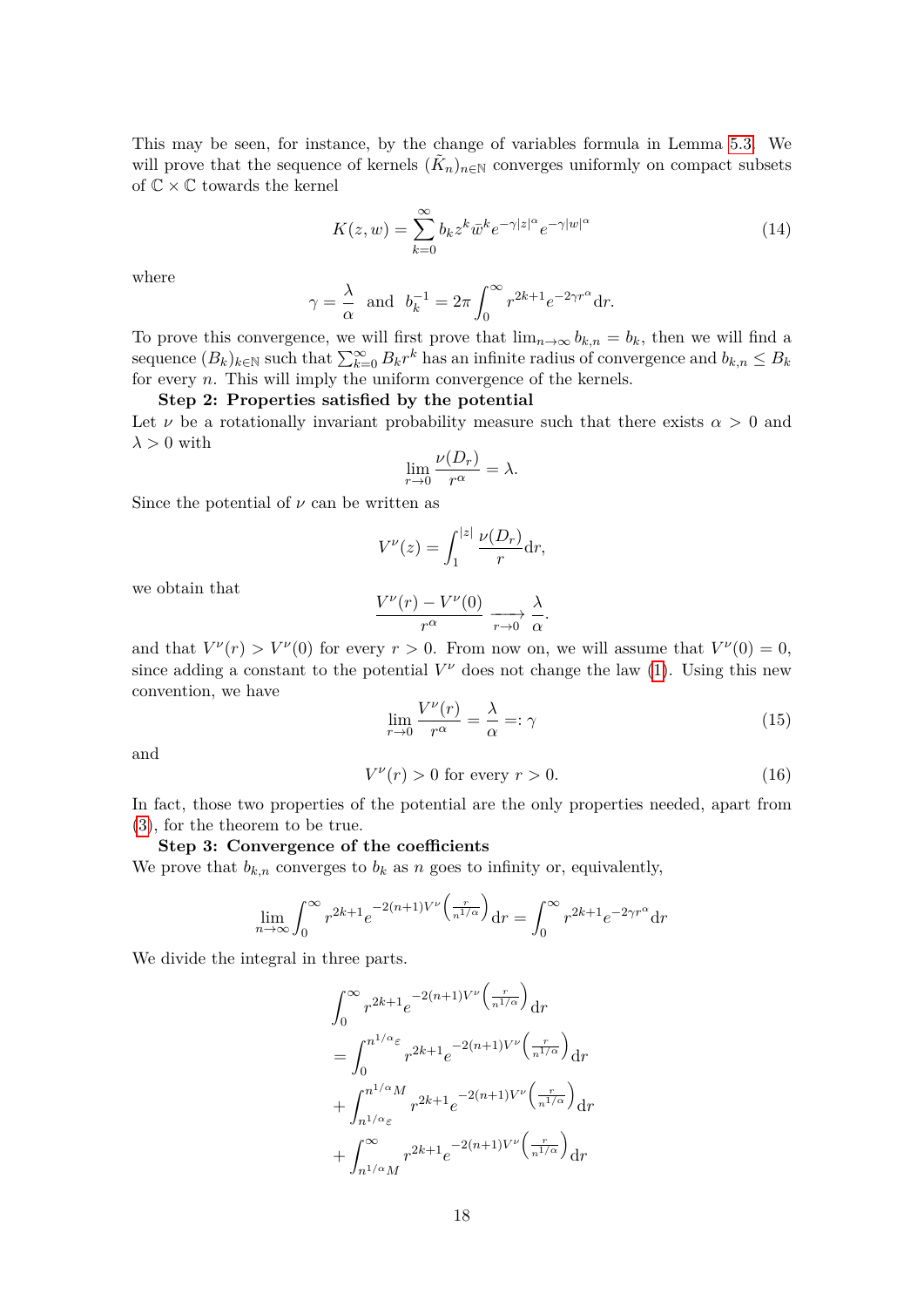This may be seen, for instance, by the change of variables formula in Lemma 5*.*[3.](#page-32-0) We will prove that the sequence of kernels  $(\tilde{K}_n)_{n\in\mathbb{N}}$  converges uniformly on compact subsets of  $\mathbb{C}\times\mathbb{C}$  towards the kernel

<span id="page-17-1"></span>
$$
K(z, w) = \sum_{k=0}^{\infty} b_k z^k \bar{w}^k e^{-\gamma |z|^\alpha} e^{-\gamma |w|^\alpha}
$$
 (14)

where

$$
\gamma = \frac{\lambda}{\alpha}
$$
 and  $b_k^{-1} = 2\pi \int_0^\infty r^{2k+1} e^{-2\gamma r^\alpha} dr$ .

To prove this convergence, we will first prove that  $\lim_{n\to\infty} b_{k,n} = b_k$ , then we will find a sequence  $(B_k)_{k\in\mathbb{N}}$  such that  $\sum_{k=0}^{\infty} B_k r^k$  has an infinite radius of convergence and  $b_{k,n} \leq B_k$ for every *n*. This will imply the uniform convergence of the kernels.

#### **Step 2: Properties satisfied by the potential**

Let  $\nu$  be a rotationally invariant probability measure such that there exists  $\alpha > 0$  and  $\lambda > 0$  with

$$
\lim_{r \to 0} \frac{\nu(D_r)}{r^{\alpha}} = \lambda.
$$

Since the potential of  $\nu$  can be written as

$$
V^{\nu}(z) = \int_1^{|z|} \frac{\nu(D_r)}{r} \mathrm{d}r,
$$

we obtain that

$$
\frac{V^{\nu}(r) - V^{\nu}(0)}{r^{\alpha}} \xrightarrow[r \to 0]{} \frac{\lambda}{\alpha}.
$$

and that  $V^{\nu}(r) > V^{\nu}(0)$  for every  $r > 0$ . From now on, we will assume that  $V^{\nu}(0) = 0$ , since adding a constant to the potential  $V^{\nu}$  does not change the law [\(1\)](#page-0-0). Using this new convention, we have

<span id="page-17-0"></span>
$$
\lim_{r \to 0} \frac{V^{\nu}(r)}{r^{\alpha}} = \frac{\lambda}{\alpha} =: \gamma \tag{15}
$$

and

$$
V^{\nu}(r) > 0 \text{ for every } r > 0. \tag{16}
$$

In fact, those two properties of the potential are the only properties needed, apart from [\(3\)](#page-1-0), for the theorem to be true.

## **Step 3: Convergence of the coefficients**

We prove that  $b_{k,n}$  converges to  $b_k$  as *n* goes to infinity or, equivalently,

$$
\lim_{n \to \infty} \int_0^\infty r^{2k+1} e^{-2(n+1)V^{\nu}\left(\frac{r}{n^{1/\alpha}}\right)} dr = \int_0^\infty r^{2k+1} e^{-2\gamma r^{\alpha}} dr
$$

We divide the integral in three parts.

$$
\int_0^\infty r^{2k+1} e^{-2(n+1)V^\nu \left(\frac{r}{n^{1/\alpha}}\right)} dr
$$
  
= 
$$
\int_0^{n^{1/\alpha} \varepsilon} r^{2k+1} e^{-2(n+1)V^\nu \left(\frac{r}{n^{1/\alpha}}\right)} dr
$$
  
+ 
$$
\int_{n^{1/\alpha} \varepsilon}^{n^{1/\alpha} M} r^{2k+1} e^{-2(n+1)V^\nu \left(\frac{r}{n^{1/\alpha}}\right)} dr
$$
  
+ 
$$
\int_{n^{1/\alpha} M}^\infty r^{2k+1} e^{-2(n+1)V^\nu \left(\frac{r}{n^{1/\alpha}}\right)} dr
$$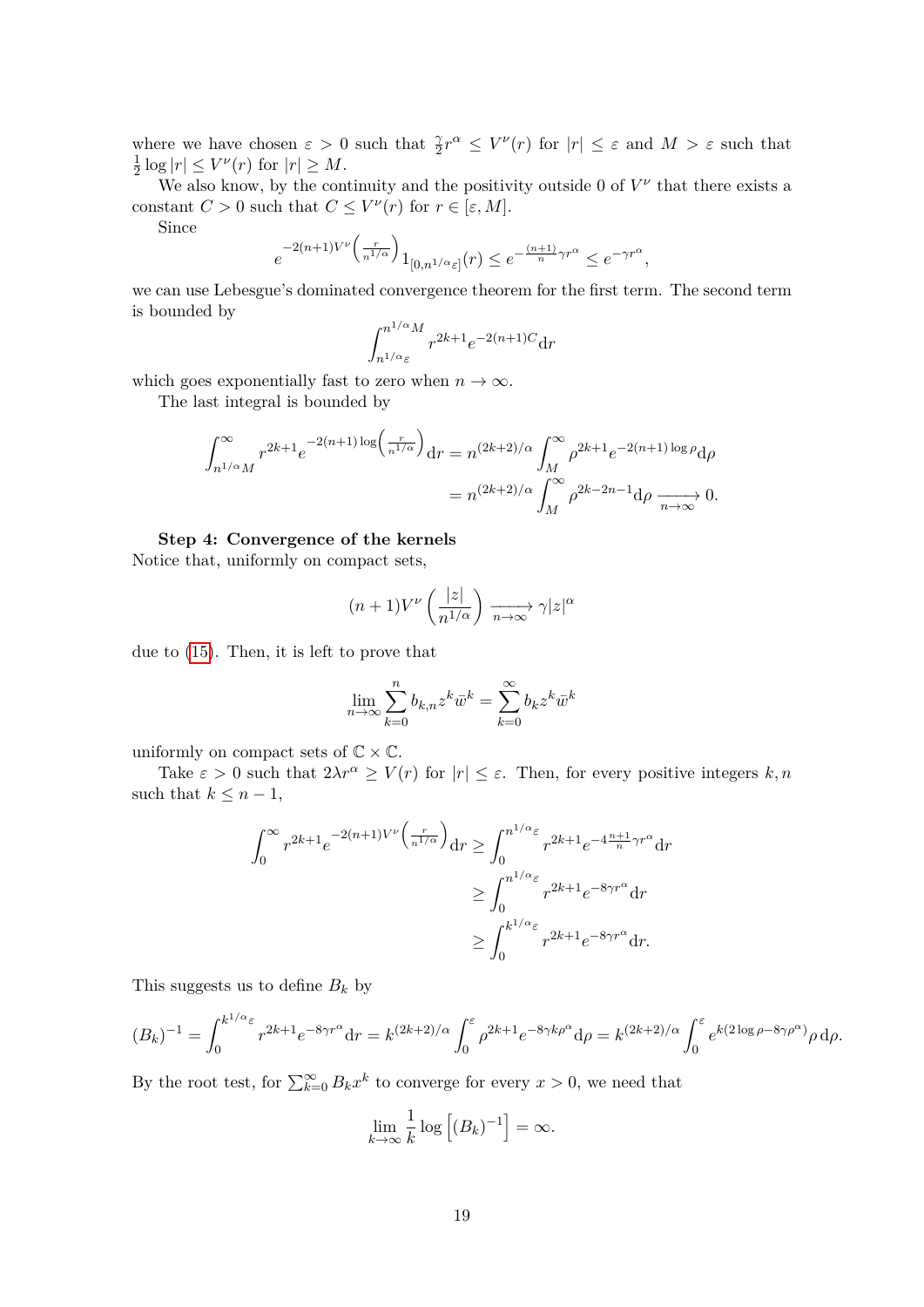where we have chosen  $\varepsilon > 0$  such that  $\frac{\gamma}{2}r^{\alpha} \leq V^{\nu}(r)$  for  $|r| \leq \varepsilon$  and  $M > \varepsilon$  such that 1  $\frac{1}{2}$  log  $|r| \leq V^{\nu}(r)$  for  $|r| \geq M$ .

We also know, by the continuity and the positivity outside 0 of  $V^{\nu}$  that there exists a constant  $C > 0$  such that  $C \leq V^{\nu}(r)$  for  $r \in [\varepsilon, M]$ .

Since

$$
e^{-2(n+1)V^{\nu}\left(\frac{r}{n^{1/\alpha}}\right)}1_{[0,n^{1/\alpha}\varepsilon]}(r) \leq e^{-\frac{(n+1)}{n}\gamma r^{\alpha}} \leq e^{-\gamma r^{\alpha}},
$$

we can use Lebesgue's dominated convergence theorem for the first term. The second term is bounded by

$$
\int_{n^{1/\alpha}\varepsilon}^{n^{1/\alpha}M} r^{2k+1} e^{-2(n+1)C} dr
$$

which goes exponentially fast to zero when  $n \to \infty$ .

The last integral is bounded by

$$
\int_{n^{1/\alpha}M}^{\infty} r^{2k+1} e^{-2(n+1)\log\left(\frac{r}{n^{1/\alpha}}\right)} dr = n^{(2k+2)/\alpha} \int_{M}^{\infty} \rho^{2k+1} e^{-2(n+1)\log\rho} d\rho
$$

$$
= n^{(2k+2)/\alpha} \int_{M}^{\infty} \rho^{2k-2n-1} d\rho \xrightarrow[n \to \infty]{} 0.
$$

#### **Step 4: Convergence of the kernels**

Notice that, uniformly on compact sets,

$$
(n+1)V^{\nu}\left(\frac{|z|}{n^{1/\alpha}}\right)\xrightarrow[n\to\infty]{}\gamma|z|^{\alpha}
$$

due to [\(15\)](#page-17-0). Then, it is left to prove that

$$
\lim_{n \to \infty} \sum_{k=0}^{n} b_{k,n} z^k \bar{w}^k = \sum_{k=0}^{\infty} b_k z^k \bar{w}^k
$$

uniformly on compact sets of  $\mathbb{C} \times \mathbb{C}$ .

Take  $\varepsilon > 0$  such that  $2\lambda r^{\alpha} \ge V(r)$  for  $|r| \le \varepsilon$ . Then, for every positive integers  $k, n$ such that  $k \leq n-1$ ,

$$
\int_0^\infty r^{2k+1} e^{-2(n+1)V^\nu \left(\frac{r}{n^{1/\alpha}}\right)} dr \ge \int_0^{n^{1/\alpha} \varepsilon} r^{2k+1} e^{-4\frac{n+1}{n}\gamma r^\alpha} dr
$$

$$
\ge \int_0^{n^{1/\alpha} \varepsilon} r^{2k+1} e^{-8\gamma r^\alpha} dr
$$

$$
\ge \int_0^{k^{1/\alpha} \varepsilon} r^{2k+1} e^{-8\gamma r^\alpha} dr.
$$

This suggests us to define *B<sup>k</sup>* by

$$
(B_k)^{-1} = \int_0^{k^{1/\alpha}\varepsilon} r^{2k+1} e^{-8\gamma r^{\alpha}} dr = k^{(2k+2)/\alpha} \int_0^{\varepsilon} \rho^{2k+1} e^{-8\gamma k \rho^{\alpha}} d\rho = k^{(2k+2)/\alpha} \int_0^{\varepsilon} e^{k(2\log \rho - 8\gamma \rho^{\alpha})} \rho d\rho.
$$

By the root test, for  $\sum_{k=0}^{\infty} B_k x^k$  to converge for every  $x > 0$ , we need that

$$
\lim_{k \to \infty} \frac{1}{k} \log \left[ (B_k)^{-1} \right] = \infty.
$$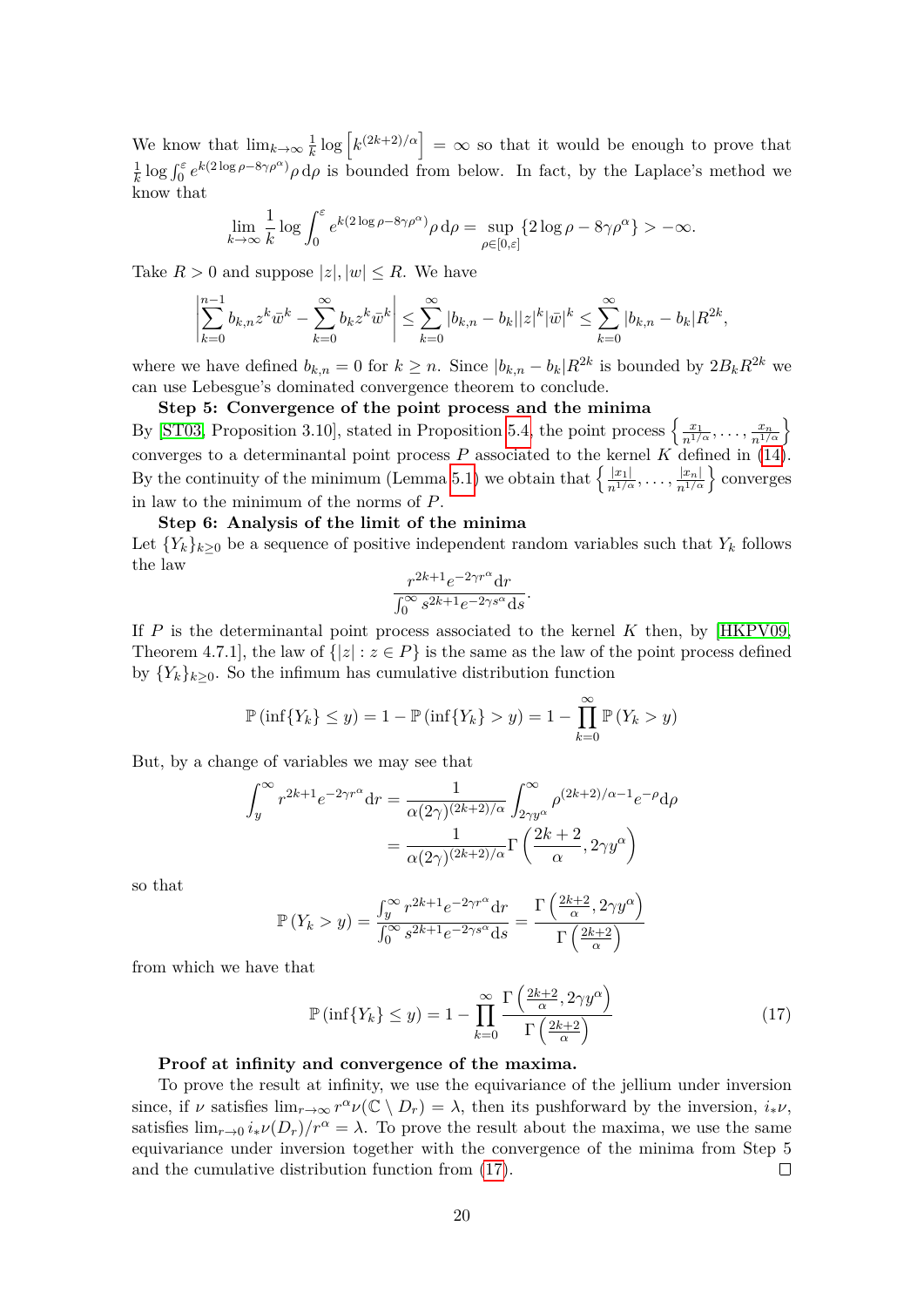We know that  $\lim_{k\to\infty}\frac{1}{k}$  $\frac{1}{k} \log \left[ k^{(2k+2)/\alpha} \right] = \infty$  so that it would be enough to prove that 1  $\frac{1}{k}$  log  $\int_0^{\varepsilon} e^{k(2\log\rho - 8\gamma\rho^{\alpha})} \rho d\rho$  is bounded from below. In fact, by the Laplace's method we know that

$$
\lim_{k \to \infty} \frac{1}{k} \log \int_0^{\varepsilon} e^{k(2 \log \rho - 8\gamma \rho^{\alpha})} \rho d\rho = \sup_{\rho \in [0,\varepsilon]} \{2 \log \rho - 8\gamma \rho^{\alpha}\} > -\infty.
$$

Take  $R > 0$  and suppose  $|z|, |w| \leq R$ . We have

$$
\left|\sum_{k=0}^{n-1} b_{k,n} z^k \bar{w}^k - \sum_{k=0}^{\infty} b_k z^k \bar{w}^k\right| \leq \sum_{k=0}^{\infty} |b_{k,n} - b_k| |z|^k |\bar{w}|^k \leq \sum_{k=0}^{\infty} |b_{k,n} - b_k| R^{2k},
$$

where we have defined  $b_{k,n} = 0$  for  $k \geq n$ . Since  $|b_{k,n} - b_k| R^{2k}$  is bounded by  $2B_k R^{2k}$  we can use Lebesgue's dominated convergence theorem to conclude.

**Step 5: Convergence of the point process and the minima**

By [\[ST03,](#page-35-6) Proposition 3.10], stated in Proposition [5.4,](#page-32-7) the point process  $\left\{\frac{x_1}{n^{1/\alpha}}, \ldots, \frac{x_n}{n^{1/\alpha}}\right\}$ converges to a determinantal point process  $P$  associated to the kernel  $K$  defined in [\(14\)](#page-17-1). By the continuity of the minimum (Lemma [5.1\)](#page-29-1) we obtain that  $\left\{\frac{|x_1|}{n^{1/\alpha}}, \ldots, \frac{|x_n|}{n^{1/\alpha}}\right\}$  converges in law to the minimum of the norms of *P*.

## **Step 6: Analysis of the limit of the minima**

Let  ${Y_k}_{k>0}$  be a sequence of positive independent random variables such that  $Y_k$  follows the law

$$
\frac{r^{2k+1}e^{-2\gamma r^\alpha}{\rm d}r}{\int_0^\infty s^{2k+1}e^{-2\gamma s^\alpha}{\rm d}s}.
$$

If *P* is the determinantal point process associated to the kernel *K* then, by [\[HKPV09,](#page-34-0) Theorem 4.7.1], the law of  $\{|z| : z \in P\}$  is the same as the law of the point process defined by  ${Y_k}_{k>0}$ . So the infimum has cumulative distribution function

$$
\mathbb{P}(\inf\{Y_k\} \le y) = 1 - \mathbb{P}(\inf\{Y_k\} > y) = 1 - \prod_{k=0}^{\infty} \mathbb{P}(Y_k > y)
$$

But, by a change of variables we may see that

$$
\int_{y}^{\infty} r^{2k+1} e^{-2\gamma r^{\alpha}} dr = \frac{1}{\alpha(2\gamma)^{(2k+2)/\alpha}} \int_{2\gamma y^{\alpha}}^{\infty} \rho^{(2k+2)/\alpha-1} e^{-\rho} d\rho
$$

$$
= \frac{1}{\alpha(2\gamma)^{(2k+2)/\alpha}} \Gamma\left(\frac{2k+2}{\alpha}, 2\gamma y^{\alpha}\right)
$$

so that

$$
\mathbb{P}\left(Y_k > y\right) = \frac{\int_y^\infty r^{2k+1} e^{-2\gamma r^\alpha} \mathrm{d}r}{\int_0^\infty s^{2k+1} e^{-2\gamma s^\alpha} \mathrm{d}s} = \frac{\Gamma\left(\frac{2k+2}{\alpha}, 2\gamma y^\alpha\right)}{\Gamma\left(\frac{2k+2}{\alpha}\right)}
$$

from which we have that

<span id="page-19-0"></span>
$$
\mathbb{P}\left(\inf\{Y_k\} \le y\right) = 1 - \prod_{k=0}^{\infty} \frac{\Gamma\left(\frac{2k+2}{\alpha}, 2\gamma y^{\alpha}\right)}{\Gamma\left(\frac{2k+2}{\alpha}\right)}\tag{17}
$$

#### **Proof at infinity and convergence of the maxima.**

To prove the result at infinity, we use the equivariance of the jellium under inversion since, if *ν* satisfies  $\lim_{r\to\infty} r^{\alpha} \nu(\mathbb{C} \setminus D_r) = \lambda$ , then its pushforward by the inversion,  $i_*\nu$ , satisfies  $\lim_{r\to 0} i_* \nu(D_r)/r^{\alpha} = \lambda$ . To prove the result about the maxima, we use the same equivariance under inversion together with the convergence of the minima from Step 5 and the cumulative distribution function from [\(17\)](#page-19-0).  $\Box$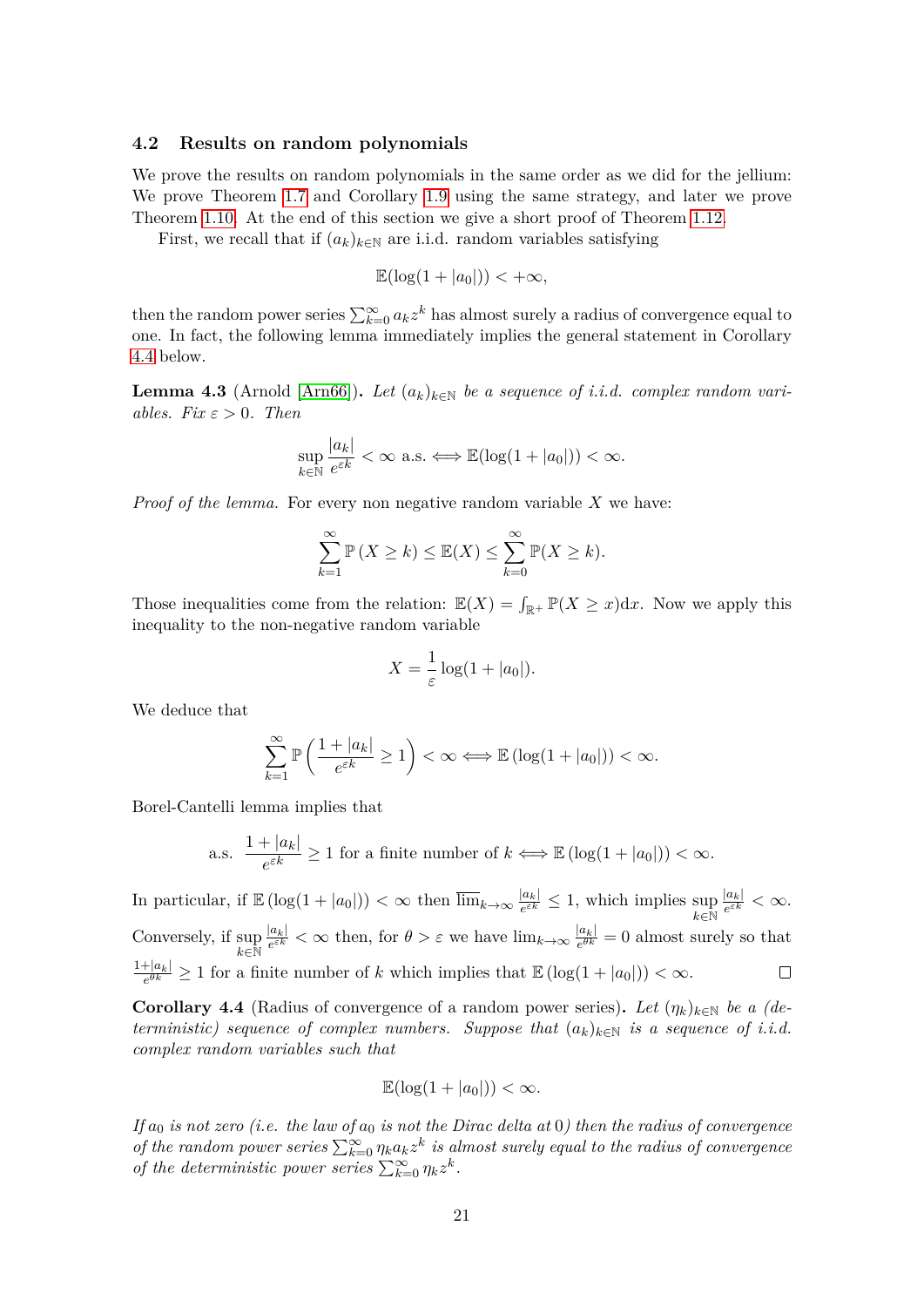#### **4.2 Results on random polynomials**

We prove the results on random polynomials in the same order as we did for the jellium: We prove Theorem [1.7](#page-6-0) and Corollary [1.9](#page-7-1) using the same strategy, and later we prove Theorem [1.10.](#page-7-2) At the end of this section we give a short proof of Theorem [1.12.](#page-8-0)

First, we recall that if  $(a_k)_{k \in \mathbb{N}}$  are i.i.d. random variables satisfying

$$
\mathbb{E}(\log(1+|a_0|)) < +\infty,
$$

then the random power series  $\sum_{k=0}^{\infty} a_k z^k$  has almost surely a radius of convergence equal to one. In fact, the following lemma immediately implies the general statement in Corollary [4.4](#page-20-0) below.

<span id="page-20-1"></span>**Lemma 4.3** (Arnold [\[Arn66\]](#page-33-7)). Let  $(a_k)_{k \in \mathbb{N}}$  be a sequence of *i.i.d.* complex random vari*ables. Fix*  $\varepsilon > 0$ *. Then* 

$$
\sup_{k \in \mathbb{N}} \frac{|a_k|}{e^{\varepsilon k}} < \infty \text{ a.s.} \Longleftrightarrow \mathbb{E}(\log(1+|a_0|)) < \infty.
$$

*Proof of the lemma.* For every non negative random variable *X* we have:

$$
\sum_{k=1}^{\infty} \mathbb{P}\left(X \ge k\right) \le \mathbb{E}(X) \le \sum_{k=0}^{\infty} \mathbb{P}(X \ge k).
$$

Those inequalities come from the relation:  $\mathbb{E}(X) = \int_{\mathbb{R}^+} \mathbb{P}(X \geq x) dx$ . Now we apply this inequality to the non-negative random variable

$$
X = \frac{1}{\varepsilon} \log(1 + |a_0|).
$$

We deduce that

$$
\sum_{k=1}^{\infty} \mathbb{P}\left(\frac{1+|a_k|}{e^{\varepsilon k}} \ge 1\right) < \infty \Longleftrightarrow \mathbb{E}\left(\log(1+|a_0|)\right) < \infty.
$$

Borel-Cantelli lemma implies that

a.s. 
$$
\frac{1+|a_k|}{e^{\varepsilon k}} \ge 1
$$
 for a finite number of  $k \Longleftrightarrow \mathbb{E}\left(\log(1+|a_0|)\right) < \infty$ .

In particular, if  $\mathbb{E}(\log(1+|a_0|)) < \infty$  then  $\overline{\lim}_{k\to\infty} \frac{|a_k|}{e^{\epsilon k}}$  $|a_k|$  $\frac{|a_k|}{e^{\varepsilon k}} \leq 1$ , which implies sup  $\frac{|a_k|}{e^{\varepsilon k}} < \infty$ . |*ak*|  $\frac{|a_k|}{e^{\varepsilon k}} < \infty$  then, for  $\theta > \varepsilon$  we have  $\lim_{k \to \infty} \frac{|a_k|}{e^{\theta k}}$ Conversely, if sup  $\frac{|a_k|}{e^{\theta k}} = 0$  almost surely so that  $k$ ∈ $\mathrm{\tilde{N}}$  $1+|a_k|$  $\frac{e^{h|a_k|}}{e^{\theta k}} \geq 1$  for a finite number of *k* which implies that  $\mathbb{E}(\log(1+|a_0|)) < \infty$ .  $\Box$ 

<span id="page-20-0"></span>**Corollary 4.4** (Radius of convergence of a random power series). Let  $(\eta_k)_{k \in \mathbb{N}}$  be a (de*terministic) sequence of complex numbers. Suppose that*  $(a_k)_{k \in \mathbb{N}}$  *is a sequence of i.i.d. complex random variables such that*

$$
\mathbb{E}(\log(1+|a_0|)) < \infty.
$$

*If*  $a_0$  *is not zero (i.e. the law of*  $a_0$  *is not the Dirac delta at* 0*) then the radius of convergence of the random power series*  $\sum_{k=0}^{\infty} \eta_k a_k z^k$  *is almost surely equal to the radius of convergence of the deterministic power series*  $\sum_{k=0}^{\infty} \eta_k z^k$ .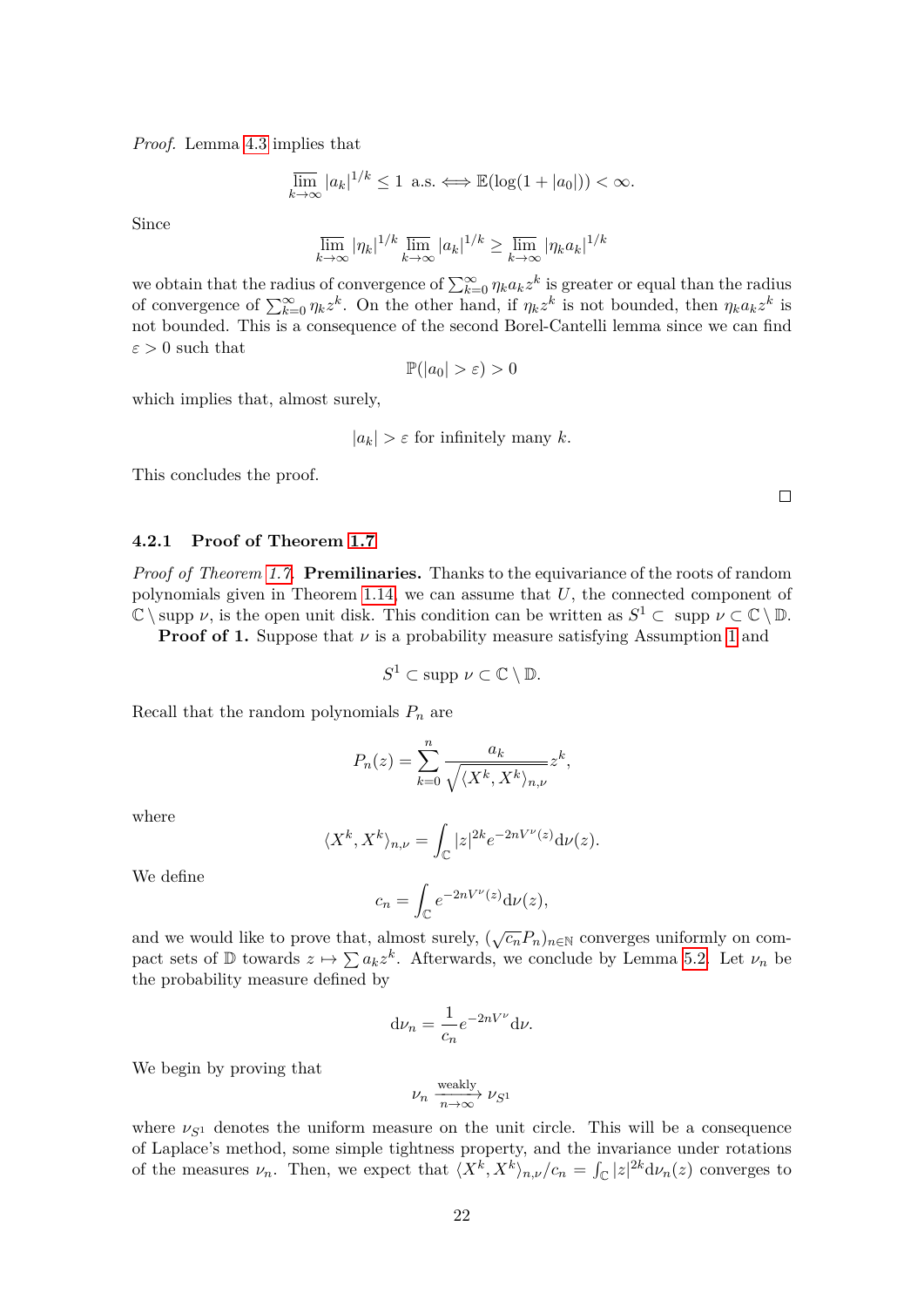*Proof.* Lemma [4.3](#page-20-1) implies that

$$
\overline{\lim}_{k \to \infty} |a_k|^{1/k} \le 1 \text{ a.s.} \Longleftrightarrow \mathbb{E}(\log(1+|a_0|)) < \infty.
$$

Since

$$
\overline{\lim}_{k \to \infty} |\eta_k|^{1/k} \overline{\lim}_{k \to \infty} |a_k|^{1/k} \ge \overline{\lim}_{k \to \infty} |\eta_k a_k|^{1/k}
$$

we obtain that the radius of convergence of  $\sum_{k=0}^{\infty} \eta_k a_k z^k$  is greater or equal than the radius of convergence of  $\sum_{k=0}^{\infty} \eta_k z^k$ . On the other hand, if  $\eta_k z^k$  is not bounded, then  $\eta_k a_k z^k$  is not bounded. This is a consequence of the second Borel-Cantelli lemma since we can find  $\varepsilon > 0$  such that

$$
\mathbb{P}(|a_0| > \varepsilon) > 0
$$

which implies that, almost surely,

$$
|a_k| > \varepsilon
$$
 for infinitely many k.

This concludes the proof.

**4.2.1 Proof of Theorem [1.7](#page-6-0)**

*Proof of Theorem [1.7.](#page-6-0)* **Premilinaries.** Thanks to the equivariance of the roots of random polynomials given in Theorem [1.14,](#page-9-2) we can assume that *U*, the connected component of  $\mathbb{C} \setminus \text{supp } \nu$ , is the open unit disk. This condition can be written as  $S^1 \subset \text{supp } \nu \subset \mathbb{C} \setminus \mathbb{D}$ .

**Proof of [1](#page-1-2).** Suppose that  $\nu$  is a probability measure satisfying Assumption 1 and

$$
S^1 \subset \text{supp } \nu \subset \mathbb{C} \setminus \mathbb{D}.
$$

Recall that the random polynomials *P<sup>n</sup>* are

$$
P_n(z) = \sum_{k=0}^n \frac{a_k}{\sqrt{\langle X^k, X^k \rangle_{n,\nu}}} z^k,
$$

where

$$
\langle X^k, X^k \rangle_{n,\nu} = \int_{\mathbb{C}} |z|^{2k} e^{-2nV^{\nu}(z)} d\nu(z).
$$

We define

$$
c_n = \int_{\mathbb{C}} e^{-2nV^{\nu}(z)} d\nu(z),
$$

and we would like to prove that, almost surely,  $(\sqrt{c_n}P_n)_{n\in\mathbb{N}}$  converges uniformly on compact sets of  $\mathbb D$  towards  $z \mapsto \sum a_k z^k$ . Afterwards, we conclude by Lemma [5.2.](#page-30-0) Let  $\nu_n$  be the probability measure defined by

$$
\mathrm{d}\nu_n = \frac{1}{c_n} e^{-2nV^{\nu}} \mathrm{d}\nu.
$$

We begin by proving that

$$
\nu_n\xrightarrow[n\to\infty]{\rm weakly}\nu_{S^1}
$$

where  $\nu_{S^1}$  denotes the uniform measure on the unit circle. This will be a consequence of Laplace's method, some simple tightness property, and the invariance under rotations of the measures  $\nu_n$ . Then, we expect that  $\langle X^k, X^k \rangle_{n,\nu}/c_n = \int_{\mathbb{C}} |z|^{2k} d\nu_n(z)$  converges to

 $\Box$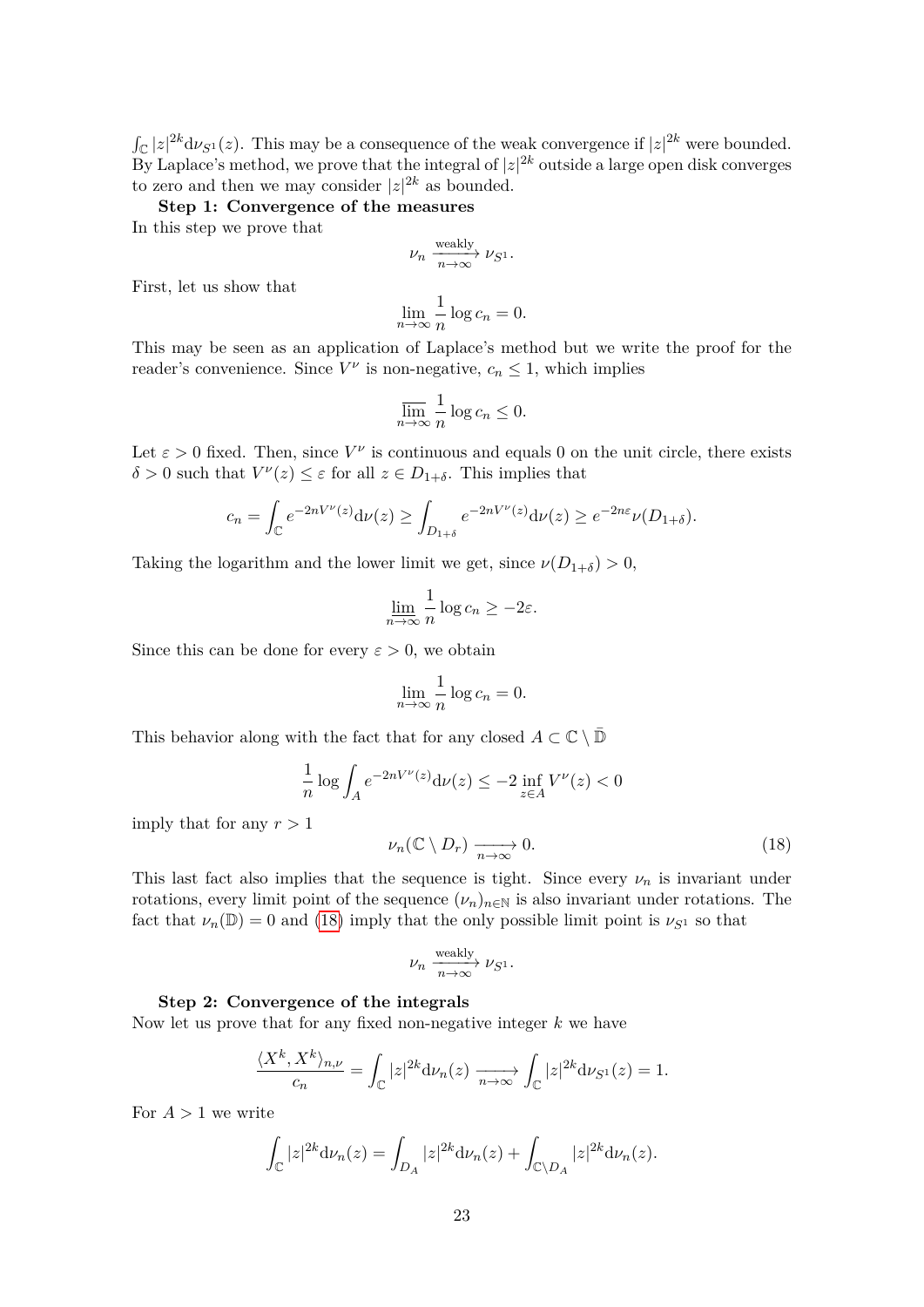$\int_{\mathbb{C}} |z|^{2k} d\nu_{S^1}(z)$ . This may be a consequence of the weak convergence if  $|z|^{2k}$  were bounded. By Laplace's method, we prove that the integral of  $|z|^{2k}$  outside a large open disk converges to zero and then we may consider  $|z|^{2k}$  as bounded.

**Step 1: Convergence of the measures**

In this step we prove that

$$
\nu_n\xrightarrow[n\to\infty]{\rm weakly}\nu_{S^1}.
$$

First, let us show that

$$
\lim_{n \to \infty} \frac{1}{n} \log c_n = 0.
$$

This may be seen as an application of Laplace's method but we write the proof for the reader's convenience. Since  $V^{\nu}$  is non-negative,  $c_n \leq 1$ , which implies

$$
\overline{\lim_{n \to \infty}} \frac{1}{n} \log c_n \le 0.
$$

Let  $\varepsilon > 0$  fixed. Then, since  $V^{\nu}$  is continuous and equals 0 on the unit circle, there exists  $\delta > 0$  such that  $V^{\nu}(z) \leq \varepsilon$  for all  $z \in D_{1+\delta}$ . This implies that

$$
c_n = \int_{\mathbb{C}} e^{-2nV^{\nu}(z)} d\nu(z) \ge \int_{D_{1+\delta}} e^{-2nV^{\nu}(z)} d\nu(z) \ge e^{-2n\varepsilon} \nu(D_{1+\delta}).
$$

Taking the logarithm and the lower limit we get, since  $\nu(D_{1+\delta}) > 0$ ,

$$
\lim_{n \to \infty} \frac{1}{n} \log c_n \ge -2\varepsilon.
$$

Since this can be done for every  $\varepsilon > 0$ , we obtain

$$
\lim_{n \to \infty} \frac{1}{n} \log c_n = 0.
$$

This behavior along with the fact that for any closed  $A \subset \mathbb{C} \setminus \mathbb{D}$ 

<span id="page-22-0"></span>
$$
\frac{1}{n}\log\int_A e^{-2nV^\nu(z)}\mathrm{d}\nu(z)\leq -2\inf_{z\in A}V^\nu(z)<0
$$

imply that for any  $r > 1$ 

$$
\nu_n(\mathbb{C}\setminus D_r) \xrightarrow[n \to \infty]{} 0. \tag{18}
$$

This last fact also implies that the sequence is tight. Since every  $\nu_n$  is invariant under rotations, every limit point of the sequence  $(\nu_n)_{n\in\mathbb{N}}$  is also invariant under rotations. The fact that  $\nu_n(\mathbb{D}) = 0$  and [\(18\)](#page-22-0) imply that the only possible limit point is  $\nu_{S^1}$  so that

$$
\nu_n\xrightarrow[n\to\infty]{\rm weakly}\nu_{S^1}.
$$

#### **Step 2: Convergence of the integrals**

Now let us prove that for any fixed non-negative integer *k* we have

$$
\frac{\langle X^k, X^k \rangle_{n,\nu}}{c_n} = \int_{\mathbb{C}} |z|^{2k} d\nu_n(z) \xrightarrow[n \to \infty]{} \int_{\mathbb{C}} |z|^{2k} d\nu_{S^1}(z) = 1.
$$

For  $A > 1$  we write

$$
\int_{\mathbb{C}} |z|^{2k} \mathrm{d} \nu_n(z) = \int_{D_A} |z|^{2k} \mathrm{d} \nu_n(z) + \int_{\mathbb{C} \backslash D_A} |z|^{2k} \mathrm{d} \nu_n(z).
$$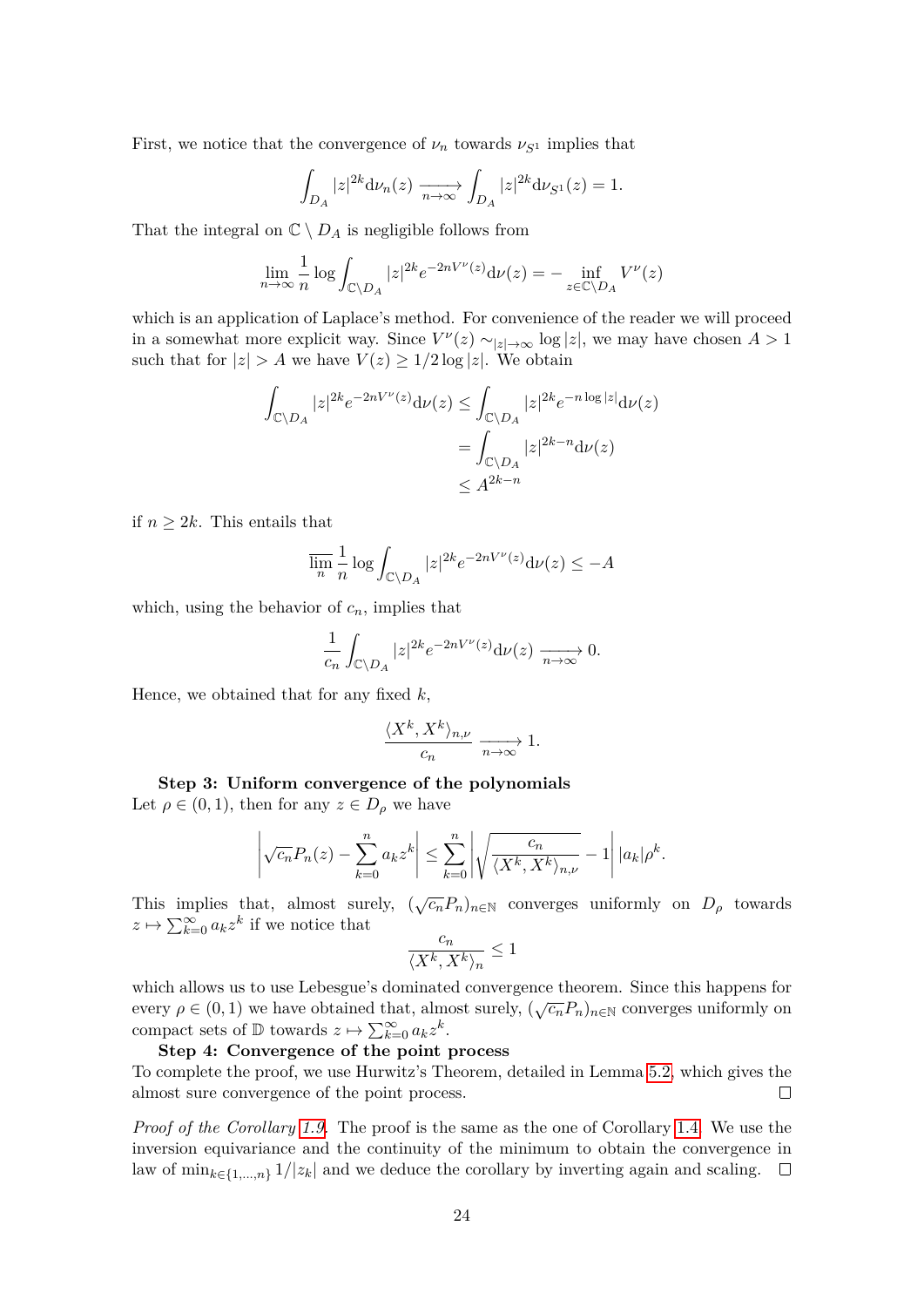First, we notice that the convergence of  $\nu_n$  towards  $\nu_{S^1}$  implies that

$$
\int_{D_A} |z|^{2k} \mathrm{d}\nu_n(z) \xrightarrow[n \to \infty]{} \int_{D_A} |z|^{2k} \mathrm{d}\nu_{S^1}(z) = 1.
$$

That the integral on  $\mathbb{C} \setminus D_A$  is negligible follows from

$$
\lim_{n \to \infty} \frac{1}{n} \log \int_{\mathbb{C} \backslash D_A} |z|^{2k} e^{-2nV^{\nu}(z)} d\nu(z) = - \inf_{z \in \mathbb{C} \backslash D_A} V^{\nu}(z)
$$

which is an application of Laplace's method. For convenience of the reader we will proceed in a somewhat more explicit way. Since  $V^{\nu}(z) \sim_{|z| \to \infty} \log |z|$ , we may have chosen  $A > 1$ such that for  $|z| > A$  we have  $V(z) \geq 1/2 \log |z|$ . We obtain

$$
\int_{\mathbb{C}\backslash D_A} |z|^{2k} e^{-2nV^{\nu}(z)} \mathrm{d}\nu(z) \le \int_{\mathbb{C}\backslash D_A} |z|^{2k} e^{-n \log|z|} \mathrm{d}\nu(z)
$$

$$
= \int_{\mathbb{C}\backslash D_A} |z|^{2k-n} \mathrm{d}\nu(z)
$$

$$
\le A^{2k-n}
$$

if  $n \geq 2k$ . This entails that

$$
\overline{\lim_{n}} \frac{1}{n} \log \int_{\mathbb{C} \backslash D_A} |z|^{2k} e^{-2nV^{\nu}(z)} d\nu(z) \le -A
$$

which, using the behavior of  $c_n$ , implies that

$$
\frac{1}{c_n} \int_{\mathbb{C}\backslash D_A} |z|^{2k} e^{-2nV^{\nu}(z)} \mathrm{d}\nu(z) \xrightarrow[n \to \infty]{} 0.
$$

Hence, we obtained that for any fixed *k*,

$$
\frac{\langle X^k, X^k \rangle_{n,\nu}}{c_n} \xrightarrow[n \to \infty]{} 1.
$$

**Step 3: Uniform convergence of the polynomials** Let  $\rho \in (0,1)$ , then for any  $z \in D_\rho$  we have

$$
\left|\sqrt{c_n}P_n(z)-\sum_{k=0}^n a_k z^k\right|\leq \sum_{k=0}^n \left|\sqrt{\frac{c_n}{\langle X^k, X^k\rangle_{n,\nu}}}-1\right| |a_k|\rho^k.
$$

This implies that, almost surely,  $(\sqrt{c_n}P_n)_{n\in\mathbb{N}}$  converges uniformly on  $D_\rho$  towards  $z \mapsto \sum_{k=0}^{\infty} a_k z^k$  if we notice that

$$
\frac{c_n}{\langle X^k, X^k \rangle_n} \leq 1
$$

which allows us to use Lebesgue's dominated convergence theorem. Since this happens for every  $ρ ∈ (0, 1)$  we have obtained that, almost surely,  $( \sqrt{c_n} P_n)_{n \in \mathbb{N}}$  converges uniformly on compact sets of  $\mathbb{D}$  towards  $z \mapsto \sum_{k=0}^{\infty} a_k z^k$ .

## **Step 4: Convergence of the point process**

To complete the proof, we use Hurwitz's Theorem, detailed in Lemma [5.2,](#page-30-0) which gives the almost sure convergence of the point process.  $\Box$ 

*Proof of the Corollary [1.9.](#page-7-1)* The proof is the same as the one of Corollary [1.4.](#page-4-3) We use the inversion equivariance and the continuity of the minimum to obtain the convergence in law of min<sub>*k*∈{1,...,*n*}</sub> 1/|*z*<sub>*k*</sub>| and we deduce the corollary by inverting again and scaling. □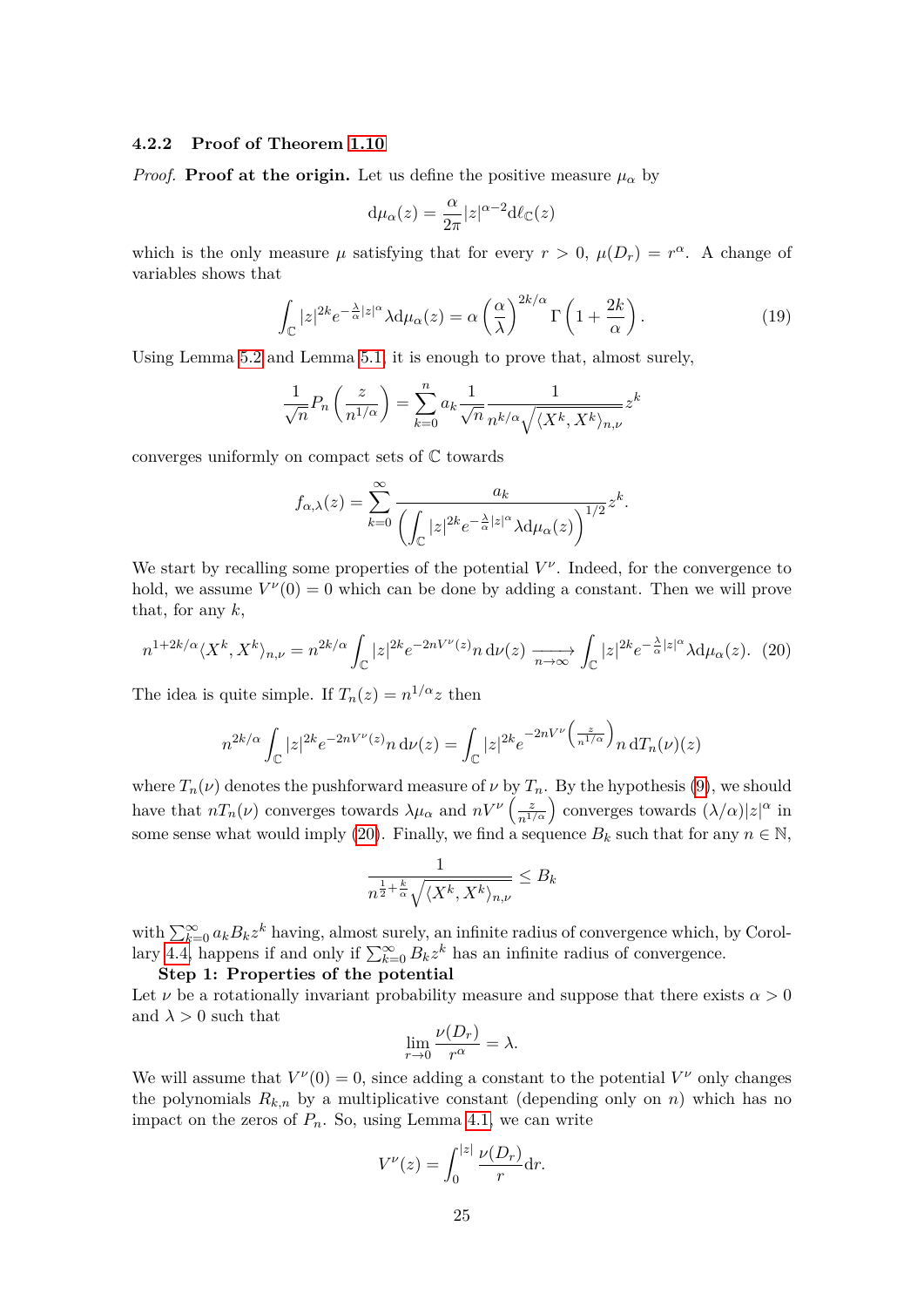#### **4.2.2 Proof of Theorem [1.10](#page-7-2)**

*Proof.* **Proof at the origin.** Let us define the positive measure  $\mu_{\alpha}$  by

$$
d\mu_{\alpha}(z) = \frac{\alpha}{2\pi}|z|^{\alpha - 2}d\ell_{\mathbb{C}}(z)
$$

which is the only measure  $\mu$  satisfying that for every  $r > 0$ ,  $\mu(D_r) = r^{\alpha}$ . A change of variables shows that

<span id="page-24-1"></span>
$$
\int_{\mathbb{C}} |z|^{2k} e^{-\frac{\lambda}{\alpha}|z|^{\alpha}} \lambda d\mu_{\alpha}(z) = \alpha \left(\frac{\alpha}{\lambda}\right)^{2k/\alpha} \Gamma\left(1 + \frac{2k}{\alpha}\right). \tag{19}
$$

Using Lemma [5.2](#page-30-0) and Lemma [5.1,](#page-29-1) it is enough to prove that, almost surely,

$$
\frac{1}{\sqrt{n}}P_n\left(\frac{z}{n^{1/\alpha}}\right) = \sum_{k=0}^n a_k \frac{1}{\sqrt{n}} \frac{1}{n^{k/\alpha} \sqrt{\langle X^k, X^k \rangle_{n,\nu}}} z^k
$$

converges uniformly on compact sets of C towards

$$
f_{\alpha,\lambda}(z) = \sum_{k=0}^{\infty} \frac{a_k}{\left(\int_{\mathbb{C}} |z|^{2k} e^{-\frac{\lambda}{\alpha}|z|^{\alpha}} \lambda d\mu_{\alpha}(z)\right)^{1/2}} z^k.
$$

We start by recalling some properties of the potential  $V^{\nu}$ . Indeed, for the convergence to hold, we assume  $V^{\nu}(0) = 0$  which can be done by adding a constant. Then we will prove that, for any *k*,

<span id="page-24-0"></span>
$$
n^{1+2k/\alpha}\langle X^k, X^k\rangle_{n,\nu} = n^{2k/\alpha} \int_{\mathbb{C}} |z|^{2k} e^{-2nV^{\nu}(z)} n \,d\nu(z) \xrightarrow[n \to \infty]{} \int_{\mathbb{C}} |z|^{2k} e^{-\frac{\lambda}{\alpha}|z|^{\alpha}} \lambda d\mu_{\alpha}(z). \tag{20}
$$

The idea is quite simple. If  $T_n(z) = n^{1/\alpha} z$  then

$$
n^{2k/\alpha} \int_{\mathbb{C}} |z|^{2k} e^{-2nV^{\nu}(z)} n \, \mathrm{d}\nu(z) = \int_{\mathbb{C}} |z|^{2k} e^{-2nV^{\nu}\left(\frac{z}{n^{1/\alpha}}\right)} n \, \mathrm{d}T_n(\nu)(z)
$$

where  $T_n(\nu)$  denotes the pushforward measure of  $\nu$  by  $T_n$ . By the hypothesis [\(9\)](#page-8-2), we should have that  $nT_n(\nu)$  converges towards  $\lambda \mu_\alpha$  and  $nV^{\nu}\left(\frac{z}{n^{1/\alpha}}\right)$  converges towards  $(\lambda/\alpha)|z|^{\alpha}$  in some sense what would imply [\(20\)](#page-24-0). Finally, we find a sequence  $B_k$  such that for any  $n \in \mathbb{N}$ ,

$$
\frac{1}{n^{\frac{1}{2} + \frac{k}{\alpha}} \sqrt{\langle X^k, X^k \rangle_{n,\nu}}} \leq B_k
$$

with  $\sum_{k=0}^{\infty} a_k B_k z^k$  having, almost surely, an infinite radius of convergence which, by Corol-lary [4.4,](#page-20-0) happens if and only if  $\sum_{k=0}^{\infty} B_k z^k$  has an infinite radius of convergence.

**Step 1: Properties of the potential**

Let  $\nu$  be a rotationally invariant probability measure and suppose that there exists  $\alpha > 0$ and  $\lambda > 0$  such that

$$
\lim_{r \to 0} \frac{\nu(D_r)}{r^{\alpha}} = \lambda.
$$

We will assume that  $V^{\nu}(0) = 0$ , since adding a constant to the potential  $V^{\nu}$  only changes the polynomials  $R_{k,n}$  by a multiplicative constant (depending only on *n*) which has no impact on the zeros of  $P_n$ . So, using Lemma [4.1,](#page-13-0) we can write

$$
V^{\nu}(z) = \int_0^{|z|} \frac{\nu(D_r)}{r} dr.
$$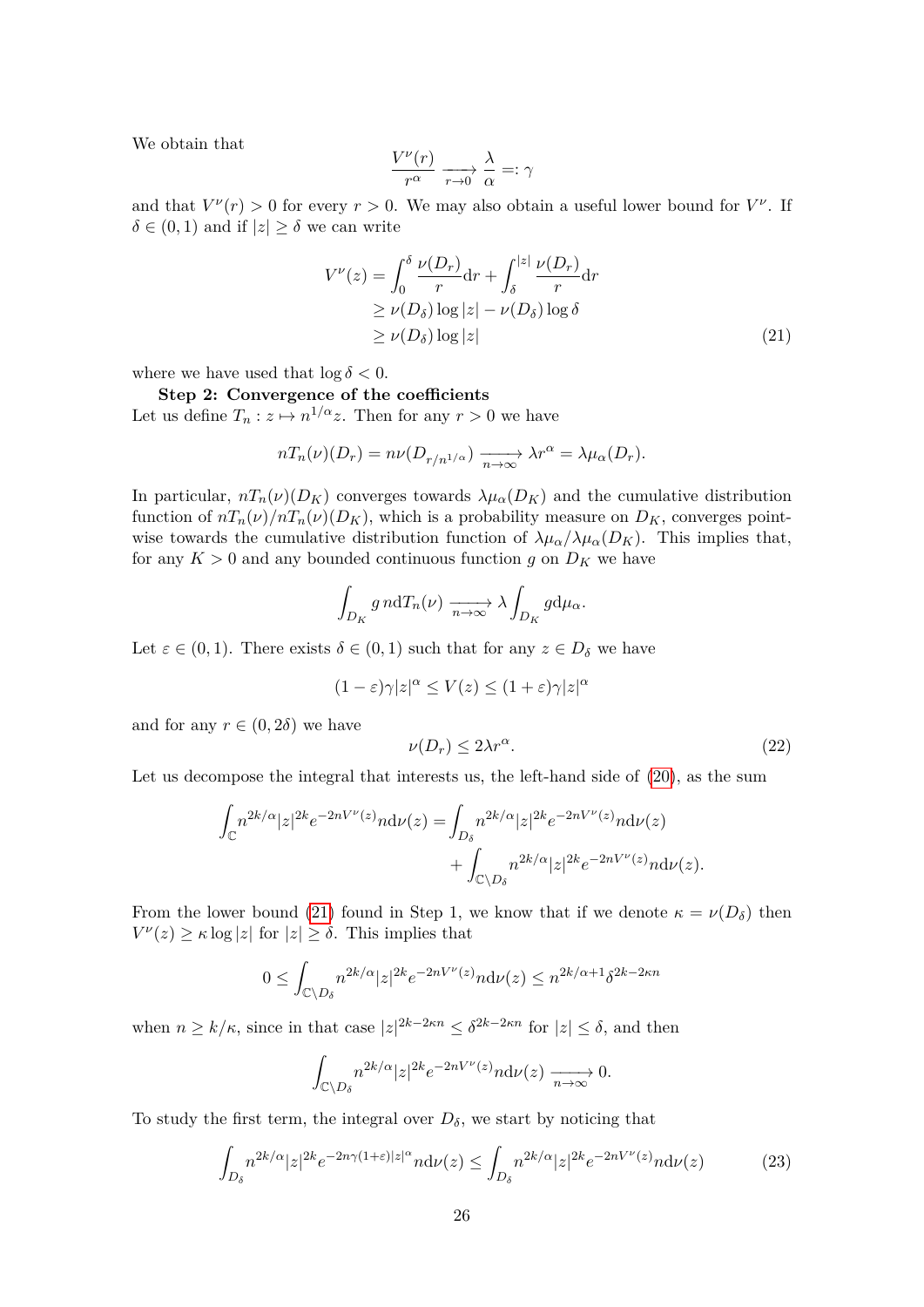We obtain that

<span id="page-25-0"></span>
$$
\frac{V^{\nu}(r)}{r^{\alpha}} \xrightarrow[r \to 0]{} \frac{\lambda}{\alpha} =: \gamma
$$

and that  $V^{\nu}(r) > 0$  for every  $r > 0$ . We may also obtain a useful lower bound for  $V^{\nu}$ . If  $\delta \in (0, 1)$  and if  $|z| \geq \delta$  we can write

$$
V^{\nu}(z) = \int_0^{\delta} \frac{\nu(D_r)}{r} dr + \int_{\delta}^{|z|} \frac{\nu(D_r)}{r} dr
$$
  
\n
$$
\geq \nu(D_{\delta}) \log |z| - \nu(D_{\delta}) \log \delta
$$
  
\n
$$
\geq \nu(D_{\delta}) \log |z|
$$
 (21)

where we have used that  $\log \delta < 0$ .

## **Step 2: Convergence of the coefficients**

Let us define  $T_n: z \mapsto n^{1/\alpha}z$ . Then for any  $r > 0$  we have

$$
nT_n(\nu)(D_r) = n\nu(D_{r/n^{1/\alpha}}) \xrightarrow[n \to \infty]{} \lambda r^{\alpha} = \lambda \mu_{\alpha}(D_r).
$$

In particular,  $nT_n(\nu)(D_K)$  converges towards  $\lambda\mu_\alpha(D_K)$  and the cumulative distribution function of  $nT_n(\nu)/nT_n(\nu)(D_K)$ , which is a probability measure on  $D_K$ , converges pointwise towards the cumulative distribution function of  $\lambda \mu_\alpha / \lambda \mu_\alpha (D_K)$ . This implies that, for any  $K > 0$  and any bounded continuous function *g* on  $D_K$  we have

$$
\int_{D_K} g \, n \mathrm{d} T_n(\nu) \xrightarrow[n \to \infty]{} \lambda \int_{D_K} g \mathrm{d} \mu_\alpha.
$$

Let  $\varepsilon \in (0,1)$ . There exists  $\delta \in (0,1)$  such that for any  $z \in D_{\delta}$  we have

<span id="page-25-2"></span>
$$
(1 - \varepsilon)\gamma |z|^\alpha \le V(z) \le (1 + \varepsilon)\gamma |z|^\alpha
$$

and for any  $r \in (0, 2\delta)$  we have

$$
\nu(D_r) \le 2\lambda r^{\alpha}.\tag{22}
$$

Let us decompose the integral that interests us, the left-hand side of [\(20\)](#page-24-0), as the sum

$$
\int_{\mathbb{C}} n^{2k/\alpha} |z|^{2k} e^{-2nV^{\nu}(z)} n \mathrm{d}\nu(z) = \int_{D_{\delta}} n^{2k/\alpha} |z|^{2k} e^{-2nV^{\nu}(z)} n \mathrm{d}\nu(z) \n+ \int_{\mathbb{C}\backslash D_{\delta}} n^{2k/\alpha} |z|^{2k} e^{-2nV^{\nu}(z)} n \mathrm{d}\nu(z).
$$

From the lower bound [\(21\)](#page-25-0) found in Step 1, we know that if we denote  $\kappa = \nu(D_\delta)$  then  $V^{\nu}(z) \geq \kappa \log |z|$  for  $|z| \geq \delta$ . This implies that

$$
0 \le \int_{\mathbb{C}\backslash D_\delta} n^{2k/\alpha} |z|^{2k} e^{-2nV^{\nu}(z)} n \mathrm{d} \nu(z) \le n^{2k/\alpha+1} \delta^{2k-2\kappa n}
$$

when  $n \geq k/\kappa$ , since in that case  $|z|^{2k-2\kappa n} \leq \delta^{2k-2\kappa n}$  for  $|z| \leq \delta$ , and then

<span id="page-25-1"></span>
$$
\int_{\mathbb{C}\setminus D_\delta} n^{2k/\alpha} |z|^{2k} e^{-2nV^\nu(z)} n \mathrm{d} \nu(z) \xrightarrow[n \to \infty]{} 0.
$$

To study the first term, the integral over  $D_{\delta}$ , we start by noticing that

$$
\int_{D_{\delta}} n^{2k/\alpha} |z|^{2k} e^{-2n\gamma(1+\varepsilon)|z|^{\alpha}} n \mathrm{d}\nu(z) \le \int_{D_{\delta}} n^{2k/\alpha} |z|^{2k} e^{-2nV^{\nu}(z)} n \mathrm{d}\nu(z) \tag{23}
$$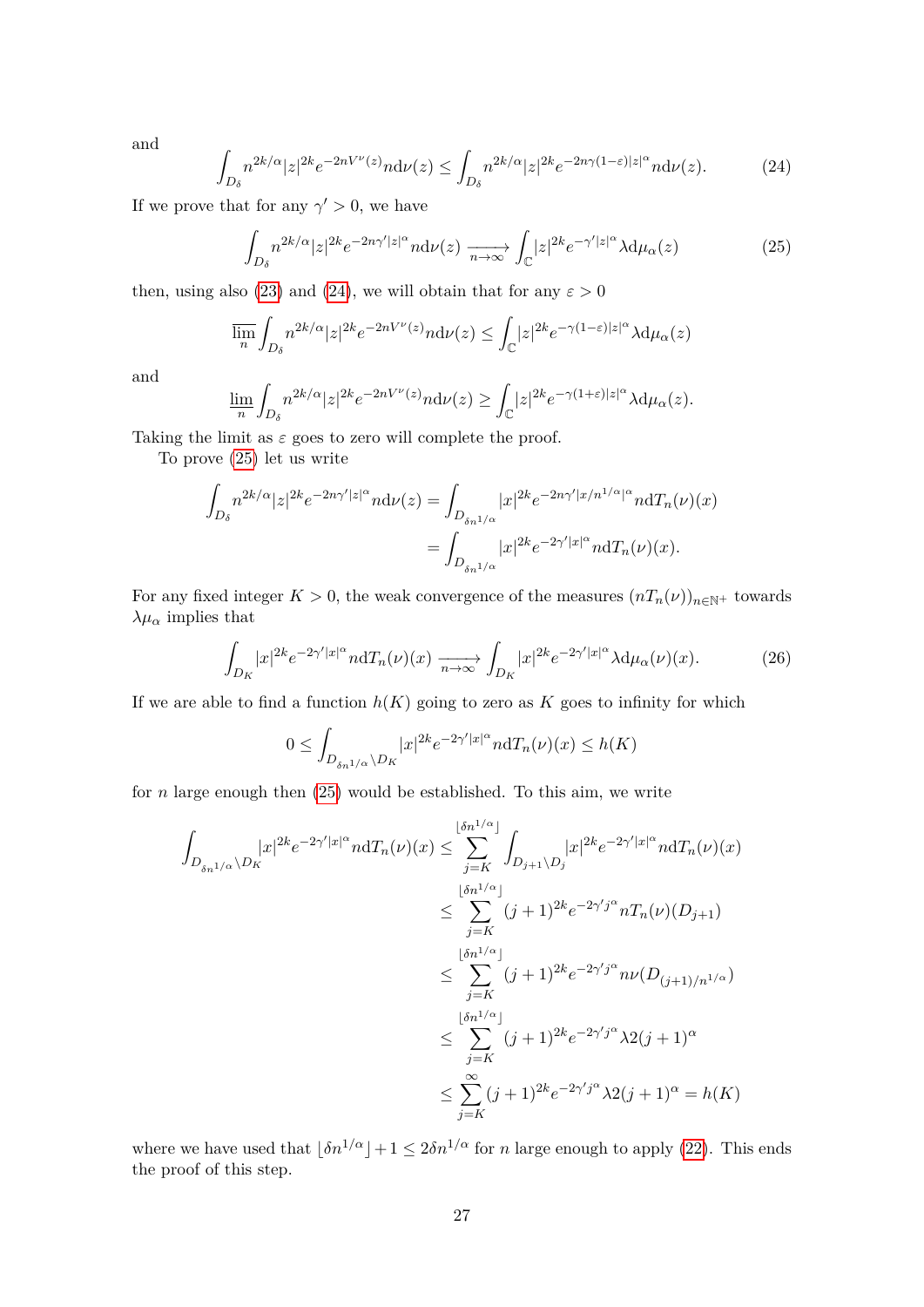<span id="page-26-0"></span>and

$$
\int_{D_{\delta}} n^{2k/\alpha} |z|^{2k} e^{-2nV^{\nu}(z)} n \mathrm{d}\nu(z) \le \int_{D_{\delta}} n^{2k/\alpha} |z|^{2k} e^{-2n\gamma(1-\varepsilon)|z|^{\alpha}} n \mathrm{d}\nu(z). \tag{24}
$$

If we prove that for any  $\gamma' > 0$ , we have

<span id="page-26-1"></span>
$$
\int_{D_{\delta}} n^{2k/\alpha} |z|^{2k} e^{-2n\gamma' |z|^{\alpha}} n \mathrm{d}\nu(z) \xrightarrow[n \to \infty]{} \int_{\mathbb{C}} |z|^{2k} e^{-\gamma' |z|^{\alpha}} \lambda \mathrm{d}\mu_{\alpha}(z) \tag{25}
$$

then, using also [\(23\)](#page-25-1) and [\(24\)](#page-26-0), we will obtain that for any  $\varepsilon > 0$ 

$$
\overline{\lim}_{n} \int_{D_{\delta}} n^{2k/\alpha} |z|^{2k} e^{-2nV^{\nu}(z)} n \mathrm{d}\nu(z) \le \int_{\mathbb{C}} |z|^{2k} e^{-\gamma(1-\varepsilon)|z|^{\alpha}} \lambda \mathrm{d}\mu_{\alpha}(z)
$$

and

$$
\varliminf_n \int_{D_\delta} n^{2k/\alpha} |z|^{2k} e^{-2nV^{\nu}(z)} n \mathrm{d}\nu(z) \ge \int_{\mathbb{C}} |z|^{2k} e^{-\gamma(1+\varepsilon)|z|^{\alpha}} \lambda \mathrm{d}\mu_{\alpha}(z).
$$

Taking the limit as  $\varepsilon$  goes to zero will complete the proof.

To prove [\(25\)](#page-26-1) let us write

$$
\int_{D_{\delta}} n^{2k/\alpha} |z|^{2k} e^{-2n\gamma'|z|^{\alpha}} n \mathrm{d}\nu(z) = \int_{D_{\delta n^{1/\alpha}}} |x|^{2k} e^{-2n\gamma'|x/n^{1/\alpha}|^{\alpha}} n \mathrm{d}T_n(\nu)(x)
$$

$$
= \int_{D_{\delta n^{1/\alpha}}} |x|^{2k} e^{-2\gamma'|x|^{\alpha}} n \mathrm{d}T_n(\nu)(x).
$$

For any fixed integer  $K > 0$ , the weak convergence of the measures  $(nT_n(\nu))_{n \in \mathbb{N}}$ + towards  $λμ<sub>α</sub>$  implies that

$$
\int_{D_K} |x|^{2k} e^{-2\gamma' |x|^{\alpha}} n \mathrm{d} T_n(\nu)(x) \xrightarrow[n \to \infty]{} \int_{D_K} |x|^{2k} e^{-2\gamma' |x|^{\alpha}} \lambda \mathrm{d} \mu_{\alpha}(\nu)(x). \tag{26}
$$

If we are able to find a function  $h(K)$  going to zero as  $K$  goes to infinity for which

$$
0 \le \int_{D_{\delta n^{1/\alpha}} \backslash D_K} |x|^{2k} e^{-2\gamma' |x|^{\alpha}} n \mathrm{d} T_n(\nu)(x) \le h(K)
$$

for *n* large enough then [\(25\)](#page-26-1) would be established. To this aim, we write

$$
\int_{D_{\delta n^{1/\alpha}}\setminus D_K} |x|^{2k} e^{-2\gamma' |x|^{\alpha}} n \mathrm{d}T_n(\nu)(x) \le \sum_{j=K}^{\lfloor \delta n^{1/\alpha} \rfloor} \int_{D_{j+1}\setminus D_j} |x|^{2k} e^{-2\gamma' |x|^{\alpha}} n \mathrm{d}T_n(\nu)(x)
$$
\n
$$
\le \sum_{j=K}^{\lfloor \delta n^{1/\alpha} \rfloor} (j+1)^{2k} e^{-2\gamma' j^{\alpha}} n T_n(\nu)(D_{j+1})
$$
\n
$$
\le \sum_{j=K}^{\lfloor \delta n^{1/\alpha} \rfloor} (j+1)^{2k} e^{-2\gamma' j^{\alpha}} n \nu(D_{(j+1)/n^{1/\alpha}})
$$
\n
$$
\le \sum_{j=K}^{\lfloor \delta n^{1/\alpha} \rfloor} (j+1)^{2k} e^{-2\gamma' j^{\alpha}} \lambda 2(j+1)^{\alpha}
$$
\n
$$
\le \sum_{j=K}^{\infty} (j+1)^{2k} e^{-2\gamma' j^{\alpha}} \lambda 2(j+1)^{\alpha} = h(K)
$$

where we have used that  $\lfloor \delta n^{1/\alpha} \rfloor + 1 \leq 2\delta n^{1/\alpha}$  for *n* large enough to apply [\(22\)](#page-25-2). This ends the proof of this step.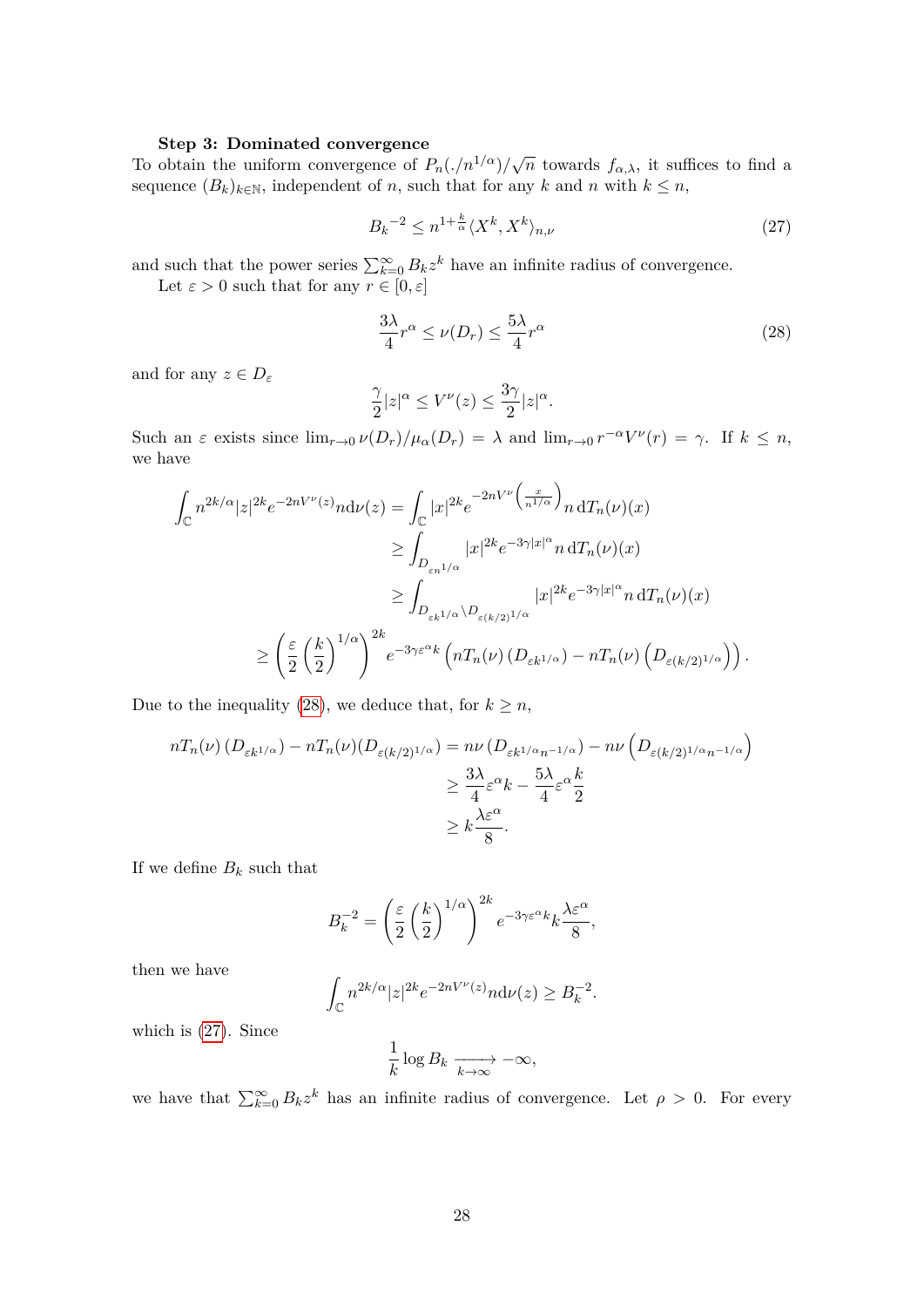#### **Step 3: Dominated convergence**

To obtain the uniform convergence of  $P_n(\Lambda/n^{1/\alpha})/\sqrt{n}$  towards  $f_{\alpha,\lambda}$ , it suffices to find a sequence  $(B_k)_{k\in\mathbb{N}}$ , independent of *n*, such that for any *k* and *n* with  $k \leq n$ ,

<span id="page-27-1"></span>
$$
B_k^{-2} \le n^{1 + \frac{k}{\alpha}} \langle X^k, X^k \rangle_{n, \nu} \tag{27}
$$

and such that the power series  $\sum_{k=0}^{\infty} B_k z^k$  have an infinite radius of convergence.

Let  $\varepsilon > 0$  such that for any  $r \in [0, \varepsilon]$ 

<span id="page-27-0"></span>
$$
\frac{3\lambda}{4}r^{\alpha} \le \nu(D_r) \le \frac{5\lambda}{4}r^{\alpha} \tag{28}
$$

and for any  $z \in D_{\varepsilon}$ 

$$
\frac{\gamma}{2}|z|^{\alpha} \le V^{\nu}(z) \le \frac{3\gamma}{2}|z|^{\alpha}.
$$

Such an  $\varepsilon$  exists since  $\lim_{r\to 0} \nu(D_r)/\mu_\alpha(D_r) = \lambda$  and  $\lim_{r\to 0} r^{-\alpha}V^{\nu}(r) = \gamma$ . If  $k \leq n$ , we have

$$
\int_{\mathbb{C}} n^{2k/\alpha} |z|^{2k} e^{-2nV^{\nu}(z)} n \mathrm{d}\nu(z) = \int_{\mathbb{C}} |x|^{2k} e^{-2nV^{\nu}\left(\frac{x}{n^{1/\alpha}}\right)} n \, \mathrm{d}T_{n}(\nu)(x)
$$
\n
$$
\geq \int_{D_{\varepsilon n^{1/\alpha}}} |x|^{2k} e^{-3\gamma |x|^{\alpha}} n \, \mathrm{d}T_{n}(\nu)(x)
$$
\n
$$
\geq \int_{D_{\varepsilon k^{1/\alpha}} \setminus D_{\varepsilon(k/2)^{1/\alpha}}} |x|^{2k} e^{-3\gamma |x|^{\alpha}} n \, \mathrm{d}T_{n}(\nu)(x)
$$
\n
$$
\geq \left(\frac{\varepsilon}{2} \left(\frac{k}{2}\right)^{1/\alpha}\right)^{2k} e^{-3\gamma \varepsilon^{\alpha} k} \left(nT_{n}(\nu) \left(D_{\varepsilon k^{1/\alpha}}\right) - nT_{n}(\nu) \left(D_{\varepsilon(k/2)^{1/\alpha}}\right)\right).
$$

Due to the inequality [\(28\)](#page-27-0), we deduce that, for  $k \geq n$ ,

$$
nT_n(\nu) (D_{\varepsilon k^{1/\alpha}}) - nT_n(\nu) (D_{\varepsilon (k/2)^{1/\alpha}}) = n\nu (D_{\varepsilon k^{1/\alpha}n^{-1/\alpha}}) - n\nu (D_{\varepsilon (k/2)^{1/\alpha}n^{-1/\alpha}})
$$
  
\n
$$
\geq \frac{3\lambda}{4} \varepsilon^{\alpha} k - \frac{5\lambda}{4} \varepsilon^{\alpha} \frac{k}{2}
$$
  
\n
$$
\geq k \frac{\lambda \varepsilon^{\alpha}}{8}.
$$

If we define  $B_k$  such that

$$
B_k^{-2} = \left(\frac{\varepsilon}{2}\left(\frac{k}{2}\right)^{1/\alpha}\right)^{2k} e^{-3\gamma\varepsilon^{\alpha}k} k \frac{\lambda\varepsilon^{\alpha}}{8},
$$

then we have

$$
\int_{\mathbb{C}} n^{2k/\alpha} |z|^{2k} e^{-2nV^{\nu}(z)} n \mathrm{d}\nu(z) \geq B_k^{-2}.
$$

which is [\(27\)](#page-27-1). Since

$$
\frac{1}{k}\log B_k \xrightarrow[k \to \infty]{} -\infty,
$$

we have that  $\sum_{k=0}^{\infty} B_k z^k$  has an infinite radius of convergence. Let  $\rho > 0$ . For every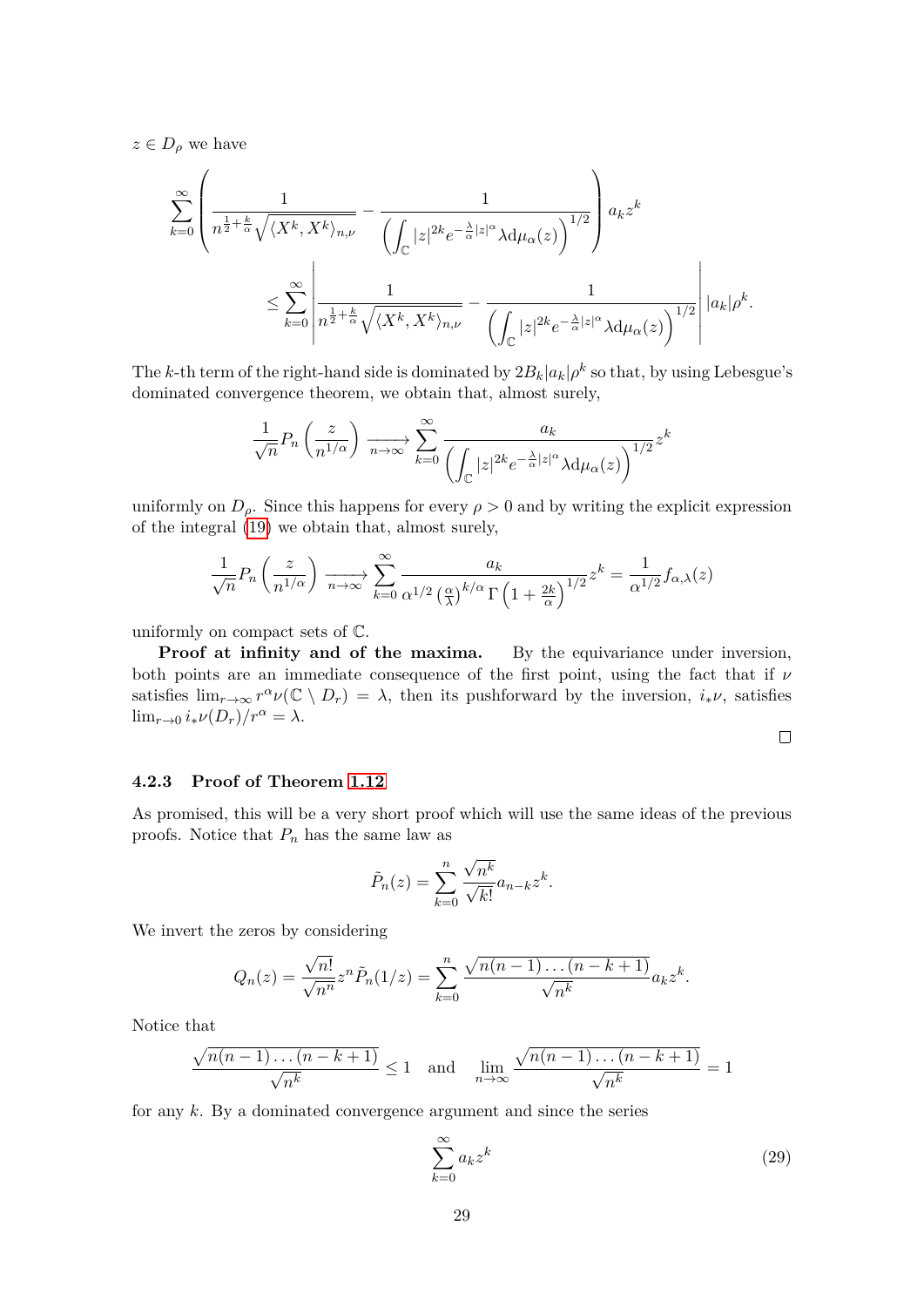$z \in D_\rho$  we have

$$
\begin{split} \sum_{k=0}^{\infty}&\left(\frac{1}{n^{\frac{1}{2}+\frac{k}{\alpha}}\sqrt{\langle X^k,X^k\rangle_{n,\nu}}}-\frac{1}{\left(\int_{\mathbb{C}}|z|^{2k}e^{-\frac{\lambda}{\alpha}|z|^\alpha}\lambda\mathrm{d}\mu_\alpha(z)\right)^{1/2}}\right)a_kz^k\\ &\leq \sum_{k=0}^{\infty}\left|\frac{1}{n^{\frac{1}{2}+\frac{k}{\alpha}}\sqrt{\langle X^k,X^k\rangle_{n,\nu}}}-\frac{1}{\left(\int_{\mathbb{C}}|z|^{2k}e^{-\frac{\lambda}{\alpha}|z|^\alpha}\lambda\mathrm{d}\mu_\alpha(z)\right)^{1/2}}\right| |a_k|\rho^k. \end{split}
$$

The *k*-th term of the right-hand side is dominated by  $2B_k|a_k|\rho^k$  so that, by using Lebesgue's dominated convergence theorem, we obtain that, almost surely,

$$
\frac{1}{\sqrt{n}}P_n\left(\frac{z}{n^{1/\alpha}}\right)\xrightarrow[n\to\infty]{}\sum_{k=0}^{\infty}\frac{a_k}{\left(\int_{\mathbb{C}}|z|^{2k}e^{-\frac{\lambda}{\alpha}|z|^\alpha}\lambda\mathrm{d}\mu_\alpha(z)\right)^{1/2}}z^k
$$

uniformly on  $D_{\rho}$ . Since this happens for every  $\rho > 0$  and by writing the explicit expression of the integral [\(19\)](#page-24-1) we obtain that, almost surely,

$$
\frac{1}{\sqrt{n}}P_n\left(\frac{z}{n^{1/\alpha}}\right)\xrightarrow[n\to\infty]{}\sum_{k=0}^{\infty}\frac{a_k}{\alpha^{1/2}\left(\frac{\alpha}{\lambda}\right)^{k/\alpha}\Gamma\left(1+\frac{2k}{\alpha}\right)^{1/2}}z^k=\frac{1}{\alpha^{1/2}}f_{\alpha,\lambda}(z)
$$

uniformly on compact sets of C.

**Proof at infinity and of the maxima.** By the equivariance under inversion, both points are an immediate consequence of the first point, using the fact that if *ν* satisfies  $\lim_{r\to\infty} r^{\alpha} \nu(\mathbb{C} \setminus D_r) = \lambda$ , then its pushforward by the inversion,  $i_*\nu$ , satisfies lim<sub>*r*→0</sub>  $i_* \nu(D_r)/r^{\alpha} = \lambda$ .

 $\Box$ 

#### **4.2.3 Proof of Theorem [1.12](#page-8-0)**

As promised, this will be a very short proof which will use the same ideas of the previous proofs. Notice that *P<sup>n</sup>* has the same law as

$$
\tilde{P}_n(z) = \sum_{k=0}^n \frac{\sqrt{n^k}}{\sqrt{k!}} a_{n-k} z^k.
$$

We invert the zeros by considering

$$
Q_n(z) = \frac{\sqrt{n!}}{\sqrt{n^n}} z^n \tilde{P}_n(1/z) = \sum_{k=0}^n \frac{\sqrt{n(n-1)\dots(n-k+1)}}{\sqrt{n^k}} a_k z^k.
$$

Notice that

$$
\frac{\sqrt{n(n-1)\dots(n-k+1)}}{\sqrt{n^k}} \le 1 \quad \text{and} \quad \lim_{n\to\infty} \frac{\sqrt{n(n-1)\dots(n-k+1)}}{\sqrt{n^k}} = 1
$$

for any *k*. By a dominated convergence argument and since the series

<span id="page-28-0"></span>
$$
\sum_{k=0}^{\infty} a_k z^k \tag{29}
$$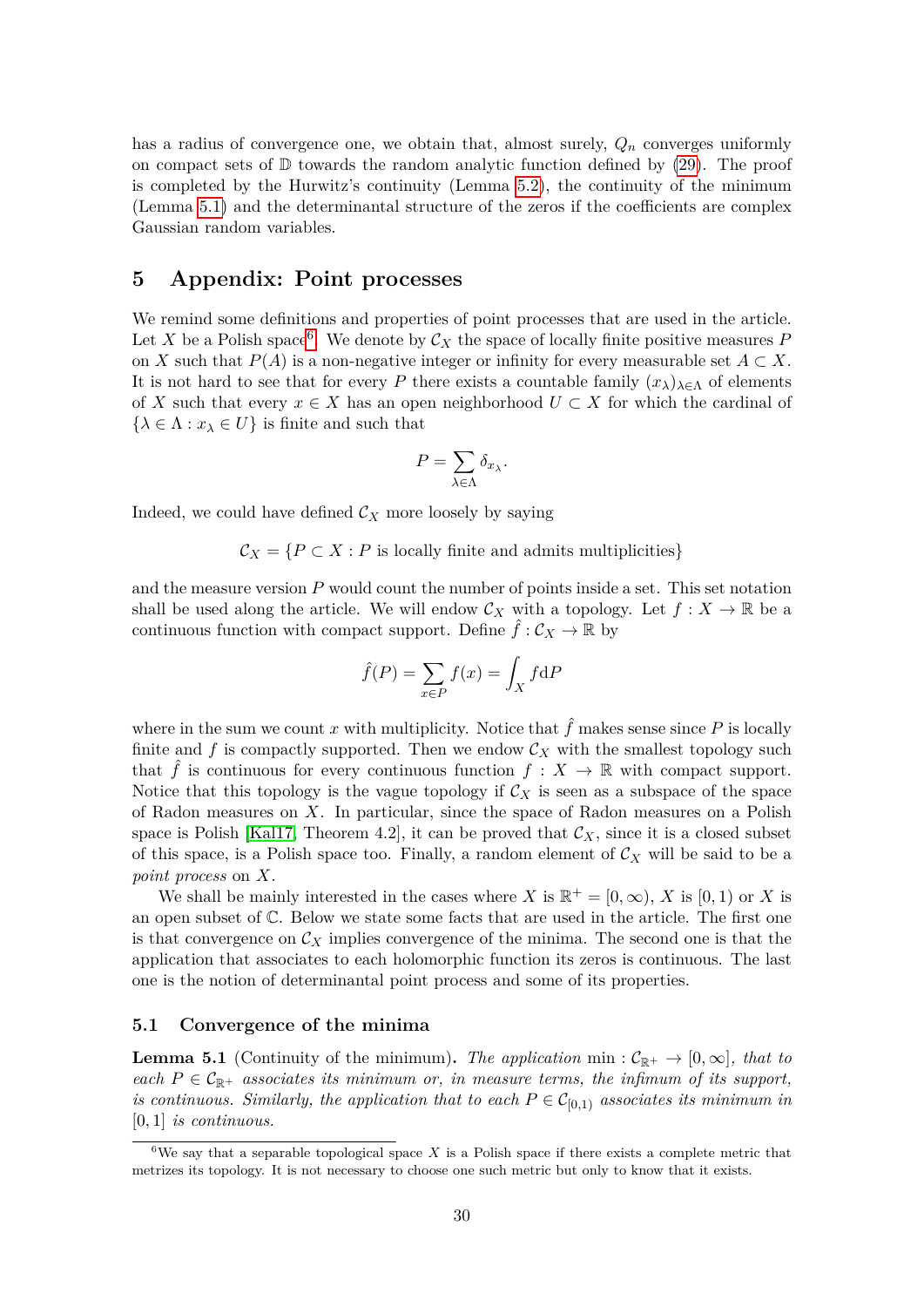has a radius of convergence one, we obtain that, almost surely, *Q<sup>n</sup>* converges uniformly on compact sets of  $\mathbb D$  towards the random analytic function defined by [\(29\)](#page-28-0). The proof is completed by the Hurwitz's continuity (Lemma [5.2\)](#page-30-0), the continuity of the minimum (Lemma [5.1\)](#page-29-1) and the determinantal structure of the zeros if the coefficients are complex Gaussian random variables.

# <span id="page-29-0"></span>**5 Appendix: Point processes**

We remind some definitions and properties of point processes that are used in the article. Let X be a Polish space<sup>[6](#page-29-2)</sup>. We denote by  $\mathcal{C}_X$  the space of locally finite positive measures F on *X* such that  $P(A)$  is a non-negative integer or infinity for every measurable set  $A \subset X$ . It is not hard to see that for every *P* there exists a countable family  $(x_{\lambda})_{\lambda \in \Lambda}$  of elements of *X* such that every  $x \in X$  has an open neighborhood  $U \subset X$  for which the cardinal of  $\{\lambda \in \Lambda : x_{\lambda} \in U\}$  is finite and such that

$$
P = \sum_{\lambda \in \Lambda} \delta_{x_{\lambda}}.
$$

Indeed, we could have defined  $\mathcal{C}_X$  more loosely by saying

 $\mathcal{C}_X = \{P \subset X : P \text{ is locally finite and admits multiplicities}\}\$ 

and the measure version *P* would count the number of points inside a set. This set notation shall be used along the article. We will endow  $\mathcal{C}_X$  with a topology. Let  $f: X \to \mathbb{R}$  be a continuous function with compact support. Define  $\hat{f}: \mathcal{C}_X \to \mathbb{R}$  by

$$
\hat{f}(P) = \sum_{x \in P} f(x) = \int_X f \, dP
$$

where in the sum we count x with multiplicity. Notice that  $\hat{f}$  makes sense since P is locally finite and  $f$  is compactly supported. Then we endow  $\mathcal{C}_X$  with the smallest topology such that  $\hat{f}$  is continuous for every continuous function  $f: X \to \mathbb{R}$  with compact support. Notice that this topology is the vague topology if  $\mathcal{C}_X$  is seen as a subspace of the space of Radon measures on *X*. In particular, since the space of Radon measures on a Polish space is Polish [\[Kal17,](#page-34-13) Theorem 4.2], it can be proved that  $\mathcal{C}_X$ , since it is a closed subset of this space, is a Polish space too. Finally, a random element of  $\mathcal{C}_X$  will be said to be a *point process* on *X*.

We shall be mainly interested in the cases where *X* is  $\mathbb{R}^+ = [0, \infty)$ , *X* is [0, 1] or *X* is an open subset of C. Below we state some facts that are used in the article. The first one is that convergence on  $\mathcal{C}_X$  implies convergence of the minima. The second one is that the application that associates to each holomorphic function its zeros is continuous. The last one is the notion of determinantal point process and some of its properties.

#### **5.1 Convergence of the minima**

<span id="page-29-1"></span>**Lemma 5.1** (Continuity of the minimum). The application min :  $\mathcal{C}_{\mathbb{R}^+} \to [0,\infty]$ *, that to each*  $P \in \mathcal{C}_{\mathbb{R}^+}$  *associates its minimum or, in measure terms, the infimum of its support, is continuous. Similarly, the application that to each*  $P \in C_{[0,1)}$  *associates its minimum in* [0*,* 1] *is continuous.*

<span id="page-29-2"></span><sup>&</sup>lt;sup>6</sup>We say that a separable topological space *X* is a Polish space if there exists a complete metric that metrizes its topology. It is not necessary to choose one such metric but only to know that it exists.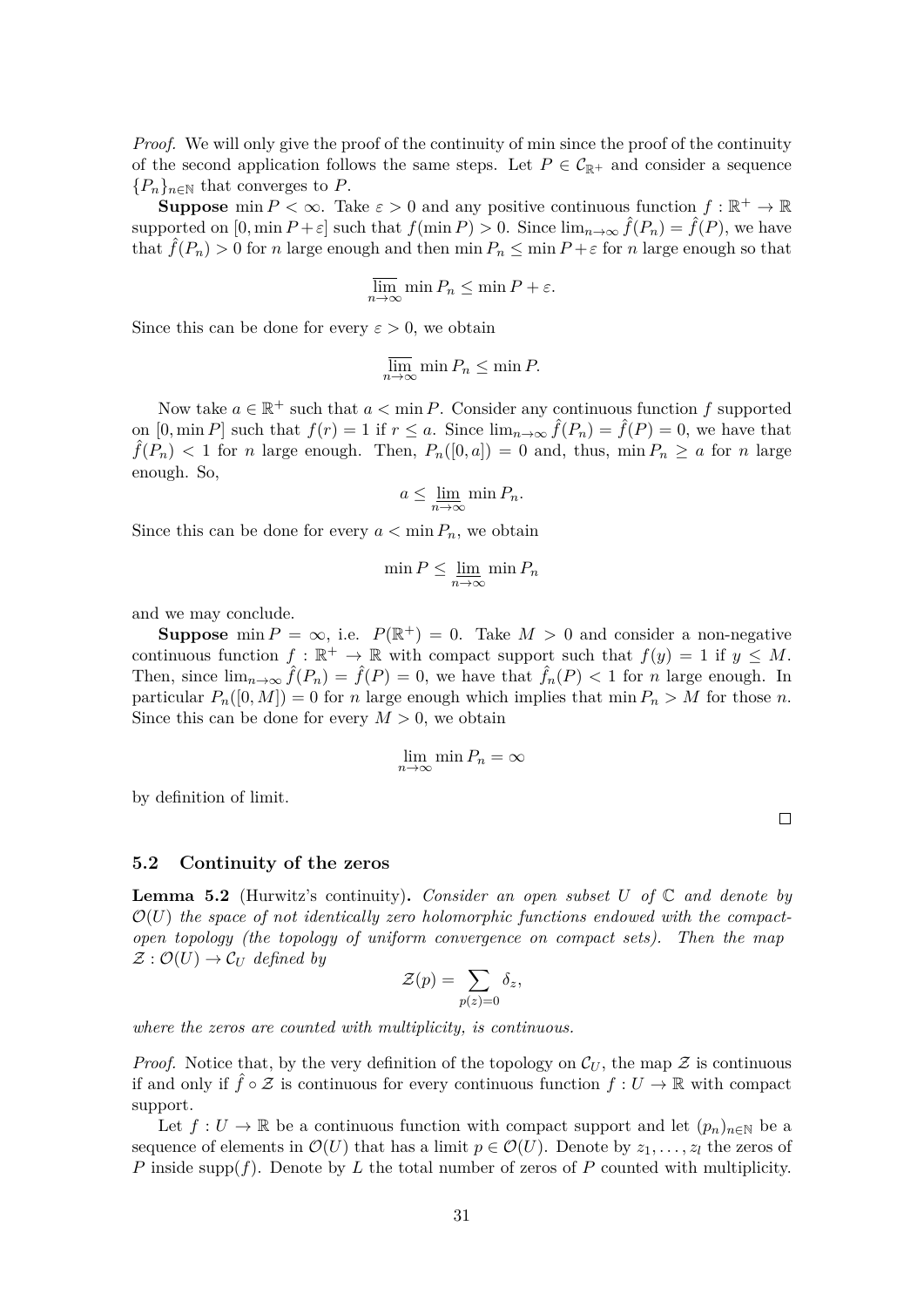*Proof.* We will only give the proof of the continuity of min since the proof of the continuity of the second application follows the same steps. Let  $P \in C_{\mathbb{R}^+}$  and consider a sequence  ${P_n}_{n \in \mathbb{N}}$  that converges to *P*.

**Suppose** min  $P < \infty$ . Take  $\varepsilon > 0$  and any positive continuous function  $f : \mathbb{R}^+ \to \mathbb{R}$ supported on  $[0, \min P + \varepsilon]$  such that  $f(\min P) > 0$ . Since  $\lim_{n \to \infty} \hat{f}(P_n) = \hat{f}(P)$ , we have that  $\hat{f}(P_n) > 0$  for *n* large enough and then min  $P_n \leq \min P + \varepsilon$  for *n* large enough so that

$$
\overline{\lim}_{n \to \infty} \min P_n \le \min P + \varepsilon.
$$

Since this can be done for every  $\varepsilon > 0$ , we obtain

$$
\overline{\lim}_{n \to \infty} \min P_n \le \min P.
$$

Now take  $a \in \mathbb{R}^+$  such that  $a < \min P$ . Consider any continuous function f supported on  $[0, \min P]$  such that  $f(r) = 1$  if  $r \le a$ . Since  $\lim_{n \to \infty} \hat{f}(P_n) = \hat{f}(P) = 0$ , we have that  $\hat{f}(P_n) < 1$  for *n* large enough. Then,  $P_n([0, a]) = 0$  and, thus,  $\min P_n \ge a$  for *n* large enough. So,

$$
a \le \lim_{n \to \infty} \min P_n.
$$

Since this can be done for every  $a < \min P_n$ , we obtain

$$
\min P \le \lim_{n \to \infty} \min P_n
$$

and we may conclude.

**Suppose** min  $P = \infty$ , i.e.  $P(\mathbb{R}^+) = 0$ . Take  $M > 0$  and consider a non-negative continuous function  $f : \mathbb{R}^+ \to \mathbb{R}$  with compact support such that  $f(y) = 1$  if  $y \leq M$ . Then, since  $\lim_{n\to\infty} \hat{f}(P_n) = \hat{f}(P) = 0$ , we have that  $\hat{f}_n(P) < 1$  for *n* large enough. In particular  $P_n([0, M]) = 0$  for *n* large enough which implies that min  $P_n > M$  for those *n*. Since this can be done for every  $M > 0$ , we obtain

$$
\lim_{n \to \infty} \min P_n = \infty
$$

by definition of limit.

 $\Box$ 

#### **5.2 Continuity of the zeros**

<span id="page-30-0"></span>**Lemma 5.2** (Hurwitz's continuity)**.** *Consider an open subset U of* C *and denote by*  $\mathcal{O}(U)$  the space of not identically zero holomorphic functions endowed with the compact*open topology (the topology of uniform convergence on compact sets). Then the map*  $\mathcal{Z}: \mathcal{O}(U) \to \mathcal{C}_U$  defined by

$$
\mathcal{Z}(p) = \sum_{p(z)=0} \delta_z,
$$

*where the zeros are counted with multiplicity, is continuous.*

*Proof.* Notice that, by the very definition of the topology on  $\mathcal{C}_U$ , the map  $\mathcal Z$  is continuous if and only if  $\hat{f} \circ \mathcal{Z}$  is continuous for every continuous function  $f: U \to \mathbb{R}$  with compact support.

Let  $f: U \to \mathbb{R}$  be a continuous function with compact support and let  $(p_n)_{n \in \mathbb{N}}$  be a sequence of elements in  $\mathcal{O}(U)$  that has a limit  $p \in \mathcal{O}(U)$ . Denote by  $z_1, \ldots, z_l$  the zeros of *P* inside supp(*f*). Denote by *L* the total number of zeros of *P* counted with multiplicity.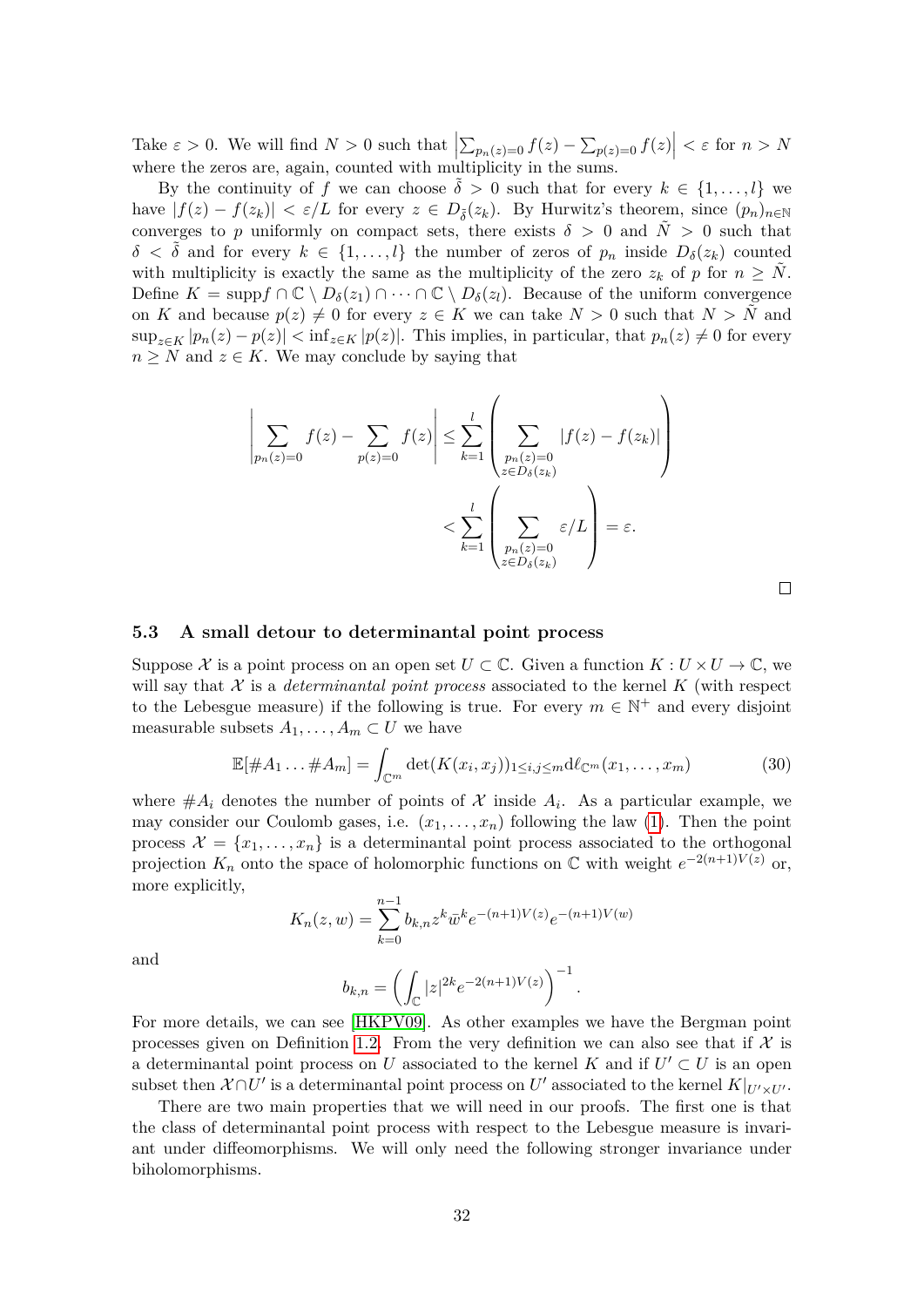Take  $\varepsilon > 0$ . We will find  $N > 0$  such that  $\left| \sum_{p_n(z)=0} f(z) - \sum_{p(z)=0} f(z) \right| < \varepsilon$  for  $n > N$ where the zeros are, again, counted with multiplicity in the sums.

By the continuity of *f* we can choose  $\delta > 0$  such that for every  $k \in \{1, \ldots, l\}$  we have  $|f(z) - f(z_k)| < \varepsilon/L$  for every  $z \in D_{\tilde{\delta}}(z_k)$ . By Hurwitz's theorem, since  $(p_n)_{n \in \mathbb{N}}$ converges to *p* uniformly on compact sets, there exists  $\delta > 0$  and  $\tilde{N} > 0$  such that  $\delta < \delta$  and for every  $k \in \{1, \ldots, l\}$  the number of zeros of  $p_n$  inside  $D_{\delta}(z_k)$  counted with multiplicity is exactly the same as the multiplicity of the zero  $z_k$  of p for  $n \geq N$ . Define  $K = \text{supp} f \cap \mathbb{C} \setminus D_{\delta}(z_1) \cap \cdots \cap \mathbb{C} \setminus D_{\delta}(z_l)$ . Because of the uniform convergence on *K* and because  $p(z) \neq 0$  for every  $z \in K$  we can take  $N > 0$  such that  $N > N$  and  $\sup_{z \in K} |p_n(z) - p(z)| < \inf_{z \in K} |p(z)|$ . This implies, in particular, that  $p_n(z) \neq 0$  for every  $n \geq N$  and  $z \in K$ . We may conclude by saying that

$$
\left| \sum_{p_n(z)=0} f(z) - \sum_{p(z)=0} f(z) \right| \leq \sum_{k=1}^l \left( \sum_{\substack{p_n(z)=0 \ z \in D_{\delta}(z_k)}} |f(z) - f(z_k)| \right)
$$

$$
< \sum_{k=1}^l \left( \sum_{\substack{p_n(z)=0 \ z \in D_{\delta}(z_k)}} \varepsilon / L \right) = \varepsilon.
$$

 $\Box$ 

#### <span id="page-31-0"></span>**5.3 A small detour to determinantal point process**

Suppose X is a point process on an open set  $U \subset \mathbb{C}$ . Given a function  $K : U \times U \to \mathbb{C}$ , we will say that  $X$  is a *determinantal point process* associated to the kernel  $K$  (with respect to the Lebesgue measure) if the following is true. For every  $m \in \mathbb{N}^+$  and every disjoint measurable subsets  $A_1, \ldots, A_m \subset U$  we have

<span id="page-31-1"></span>
$$
\mathbb{E}[\#A_1 \dots \#A_m] = \int_{\mathbb{C}^m} \det(K(x_i, x_j))_{1 \le i, j \le m} \mathrm{d}\ell_{\mathbb{C}^m}(x_1, \dots, x_m)
$$
(30)

where  $#A_i$  denotes the number of points of X inside  $A_i$ . As a particular example, we may consider our Coulomb gases, i.e.  $(x_1, \ldots, x_n)$  following the law [\(1\)](#page-0-0). Then the point process  $\mathcal{X} = \{x_1, \ldots, x_n\}$  is a determinantal point process associated to the orthogonal projection  $K_n$  onto the space of holomorphic functions on  $\mathbb C$  with weight  $e^{-2(n+1)V(z)}$  or, more explicitly,

$$
K_n(z, w) = \sum_{k=0}^{n-1} b_{k,n} z^k \bar{w}^k e^{-(n+1)V(z)} e^{-(n+1)V(w)}
$$

and

$$
b_{k,n} = \left( \int_{\mathbb{C}} |z|^{2k} e^{-2(n+1)V(z)} \right)^{-1}.
$$

For more details, we can see [\[HKPV09\]](#page-34-0). As other examples we have the Bergman point processes given on Definition [1.2.](#page-3-2) From the very definition we can also see that if  $\mathcal{X}$  is a determinantal point process on *U* associated to the kernel *K* and if  $U' \subset U$  is an open subset then  $\mathcal{X} \cap U'$  is a determinantal point process on  $U'$  associated to the kernel  $K|_{U' \times U'}$ .

There are two main properties that we will need in our proofs. The first one is that the class of determinantal point process with respect to the Lebesgue measure is invariant under diffeomorphisms. We will only need the following stronger invariance under biholomorphisms.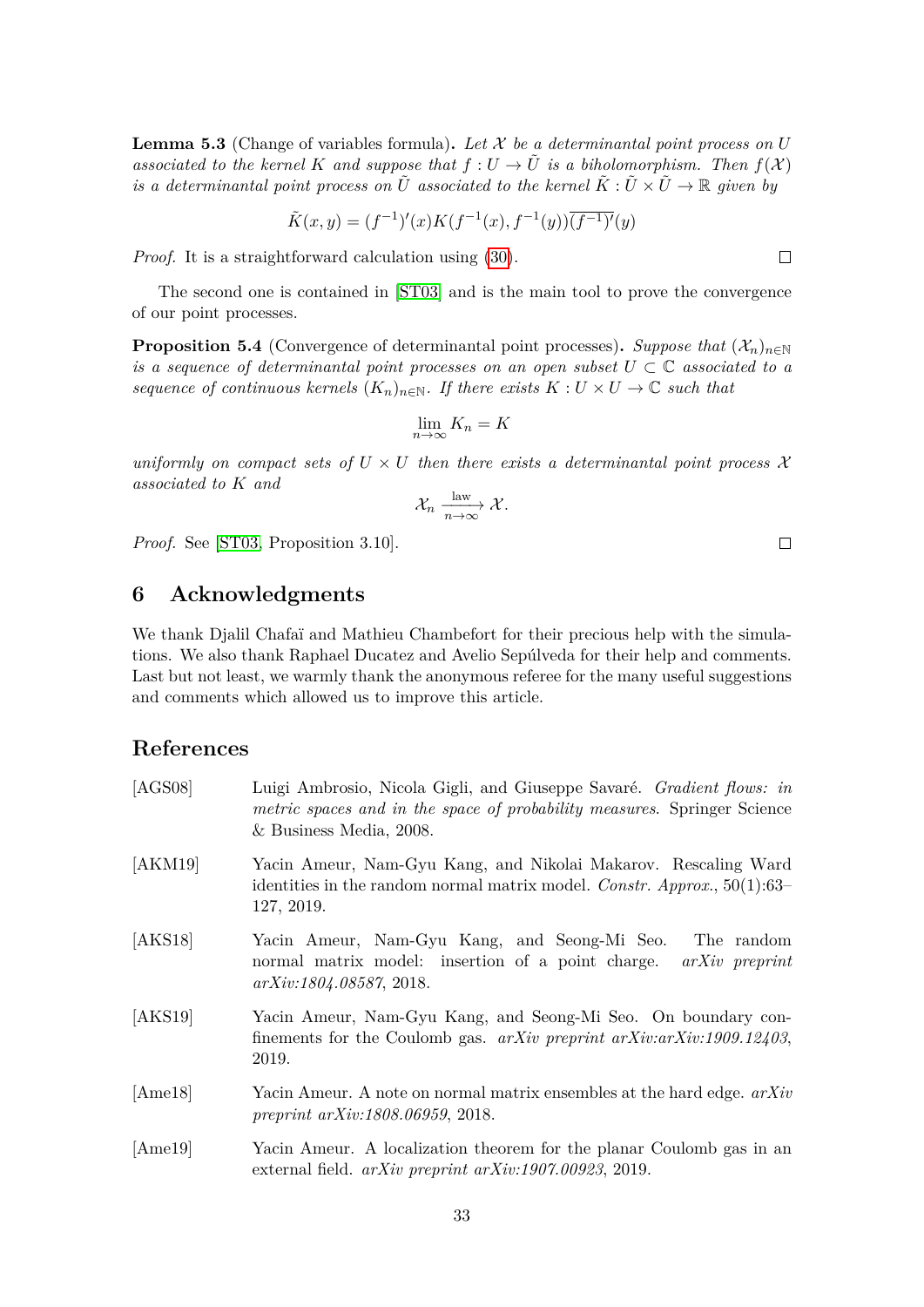<span id="page-32-0"></span>**Lemma 5.3** (Change of variables formula). Let  $X$  be a determinantal point process on  $U$ *associated to the kernel K and suppose that*  $f: U \to \tilde{U}$  *is a biholomorphism. Then*  $f(X)$ *is a determinantal point process on*  $\tilde{U}$  *associated to the kernel*  $\tilde{K}: \tilde{U} \times \tilde{U} \to \mathbb{R}$  *given by* 

$$
\tilde{K}(x,y) = (f^{-1})'(x)K(f^{-1}(x), f^{-1}(y))\overline{(f^{-1})'}(y)
$$

*Proof.* It is a straightforward calculation using [\(30\)](#page-31-1).

The second one is contained in [\[ST03\]](#page-35-6) and is the main tool to prove the convergence of our point processes.

<span id="page-32-7"></span>**Proposition 5.4** (Convergence of determinantal point processes). Suppose that  $(\mathcal{X}_n)_{n\in\mathbb{N}}$ *is a sequence of determinantal point processes on an open subset*  $U \subset \mathbb{C}$  *associated to a sequence of continuous kernels*  $(K_n)_{n \in \mathbb{N}}$ . If there exists  $K: U \times U \to \mathbb{C}$  such that

$$
\lim_{n \to \infty} K_n = K
$$

*uniformly on compact sets of*  $U \times U$  *then there exists a determinantal point process*  $\mathcal{X}$ *associated to K and*

$$
\mathcal{X}_n \xrightarrow[n \to \infty]{\text{law}} \mathcal{X}.
$$

*Proof.* See [\[ST03,](#page-35-6) Proposition 3.10].

# **6 Acknowledgments**

We thank Djalil Chafaï and Mathieu Chambefort for their precious help with the simulations. We also thank Raphael Ducatez and Avelio Sepúlveda for their help and comments. Last but not least, we warmly thank the anonymous referee for the many useful suggestions and comments which allowed us to improve this article.

# **References**

<span id="page-32-6"></span><span id="page-32-5"></span><span id="page-32-4"></span><span id="page-32-3"></span><span id="page-32-2"></span><span id="page-32-1"></span>[AGS08] Luigi Ambrosio, Nicola Gigli, and Giuseppe Savaré. *Gradient flows: in metric spaces and in the space of probability measures*. Springer Science & Business Media, 2008. [AKM19] Yacin Ameur, Nam-Gyu Kang, and Nikolai Makarov. Rescaling Ward identities in the random normal matrix model. *Constr. Approx.*, 50(1):63– 127, 2019. [AKS18] Yacin Ameur, Nam-Gyu Kang, and Seong-Mi Seo. The random normal matrix model: insertion of a point charge. *arXiv preprint arXiv:1804.08587*, 2018. [AKS19] Yacin Ameur, Nam-Gyu Kang, and Seong-Mi Seo. On boundary confinements for the Coulomb gas. *arXiv preprint arXiv:arXiv:1909.12403*, 2019. [Ame18] Yacin Ameur. A note on normal matrix ensembles at the hard edge. *arXiv preprint arXiv:1808.06959*, 2018. [Ame19] Yacin Ameur. A localization theorem for the planar Coulomb gas in an external field. *arXiv preprint arXiv:1907.00923*, 2019.

 $\Box$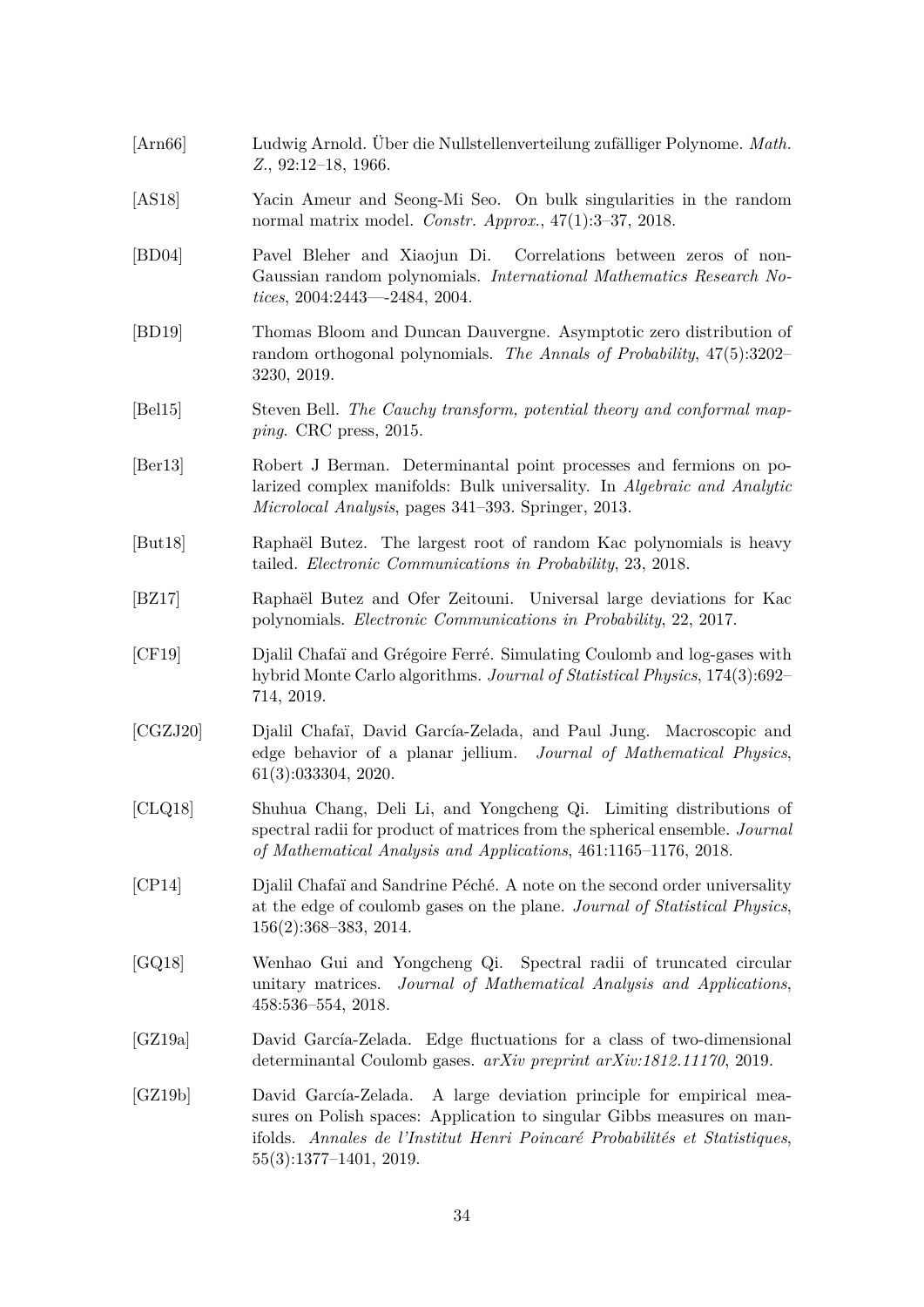- <span id="page-33-7"></span>[Arn66] Ludwig Arnold. Über die Nullstellenverteilung zufälliger Polynome. *Math. Z.*, 92:12–18, 1966.
- <span id="page-33-12"></span>[AS18] Yacin Ameur and Seong-Mi Seo. On bulk singularities in the random normal matrix model. *Constr. Approx.*, 47(1):3–37, 2018.
- [BD04] Pavel Bleher and Xiaojun Di. Correlations between zeros of non-Gaussian random polynomials. *International Mathematics Research Notices*, 2004:2443—-2484, 2004.
- <span id="page-33-2"></span>[BD19] Thomas Bloom and Duncan Dauvergne. Asymptotic zero distribution of random orthogonal polynomials. *The Annals of Probability*, 47(5):3202– 3230, 2019.
- <span id="page-33-4"></span>[Bel15] Steven Bell. *The Cauchy transform, potential theory and conformal mapping*. CRC press, 2015.
- <span id="page-33-11"></span>[Ber13] Robert J Berman. Determinantal point processes and fermions on polarized complex manifolds: Bulk universality. In *Algebraic and Analytic Microlocal Analysis*, pages 341–393. Springer, 2013.
- <span id="page-33-8"></span>[But18] Raphaël Butez. The largest root of random Kac polynomials is heavy tailed. *Electronic Communications in Probability*, 23, 2018.
- <span id="page-33-3"></span>[BZ17] Raphaël Butez and Ofer Zeitouni. Universal large deviations for Kac polynomials. *Electronic Communications in Probability*, 22, 2017.
- [CF19] Djalil Chafaï and Grégoire Ferré. Simulating Coulomb and log-gases with hybrid Monte Carlo algorithms. *Journal of Statistical Physics*, 174(3):692– 714, 2019.
- <span id="page-33-0"></span>[CGZJ20] Djalil Chafaï, David García-Zelada, and Paul Jung. Macroscopic and edge behavior of a planar jellium. *Journal of Mathematical Physics*, 61(3):033304, 2020.
- <span id="page-33-9"></span>[CLQ18] Shuhua Chang, Deli Li, and Yongcheng Qi. Limiting distributions of spectral radii for product of matrices from the spherical ensemble. *Journal of Mathematical Analysis and Applications*, 461:1165–1176, 2018.
- <span id="page-33-5"></span>[CP14] Djalil Chafaï and Sandrine Péché. A note on the second order universality at the edge of coulomb gases on the plane. *Journal of Statistical Physics*, 156(2):368–383, 2014.
- <span id="page-33-10"></span>[GQ18] Wenhao Gui and Yongcheng Qi. Spectral radii of truncated circular unitary matrices. *Journal of Mathematical Analysis and Applications*, 458:536–554, 2018.
- <span id="page-33-6"></span>[GZ19a] David García-Zelada. Edge fluctuations for a class of two-dimensional determinantal Coulomb gases. *arXiv preprint arXiv:1812.11170*, 2019.
- <span id="page-33-1"></span>[GZ19b] David García-Zelada. A large deviation principle for empirical measures on Polish spaces: Application to singular Gibbs measures on manifolds. *Annales de l'Institut Henri Poincaré Probabilités et Statistiques*, 55(3):1377–1401, 2019.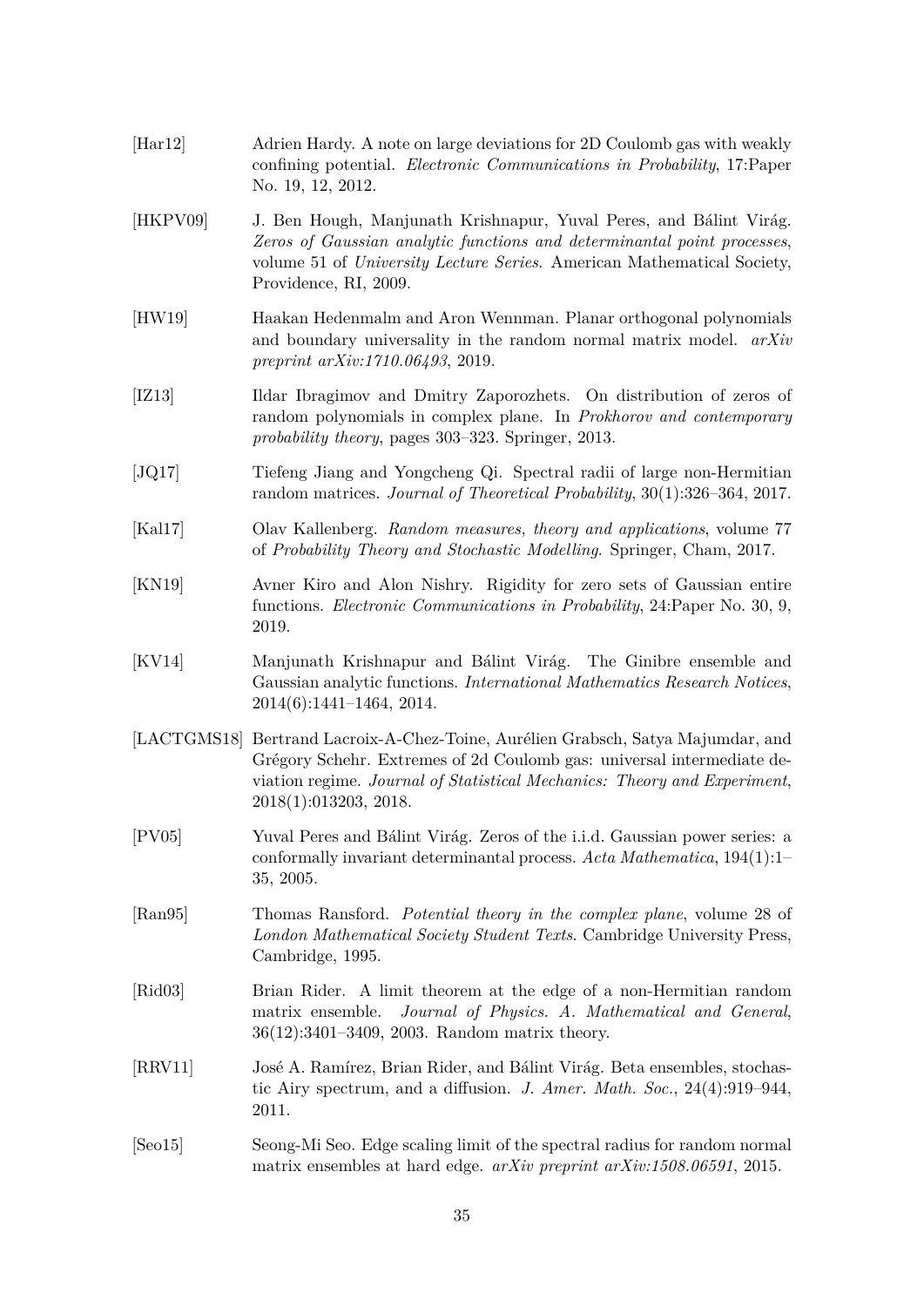- <span id="page-34-2"></span>[Har12] Adrien Hardy. A note on large deviations for 2D Coulomb gas with weakly confining potential. *Electronic Communications in Probability*, 17:Paper No. 19, 12, 2012.
- <span id="page-34-0"></span>[HKPV09] J. Ben Hough, Manjunath Krishnapur, Yuval Peres, and Bálint Virág. *Zeros of Gaussian analytic functions and determinantal point processes*, volume 51 of *University Lecture Series*. American Mathematical Society, Providence, RI, 2009.
- <span id="page-34-10"></span>[HW19] Haakan Hedenmalm and Aron Wennman. Planar orthogonal polynomials and boundary universality in the random normal matrix model. *arXiv preprint arXiv:1710.06493*, 2019.
- <span id="page-34-1"></span>[IZ13] Ildar Ibragimov and Dmitry Zaporozhets. On distribution of zeros of random polynomials in complex plane. In *Prokhorov and contemporary probability theory*, pages 303–323. Springer, 2013.
- <span id="page-34-5"></span>[JQ17] Tiefeng Jiang and Yongcheng Qi. Spectral radii of large non-Hermitian random matrices. *Journal of Theoretical Probability*, 30(1):326–364, 2017.
- <span id="page-34-13"></span>[Kal17] Olav Kallenberg. *Random measures, theory and applications*, volume 77 of *Probability Theory and Stochastic Modelling*. Springer, Cham, 2017.
- <span id="page-34-6"></span>[KN19] Avner Kiro and Alon Nishry. Rigidity for zero sets of Gaussian entire functions. *Electronic Communications in Probability*, 24:Paper No. 30, 9, 2019.
- <span id="page-34-3"></span>[KV14] Manjunath Krishnapur and Bálint Virág. The Ginibre ensemble and Gaussian analytic functions. *International Mathematics Research Notices*, 2014(6):1441–1464, 2014.
- <span id="page-34-9"></span>[LACTGMS18] Bertrand Lacroix-A-Chez-Toine, Aurélien Grabsch, Satya Majumdar, and Grégory Schehr. Extremes of 2d Coulomb gas: universal intermediate deviation regime. *Journal of Statistical Mechanics: Theory and Experiment*, 2018(1):013203, 2018.
- <span id="page-34-4"></span>[PV05] Yuval Peres and Bálint Virág. Zeros of the i.i.d. Gaussian power series: a conformally invariant determinantal process. *Acta Mathematica*, 194(1):1– 35, 2005.
- <span id="page-34-12"></span>[Ran95] Thomas Ransford. *Potential theory in the complex plane*, volume 28 of *London Mathematical Society Student Texts*. Cambridge University Press, Cambridge, 1995.
- <span id="page-34-7"></span>[Rid03] Brian Rider. A limit theorem at the edge of a non-Hermitian random matrix ensemble. *Journal of Physics. A. Mathematical and General*, 36(12):3401–3409, 2003. Random matrix theory.
- <span id="page-34-11"></span>[RRV11] José A. Ramírez, Brian Rider, and Bálint Virág. Beta ensembles, stochastic Airy spectrum, and a diffusion. *J. Amer. Math. Soc.*, 24(4):919–944, 2011.
- <span id="page-34-8"></span>[Seo15] Seong-Mi Seo. Edge scaling limit of the spectral radius for random normal matrix ensembles at hard edge. *arXiv preprint arXiv:1508.06591*, 2015.